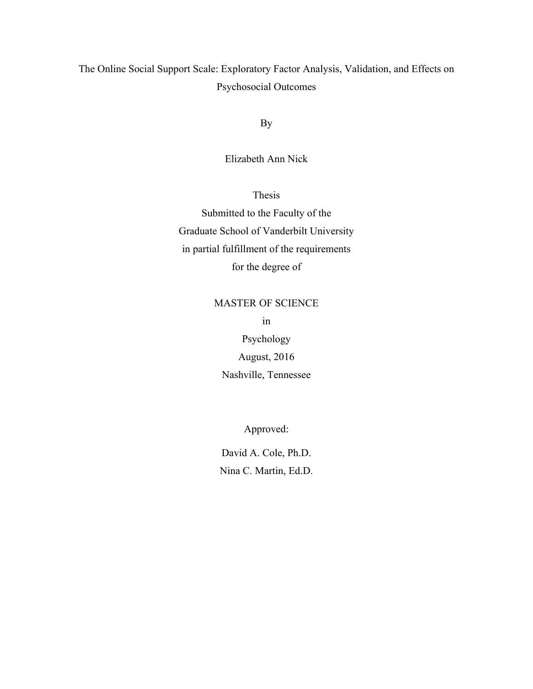The Online Social Support Scale: Exploratory Factor Analysis, Validation, and Effects on Psychosocial Outcomes

By

Elizabeth Ann Nick

Thesis

Submitted to the Faculty of the Graduate School of Vanderbilt University in partial fulfillment of the requirements for the degree of

# MASTER OF SCIENCE in

Psychology August, 2016 Nashville, Tennessee

Approved:

David A. Cole, Ph.D. Nina C. Martin, Ed.D.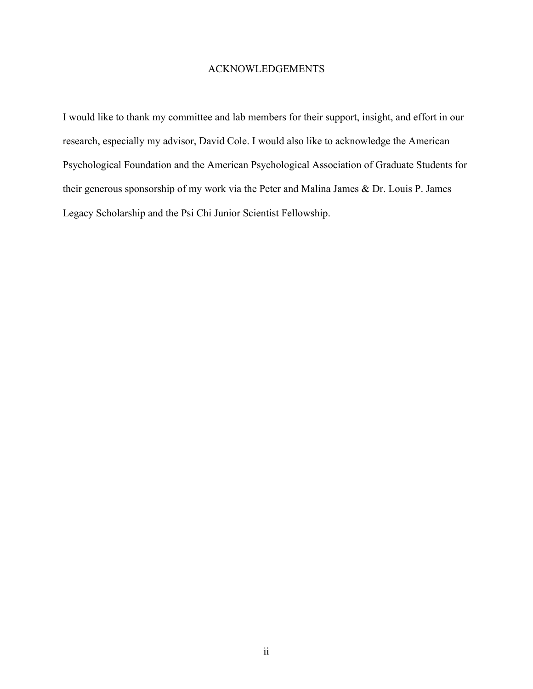## ACKNOWLEDGEMENTS

I would like to thank my committee and lab members for their support, insight, and effort in our research, especially my advisor, David Cole. I would also like to acknowledge the American Psychological Foundation and the American Psychological Association of Graduate Students for their generous sponsorship of my work via the Peter and Malina James & Dr. Louis P. James Legacy Scholarship and the Psi Chi Junior Scientist Fellowship.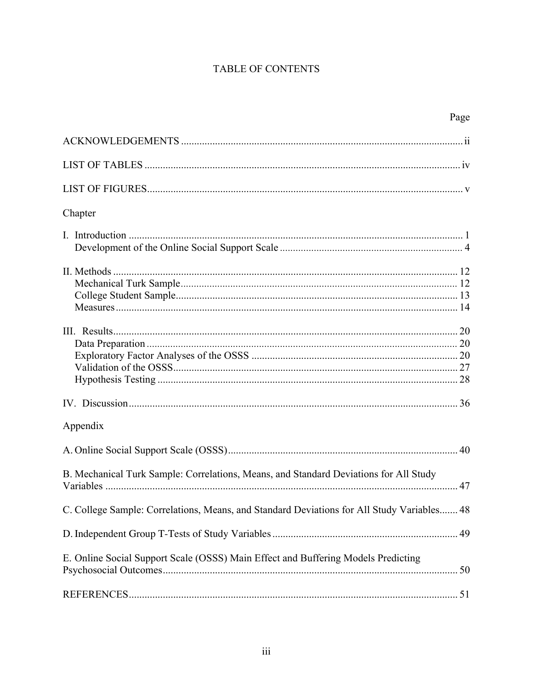# TABLE OF CONTENTS

|                                                                                            | Page |
|--------------------------------------------------------------------------------------------|------|
|                                                                                            |      |
|                                                                                            |      |
|                                                                                            |      |
| Chapter                                                                                    |      |
|                                                                                            |      |
|                                                                                            |      |
|                                                                                            |      |
|                                                                                            |      |
| Appendix                                                                                   |      |
|                                                                                            |      |
| B. Mechanical Turk Sample: Correlations, Means, and Standard Deviations for All Study      |      |
| C. College Sample: Correlations, Means, and Standard Deviations for All Study Variables 48 |      |
|                                                                                            |      |
| E. Online Social Support Scale (OSSS) Main Effect and Buffering Models Predicting          |      |
|                                                                                            |      |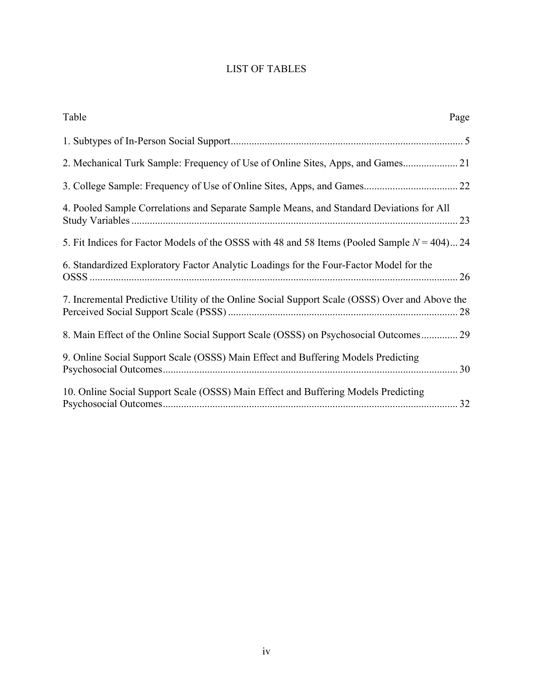# LIST OF TABLES

| Table                                                                                           | Page |
|-------------------------------------------------------------------------------------------------|------|
|                                                                                                 |      |
| 2. Mechanical Turk Sample: Frequency of Use of Online Sites, Apps, and Games                    |      |
|                                                                                                 |      |
| 4. Pooled Sample Correlations and Separate Sample Means, and Standard Deviations for All        |      |
| 5. Fit Indices for Factor Models of the OSSS with 48 and 58 Items (Pooled Sample $N = 404$ ) 24 |      |
| 6. Standardized Exploratory Factor Analytic Loadings for the Four-Factor Model for the          |      |
| 7. Incremental Predictive Utility of the Online Social Support Scale (OSSS) Over and Above the  | 28   |
| 8. Main Effect of the Online Social Support Scale (OSSS) on Psychosocial Outcomes 29            |      |
| 9. Online Social Support Scale (OSSS) Main Effect and Buffering Models Predicting               | 30   |
| 10. Online Social Support Scale (OSSS) Main Effect and Buffering Models Predicting              | 32   |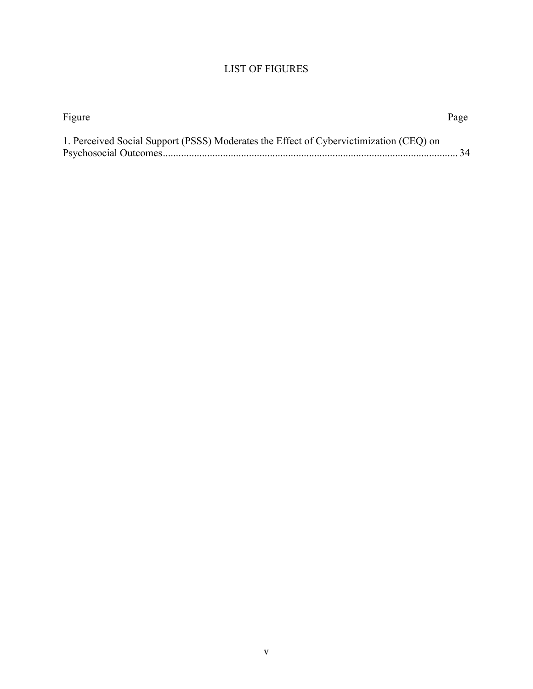# LIST OF FIGURES

| Figure                                                                                 | Page |
|----------------------------------------------------------------------------------------|------|
| 1. Perceived Social Support (PSSS) Moderates the Effect of Cybervictimization (CEQ) on |      |
|                                                                                        |      |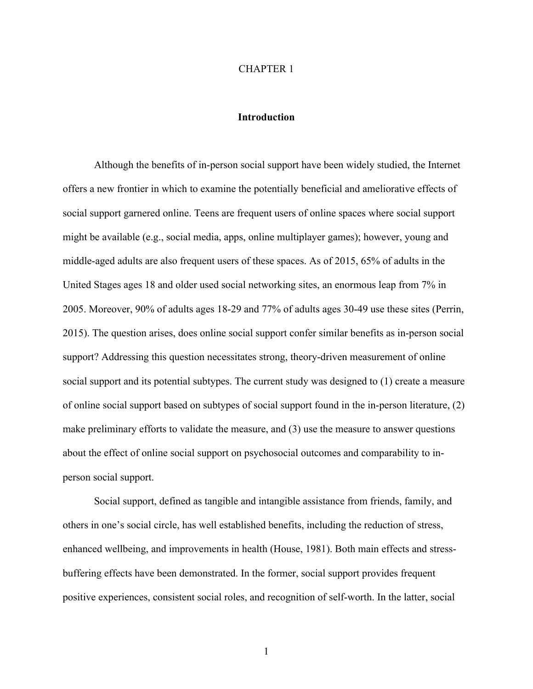#### CHAPTER 1

## **Introduction**

Although the benefits of in-person social support have been widely studied, the Internet offers a new frontier in which to examine the potentially beneficial and ameliorative effects of social support garnered online. Teens are frequent users of online spaces where social support might be available (e.g., social media, apps, online multiplayer games); however, young and middle-aged adults are also frequent users of these spaces. As of 2015, 65% of adults in the United Stages ages 18 and older used social networking sites, an enormous leap from 7% in 2005. Moreover, 90% of adults ages 18-29 and 77% of adults ages 30-49 use these sites (Perrin, 2015). The question arises, does online social support confer similar benefits as in-person social support? Addressing this question necessitates strong, theory-driven measurement of online social support and its potential subtypes. The current study was designed to (1) create a measure of online social support based on subtypes of social support found in the in-person literature, (2) make preliminary efforts to validate the measure, and (3) use the measure to answer questions about the effect of online social support on psychosocial outcomes and comparability to inperson social support.

Social support, defined as tangible and intangible assistance from friends, family, and others in one's social circle, has well established benefits, including the reduction of stress, enhanced wellbeing, and improvements in health (House, 1981). Both main effects and stressbuffering effects have been demonstrated. In the former, social support provides frequent positive experiences, consistent social roles, and recognition of self-worth. In the latter, social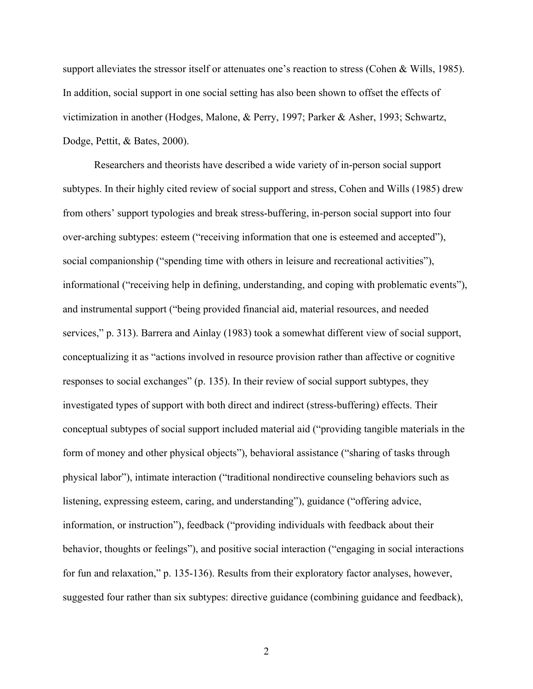support alleviates the stressor itself or attenuates one's reaction to stress (Cohen & Wills, 1985). In addition, social support in one social setting has also been shown to offset the effects of victimization in another (Hodges, Malone, & Perry, 1997; Parker & Asher, 1993; Schwartz, Dodge, Pettit, & Bates, 2000).

Researchers and theorists have described a wide variety of in-person social support subtypes. In their highly cited review of social support and stress, Cohen and Wills (1985) drew from others' support typologies and break stress-buffering, in-person social support into four over-arching subtypes: esteem ("receiving information that one is esteemed and accepted"), social companionship ("spending time with others in leisure and recreational activities"), informational ("receiving help in defining, understanding, and coping with problematic events"), and instrumental support ("being provided financial aid, material resources, and needed services," p. 313). Barrera and Ainlay (1983) took a somewhat different view of social support, conceptualizing it as "actions involved in resource provision rather than affective or cognitive responses to social exchanges" (p. 135). In their review of social support subtypes, they investigated types of support with both direct and indirect (stress-buffering) effects. Their conceptual subtypes of social support included material aid ("providing tangible materials in the form of money and other physical objects"), behavioral assistance ("sharing of tasks through physical labor"), intimate interaction ("traditional nondirective counseling behaviors such as listening, expressing esteem, caring, and understanding"), guidance ("offering advice, information, or instruction"), feedback ("providing individuals with feedback about their behavior, thoughts or feelings"), and positive social interaction ("engaging in social interactions for fun and relaxation," p. 135-136). Results from their exploratory factor analyses, however, suggested four rather than six subtypes: directive guidance (combining guidance and feedback),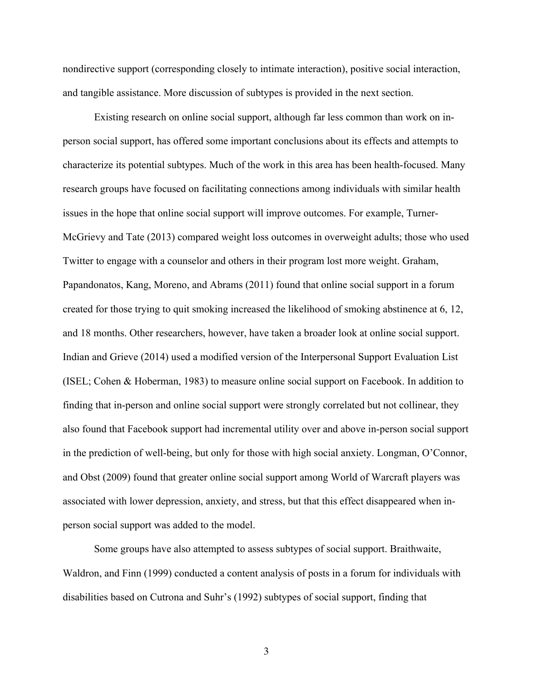nondirective support (corresponding closely to intimate interaction), positive social interaction, and tangible assistance. More discussion of subtypes is provided in the next section.

Existing research on online social support, although far less common than work on inperson social support, has offered some important conclusions about its effects and attempts to characterize its potential subtypes. Much of the work in this area has been health-focused. Many research groups have focused on facilitating connections among individuals with similar health issues in the hope that online social support will improve outcomes. For example, Turner-McGrievy and Tate (2013) compared weight loss outcomes in overweight adults; those who used Twitter to engage with a counselor and others in their program lost more weight. Graham, Papandonatos, Kang, Moreno, and Abrams (2011) found that online social support in a forum created for those trying to quit smoking increased the likelihood of smoking abstinence at 6, 12, and 18 months. Other researchers, however, have taken a broader look at online social support. Indian and Grieve (2014) used a modified version of the Interpersonal Support Evaluation List (ISEL; Cohen & Hoberman, 1983) to measure online social support on Facebook. In addition to finding that in-person and online social support were strongly correlated but not collinear, they also found that Facebook support had incremental utility over and above in-person social support in the prediction of well-being, but only for those with high social anxiety. Longman, O'Connor, and Obst (2009) found that greater online social support among World of Warcraft players was associated with lower depression, anxiety, and stress, but that this effect disappeared when inperson social support was added to the model.

Some groups have also attempted to assess subtypes of social support. Braithwaite, Waldron, and Finn (1999) conducted a content analysis of posts in a forum for individuals with disabilities based on Cutrona and Suhr's (1992) subtypes of social support, finding that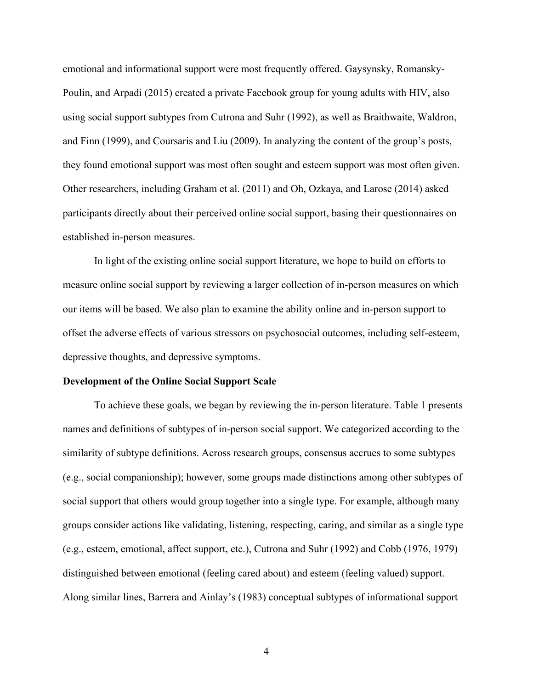emotional and informational support were most frequently offered. Gaysynsky, Romansky-Poulin, and Arpadi (2015) created a private Facebook group for young adults with HIV, also using social support subtypes from Cutrona and Suhr (1992), as well as Braithwaite, Waldron, and Finn (1999), and Coursaris and Liu (2009). In analyzing the content of the group's posts, they found emotional support was most often sought and esteem support was most often given. Other researchers, including Graham et al. (2011) and Oh, Ozkaya, and Larose (2014) asked participants directly about their perceived online social support, basing their questionnaires on established in-person measures.

In light of the existing online social support literature, we hope to build on efforts to measure online social support by reviewing a larger collection of in-person measures on which our items will be based. We also plan to examine the ability online and in-person support to offset the adverse effects of various stressors on psychosocial outcomes, including self-esteem, depressive thoughts, and depressive symptoms.

#### **Development of the Online Social Support Scale**

To achieve these goals, we began by reviewing the in-person literature. Table 1 presents names and definitions of subtypes of in-person social support. We categorized according to the similarity of subtype definitions. Across research groups, consensus accrues to some subtypes (e.g., social companionship); however, some groups made distinctions among other subtypes of social support that others would group together into a single type. For example, although many groups consider actions like validating, listening, respecting, caring, and similar as a single type (e.g., esteem, emotional, affect support, etc.), Cutrona and Suhr (1992) and Cobb (1976, 1979) distinguished between emotional (feeling cared about) and esteem (feeling valued) support. Along similar lines, Barrera and Ainlay's (1983) conceptual subtypes of informational support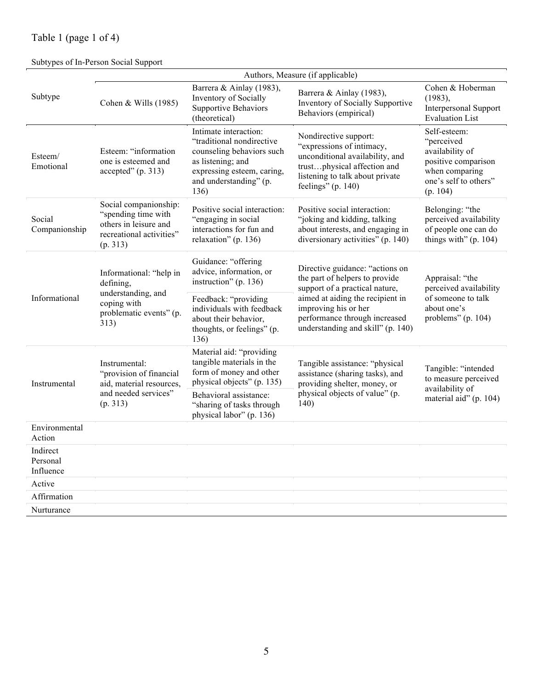# Table 1 (page 1 of 4)

# Subtypes of In-Person Social Support

|                                   | Authors, Measure (if applicable)                                                                              |                                                                                                                                                                       |                                                                                                                                                                               |                                                                                                                             |  |  |  |  |  |
|-----------------------------------|---------------------------------------------------------------------------------------------------------------|-----------------------------------------------------------------------------------------------------------------------------------------------------------------------|-------------------------------------------------------------------------------------------------------------------------------------------------------------------------------|-----------------------------------------------------------------------------------------------------------------------------|--|--|--|--|--|
| Subtype                           | Cohen & Wills (1985)                                                                                          | Barrera & Ainlay (1983),<br>Inventory of Socially<br><b>Supportive Behaviors</b><br>(theoretical)                                                                     | Barrera & Ainlay (1983),<br>Inventory of Socially Supportive<br>Behaviors (empirical)                                                                                         | Cohen & Hoberman<br>(1983),<br>Interpersonal Support<br><b>Evaluation List</b>                                              |  |  |  |  |  |
| Esteem/<br>Emotional              | Esteem: "information<br>one is esteemed and<br>accepted''(p. 313)                                             | Intimate interaction:<br>"traditional nondirective"<br>counseling behaviors such<br>as listening; and<br>expressing esteem, caring,<br>and understanding" (p.<br>136) | Nondirective support:<br>"expressions of intimacy,<br>unconditional availability, and<br>trustphysical affection and<br>listening to talk about private<br>feelings" (p. 140) | Self-esteem:<br>"perceived<br>availability of<br>positive comparison<br>when comparing<br>one's self to others"<br>(p. 104) |  |  |  |  |  |
| Social<br>Companionship           | Social companionship:<br>"spending time with<br>others in leisure and<br>recreational activities"<br>(p. 313) | Positive social interaction:<br>"engaging in social<br>interactions for fun and<br>relaxation" (p. 136)                                                               | Positive social interaction:<br>"joking and kidding, talking<br>about interests, and engaging in<br>diversionary activities" (p. 140)                                         | Belonging: "the<br>perceived availability<br>of people one can do<br>things with" $(p. 104)$                                |  |  |  |  |  |
| Informational                     | Informational: "help in<br>defining,<br>understanding, and<br>coping with<br>problematic events" (p.<br>313)  | Guidance: "offering<br>advice, information, or<br>instruction" (p. 136)                                                                                               | Directive guidance: "actions on<br>the part of helpers to provide<br>support of a practical nature,                                                                           | Appraisal: "the<br>perceived availability<br>of someone to talk<br>about one's<br>problems" (p. $104$ )                     |  |  |  |  |  |
|                                   |                                                                                                               | Feedback: "providing<br>individuals with feedback<br>about their behavior,<br>thoughts, or feelings" (p.<br>136)                                                      | aimed at aiding the recipient in<br>improving his or her<br>performance through increased<br>understanding and skill" (p. 140)                                                |                                                                                                                             |  |  |  |  |  |
| Instrumental                      | Instrumental:<br>"provision of financial<br>aid, material resources,                                          | Material aid: "providing<br>tangible materials in the<br>form of money and other<br>physical objects" (p. 135)                                                        | Tangible assistance: "physical<br>assistance (sharing tasks), and<br>providing shelter, money, or                                                                             | Tangible: "intended<br>to measure perceived                                                                                 |  |  |  |  |  |
|                                   | and needed services"<br>(p. 313)                                                                              | Behavioral assistance:<br>"sharing of tasks through<br>physical labor" (p. 136)                                                                                       | physical objects of value" (p.<br>140)                                                                                                                                        | availability of<br>material aid" (p. 104)                                                                                   |  |  |  |  |  |
| Environmental<br>Action           |                                                                                                               |                                                                                                                                                                       |                                                                                                                                                                               |                                                                                                                             |  |  |  |  |  |
| Indirect<br>Personal<br>Influence |                                                                                                               |                                                                                                                                                                       |                                                                                                                                                                               |                                                                                                                             |  |  |  |  |  |
| Active                            |                                                                                                               |                                                                                                                                                                       |                                                                                                                                                                               |                                                                                                                             |  |  |  |  |  |
| Affirmation                       |                                                                                                               |                                                                                                                                                                       |                                                                                                                                                                               |                                                                                                                             |  |  |  |  |  |
| Nurturance                        |                                                                                                               |                                                                                                                                                                       |                                                                                                                                                                               |                                                                                                                             |  |  |  |  |  |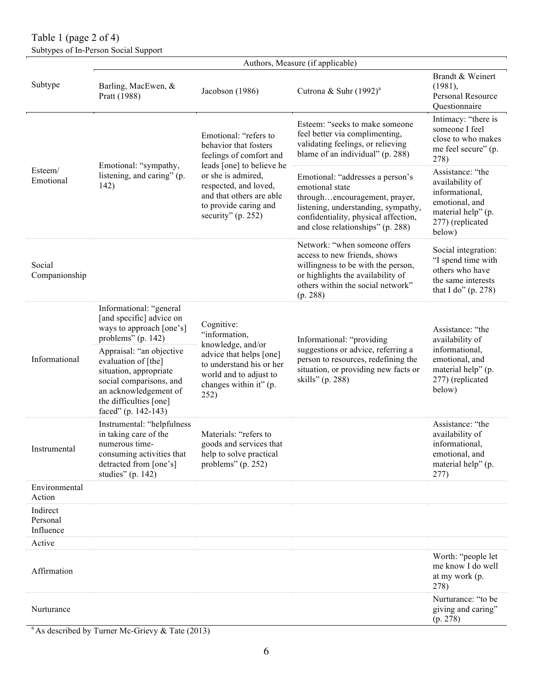Table 1 (page 2 of 4) Subtypes of In-Person Social Support

|                                   | Authors, Measure (if applicable)                                                                                                                                               |                                                                                                                        |                                                                                                                                                                                                          |                                                                                                                             |  |  |  |  |
|-----------------------------------|--------------------------------------------------------------------------------------------------------------------------------------------------------------------------------|------------------------------------------------------------------------------------------------------------------------|----------------------------------------------------------------------------------------------------------------------------------------------------------------------------------------------------------|-----------------------------------------------------------------------------------------------------------------------------|--|--|--|--|
| Subtype                           | Barling, MacEwen, &<br>Pratt (1988)                                                                                                                                            | Jacobson (1986)                                                                                                        | Cutrona & Suhr $(1992)^{a}$                                                                                                                                                                              | Brandt & Weinert<br>(1981),<br>Personal Resource<br>Questionnaire                                                           |  |  |  |  |
| Esteem/<br>Emotional              | Emotional: "sympathy,                                                                                                                                                          | Emotional: "refers to<br>behavior that fosters<br>feelings of comfort and<br>leads [one] to believe he                 | Esteem: "seeks to make someone<br>feel better via complimenting,<br>validating feelings, or relieving<br>blame of an individual" (p. 288)                                                                | Intimacy: "there is<br>someone I feel<br>close to who makes<br>me feel secure" (p.<br>278)                                  |  |  |  |  |
|                                   | listening, and caring" (p.<br>142)                                                                                                                                             | or she is admired,<br>respected, and loved,<br>and that others are able<br>to provide caring and<br>security" (p. 252) | Emotional: "addresses a person's<br>emotional state<br>throughencouragement, prayer,<br>listening, understanding, sympathy,<br>confidentiality, physical affection,<br>and close relationships" (p. 288) | Assistance: "the<br>availability of<br>informational,<br>emotional, and<br>material help" (p.<br>277) (replicated<br>below) |  |  |  |  |
| Social<br>Companionship           |                                                                                                                                                                                |                                                                                                                        | Network: "when someone offers<br>access to new friends, shows<br>willingness to be with the person,<br>or highlights the availability of<br>others within the social network"<br>(p. 288)                | Social integration:<br>"I spend time with<br>others who have<br>the same interests<br>that I do" $(p. 278)$                 |  |  |  |  |
| Informational                     | Informational: "general<br>[and specific] advice on<br>ways to approach [one's]<br>problems" (p. 142)                                                                          | Cognitive:<br>"information,<br>knowledge, and/or                                                                       | Informational: "providing                                                                                                                                                                                | Assistance: "the<br>availability of                                                                                         |  |  |  |  |
|                                   | Appraisal: "an objective<br>evaluation of [the]<br>situation, appropriate<br>social comparisons, and<br>an acknowledgement of<br>the difficulties [one]<br>faced" (p. 142-143) | advice that helps [one]<br>to understand his or her<br>world and to adjust to<br>changes within it" (p.<br>252)        | suggestions or advice, referring a<br>person to resources, redefining the<br>situation, or providing new facts or<br>skills" (p. 288)                                                                    | informational,<br>emotional, and<br>material help" (p.<br>277) (replicated<br>below)                                        |  |  |  |  |
| Instrumental                      | Instrumental: "helpfulness<br>in taking care of the<br>numerous time-<br>consuming activities that<br>detracted from [one's]<br>studies" (p. 142)                              | Materials: "refers to<br>goods and services that<br>help to solve practical<br>problems" (p. 252)                      |                                                                                                                                                                                                          | Assistance: "the<br>availability of<br>informational.<br>emotional, and<br>material help" (p.<br>277)                       |  |  |  |  |
| Environmental<br>Action           |                                                                                                                                                                                |                                                                                                                        |                                                                                                                                                                                                          |                                                                                                                             |  |  |  |  |
| Indirect<br>Personal<br>Influence |                                                                                                                                                                                |                                                                                                                        |                                                                                                                                                                                                          |                                                                                                                             |  |  |  |  |
| Active                            |                                                                                                                                                                                |                                                                                                                        |                                                                                                                                                                                                          |                                                                                                                             |  |  |  |  |
| Affirmation                       |                                                                                                                                                                                |                                                                                                                        |                                                                                                                                                                                                          | Worth: "people let<br>me know I do well<br>at my work (p.<br>278)                                                           |  |  |  |  |
| Nurturance                        |                                                                                                                                                                                |                                                                                                                        |                                                                                                                                                                                                          | Nurturance: "to be<br>giving and caring"<br>(p. 278)                                                                        |  |  |  |  |

<sup>a</sup> As described by Turner Mc-Grievy & Tate (2013)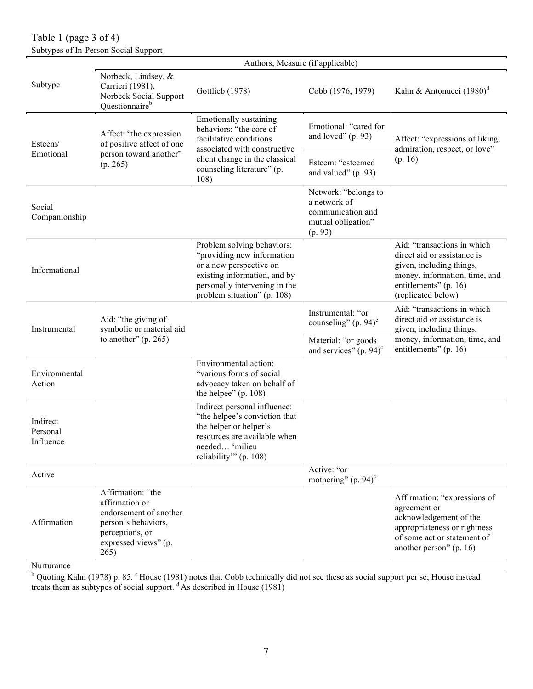Table 1 (page 3 of 4) Subtypes of In-Person Social Support

|                                   | Authors, Measure (if applicable)                                                                                                        |                                                                                                                                                                                     |                                                                                            |                                                                                                                                                                        |  |  |  |
|-----------------------------------|-----------------------------------------------------------------------------------------------------------------------------------------|-------------------------------------------------------------------------------------------------------------------------------------------------------------------------------------|--------------------------------------------------------------------------------------------|------------------------------------------------------------------------------------------------------------------------------------------------------------------------|--|--|--|
| Subtype                           | Norbeck, Lindsey, &<br>Carrieri (1981),<br>Norbeck Social Support<br>Questionnaire <sup>b</sup>                                         | Gottlieb (1978)                                                                                                                                                                     | Cobb (1976, 1979)                                                                          | Kahn & Antonucci $(1980)^d$                                                                                                                                            |  |  |  |
| Esteem/                           | Affect: "the expression<br>of positive affect of one                                                                                    | <b>Emotionally sustaining</b><br>behaviors: "the core of<br>facilitative conditions<br>associated with constructive                                                                 | Emotional: "cared for<br>and loved" $(p. 93)$                                              | Affect: "expressions of liking,<br>admiration, respect, or love"                                                                                                       |  |  |  |
| Emotional                         | person toward another"<br>(p. 265)                                                                                                      | client change in the classical<br>counseling literature" (p.<br>108)                                                                                                                | Esteem: "esteemed<br>and valued" $(p. 93)$                                                 | (p. 16)                                                                                                                                                                |  |  |  |
| Social<br>Companionship           |                                                                                                                                         |                                                                                                                                                                                     | Network: "belongs to<br>a network of<br>communication and<br>mutual obligation"<br>(p. 93) |                                                                                                                                                                        |  |  |  |
| Informational                     |                                                                                                                                         | Problem solving behaviors:<br>"providing new information<br>or a new perspective on<br>existing information, and by<br>personally intervening in the<br>problem situation" (p. 108) |                                                                                            | Aid: "transactions in which<br>direct aid or assistance is<br>given, including things,<br>money, information, time, and<br>entitlements" (p. 16)<br>(replicated below) |  |  |  |
| Instrumental                      | Aid: "the giving of<br>symbolic or material aid                                                                                         |                                                                                                                                                                                     | Instrumental: "or<br>counseling" $(p. 94)$ <sup>c</sup>                                    | Aid: "transactions in which<br>direct aid or assistance is<br>given, including things,                                                                                 |  |  |  |
|                                   | to another" $(p. 265)$                                                                                                                  |                                                                                                                                                                                     | Material: "or goods<br>and services" $(p. 94)$ <sup>c</sup>                                | money, information, time, and<br>entitlements" (p. 16)                                                                                                                 |  |  |  |
| Environmental<br>Action           |                                                                                                                                         | Environmental action:<br>"various forms of social<br>advocacy taken on behalf of<br>the helpee" $(p. 108)$                                                                          |                                                                                            |                                                                                                                                                                        |  |  |  |
| Indirect<br>Personal<br>Influence |                                                                                                                                         | Indirect personal influence:<br>"the helpee's conviction that<br>the helper or helper's<br>resources are available when<br>needed 'milieu<br>reliability" (p. 108)                  |                                                                                            |                                                                                                                                                                        |  |  |  |
| Active                            |                                                                                                                                         |                                                                                                                                                                                     | Active: "or<br>mothering" $(p. 94)$ <sup>c</sup>                                           |                                                                                                                                                                        |  |  |  |
| Affirmation                       | Affirmation: "the<br>affirmation or<br>endorsement of another<br>person's behaviors,<br>perceptions, or<br>expressed views" (p.<br>265) |                                                                                                                                                                                     |                                                                                            | Affirmation: "expressions of<br>agreement or<br>acknowledgement of the<br>appropriateness or rightness<br>of some act or statement of<br>another person" (p. 16)       |  |  |  |

Nurturance

 $b$  Quoting Kahn (1978) p. 85.  $c$  House (1981) notes that Cobb technically did not see these as social support per se; House instead treats them as subtypes of social support.  $d$  As described in House (1981)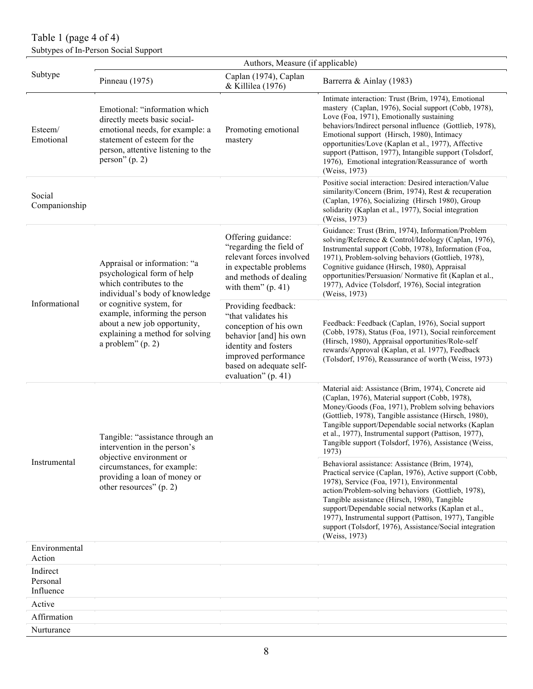# Table 1 (page 4 of 4) Subtypes of In-Person Social Support

|                                   | Authors, Measure (if applicable)                                                                                                                                                          |                                                                                                                                                                                                 |                                                                                                                                                                                                                                                                                                                                                                                                                                                           |  |  |  |  |  |
|-----------------------------------|-------------------------------------------------------------------------------------------------------------------------------------------------------------------------------------------|-------------------------------------------------------------------------------------------------------------------------------------------------------------------------------------------------|-----------------------------------------------------------------------------------------------------------------------------------------------------------------------------------------------------------------------------------------------------------------------------------------------------------------------------------------------------------------------------------------------------------------------------------------------------------|--|--|--|--|--|
| Subtype                           | Pinneau (1975)                                                                                                                                                                            | Caplan (1974), Caplan<br>& Killilea (1976)                                                                                                                                                      | Barrerra & Ainlay (1983)                                                                                                                                                                                                                                                                                                                                                                                                                                  |  |  |  |  |  |
| Esteem/<br>Emotional              | Emotional: "information which<br>directly meets basic social-<br>emotional needs, for example: a<br>statement of esteem for the<br>person, attentive listening to the<br>person" $(p. 2)$ | Promoting emotional<br>mastery                                                                                                                                                                  | Intimate interaction: Trust (Brim, 1974), Emotional<br>mastery (Caplan, 1976), Social support (Cobb, 1978),<br>Love (Foa, 1971), Emotionally sustaining<br>behaviors/Indirect personal influence (Gottlieb, 1978),<br>Emotional support (Hirsch, 1980), Intimacy<br>opportunities/Love (Kaplan et al., 1977), Affective<br>support (Pattison, 1977), Intangible support (Tolsdorf,<br>1976), Emotional integration/Reassurance of worth<br>(Weiss, 1973)  |  |  |  |  |  |
| Social<br>Companionship           |                                                                                                                                                                                           |                                                                                                                                                                                                 | Positive social interaction: Desired interaction/Value<br>similarity/Concern (Brim, 1974), Rest & recuperation<br>(Caplan, 1976), Socializing (Hirsch 1980), Group<br>solidarity (Kaplan et al., 1977), Social integration<br>(Weiss, 1973)                                                                                                                                                                                                               |  |  |  |  |  |
|                                   | Appraisal or information: "a<br>psychological form of help<br>which contributes to the<br>individual's body of knowledge                                                                  | Offering guidance:<br>"regarding the field of<br>relevant forces involved<br>in expectable problems<br>and methods of dealing<br>with them" $(p. 41)$                                           | Guidance: Trust (Brim, 1974), Information/Problem<br>solving/Reference & Control/Ideology (Caplan, 1976),<br>Instrumental support (Cobb, 1978), Information (Foa,<br>1971), Problem-solving behaviors (Gottlieb, 1978),<br>Cognitive guidance (Hirsch, 1980), Appraisal<br>opportunities/Persuasion/ Normative fit (Kaplan et al.,<br>1977), Advice (Tolsdorf, 1976), Social integration<br>(Weiss, 1973)                                                 |  |  |  |  |  |
| Informational                     | or cognitive system, for<br>example, informing the person<br>about a new job opportunity,<br>explaining a method for solving<br>a problem" $(p. 2)$                                       | Providing feedback:<br>"that validates his<br>conception of his own<br>behavior [and] his own<br>identity and fosters<br>improved performance<br>based on adequate self-<br>evaluation" (p. 41) | Feedback: Feedback (Caplan, 1976), Social support<br>(Cobb, 1978), Status (Foa, 1971), Social reinforcement<br>(Hirsch, 1980), Appraisal opportunities/Role-self<br>rewards/Approval (Kaplan, et al. 1977), Feedback<br>(Tolsdorf, 1976), Reassurance of worth (Weiss, 1973)                                                                                                                                                                              |  |  |  |  |  |
|                                   | Tangible: "assistance through an<br>intervention in the person's<br>objective environment or                                                                                              |                                                                                                                                                                                                 | Material aid: Assistance (Brim, 1974), Concrete aid<br>(Caplan, 1976), Material support (Cobb, 1978),<br>Money/Goods (Foa, 1971), Problem solving behaviors<br>(Gottlieb, 1978), Tangible assistance (Hirsch, 1980),<br>Tangible support/Dependable social networks (Kaplan<br>et al., 1977), Instrumental support (Pattison, 1977),<br>Tangible support (Tolsdorf, 1976), Assistance (Weiss,<br>1973)                                                    |  |  |  |  |  |
| Instrumental                      | circumstances, for example:<br>providing a loan of money or<br>other resources" (p. 2)                                                                                                    |                                                                                                                                                                                                 | Behavioral assistance: Assistance (Brim, 1974),<br>Practical service (Caplan, 1976), Active support (Cobb,<br>1978), Service (Foa, 1971), Environmental<br>action/Problem-solving behaviors (Gottlieb, 1978),<br>Tangible assistance (Hirsch, 1980), Tangible<br>support/Dependable social networks (Kaplan et al.,<br>1977), Instrumental support (Pattison, 1977), Tangible<br>support (Tolsdorf, 1976), Assistance/Social integration<br>(Weiss, 1973) |  |  |  |  |  |
| Environmental<br>Action           |                                                                                                                                                                                           |                                                                                                                                                                                                 |                                                                                                                                                                                                                                                                                                                                                                                                                                                           |  |  |  |  |  |
| Indirect<br>Personal<br>Influence |                                                                                                                                                                                           |                                                                                                                                                                                                 |                                                                                                                                                                                                                                                                                                                                                                                                                                                           |  |  |  |  |  |
| Active                            |                                                                                                                                                                                           |                                                                                                                                                                                                 |                                                                                                                                                                                                                                                                                                                                                                                                                                                           |  |  |  |  |  |
| Affirmation                       |                                                                                                                                                                                           |                                                                                                                                                                                                 |                                                                                                                                                                                                                                                                                                                                                                                                                                                           |  |  |  |  |  |
| Nurturance                        |                                                                                                                                                                                           |                                                                                                                                                                                                 |                                                                                                                                                                                                                                                                                                                                                                                                                                                           |  |  |  |  |  |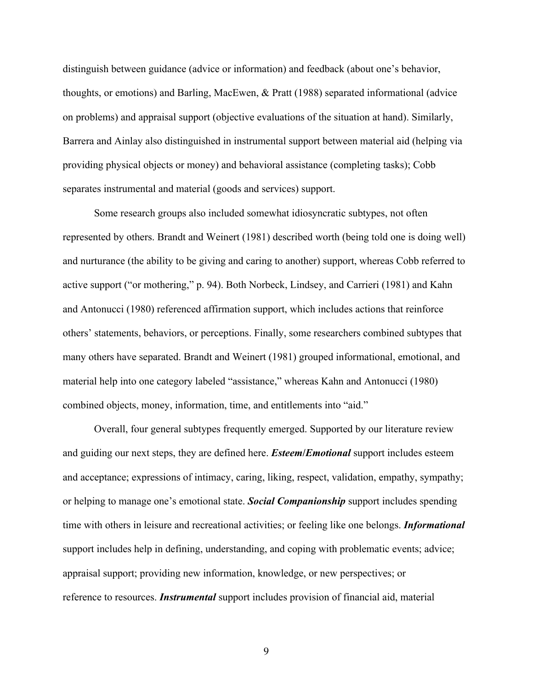distinguish between guidance (advice or information) and feedback (about one's behavior, thoughts, or emotions) and Barling, MacEwen, & Pratt (1988) separated informational (advice on problems) and appraisal support (objective evaluations of the situation at hand). Similarly, Barrera and Ainlay also distinguished in instrumental support between material aid (helping via providing physical objects or money) and behavioral assistance (completing tasks); Cobb separates instrumental and material (goods and services) support.

Some research groups also included somewhat idiosyncratic subtypes, not often represented by others. Brandt and Weinert (1981) described worth (being told one is doing well) and nurturance (the ability to be giving and caring to another) support, whereas Cobb referred to active support ("or mothering," p. 94). Both Norbeck, Lindsey, and Carrieri (1981) and Kahn and Antonucci (1980) referenced affirmation support, which includes actions that reinforce others' statements, behaviors, or perceptions. Finally, some researchers combined subtypes that many others have separated. Brandt and Weinert (1981) grouped informational, emotional, and material help into one category labeled "assistance," whereas Kahn and Antonucci (1980) combined objects, money, information, time, and entitlements into "aid."

Overall, four general subtypes frequently emerged. Supported by our literature review and guiding our next steps, they are defined here. *Esteem***/***Emotional* support includes esteem and acceptance; expressions of intimacy, caring, liking, respect, validation, empathy, sympathy; or helping to manage one's emotional state. *Social Companionship* support includes spending time with others in leisure and recreational activities; or feeling like one belongs. *Informational* support includes help in defining, understanding, and coping with problematic events; advice; appraisal support; providing new information, knowledge, or new perspectives; or reference to resources. *Instrumental* support includes provision of financial aid, material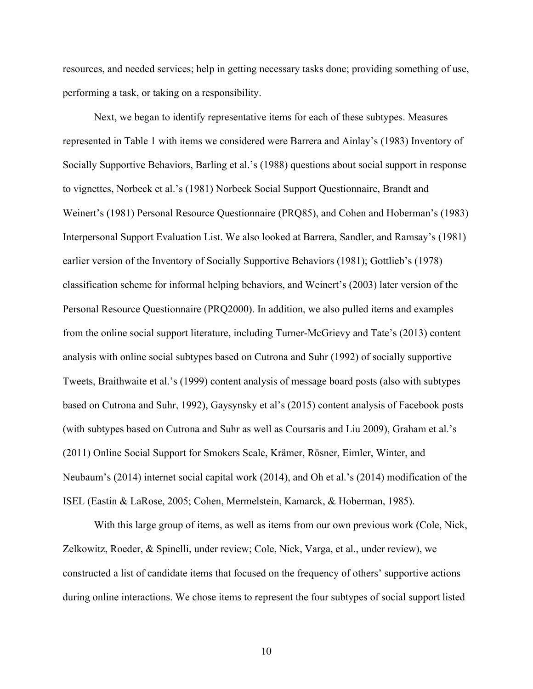resources, and needed services; help in getting necessary tasks done; providing something of use, performing a task, or taking on a responsibility.

Next, we began to identify representative items for each of these subtypes. Measures represented in Table 1 with items we considered were Barrera and Ainlay's (1983) Inventory of Socially Supportive Behaviors, Barling et al.'s (1988) questions about social support in response to vignettes, Norbeck et al.'s (1981) Norbeck Social Support Questionnaire, Brandt and Weinert's (1981) Personal Resource Questionnaire (PRQ85), and Cohen and Hoberman's (1983) Interpersonal Support Evaluation List. We also looked at Barrera, Sandler, and Ramsay's (1981) earlier version of the Inventory of Socially Supportive Behaviors (1981); Gottlieb's (1978) classification scheme for informal helping behaviors, and Weinert's (2003) later version of the Personal Resource Questionnaire (PRQ2000). In addition, we also pulled items and examples from the online social support literature, including Turner-McGrievy and Tate's (2013) content analysis with online social subtypes based on Cutrona and Suhr (1992) of socially supportive Tweets, Braithwaite et al.'s (1999) content analysis of message board posts (also with subtypes based on Cutrona and Suhr, 1992), Gaysynsky et al's (2015) content analysis of Facebook posts (with subtypes based on Cutrona and Suhr as well as Coursaris and Liu 2009), Graham et al.'s (2011) Online Social Support for Smokers Scale, Krämer, Rösner, Eimler, Winter, and Neubaum's (2014) internet social capital work (2014), and Oh et al.'s (2014) modification of the ISEL (Eastin & LaRose, 2005; Cohen, Mermelstein, Kamarck, & Hoberman, 1985).

With this large group of items, as well as items from our own previous work (Cole, Nick, Zelkowitz, Roeder, & Spinelli, under review; Cole, Nick, Varga, et al., under review), we constructed a list of candidate items that focused on the frequency of others' supportive actions during online interactions. We chose items to represent the four subtypes of social support listed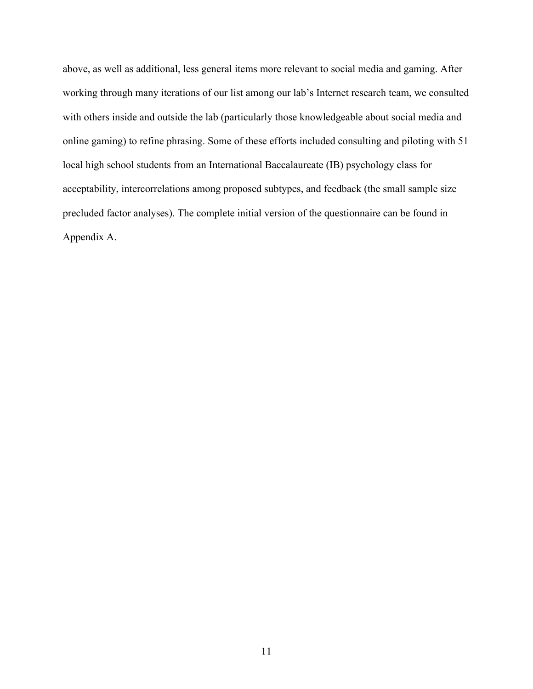above, as well as additional, less general items more relevant to social media and gaming. After working through many iterations of our list among our lab's Internet research team, we consulted with others inside and outside the lab (particularly those knowledgeable about social media and online gaming) to refine phrasing. Some of these efforts included consulting and piloting with 51 local high school students from an International Baccalaureate (IB) psychology class for acceptability, intercorrelations among proposed subtypes, and feedback (the small sample size precluded factor analyses). The complete initial version of the questionnaire can be found in Appendix A.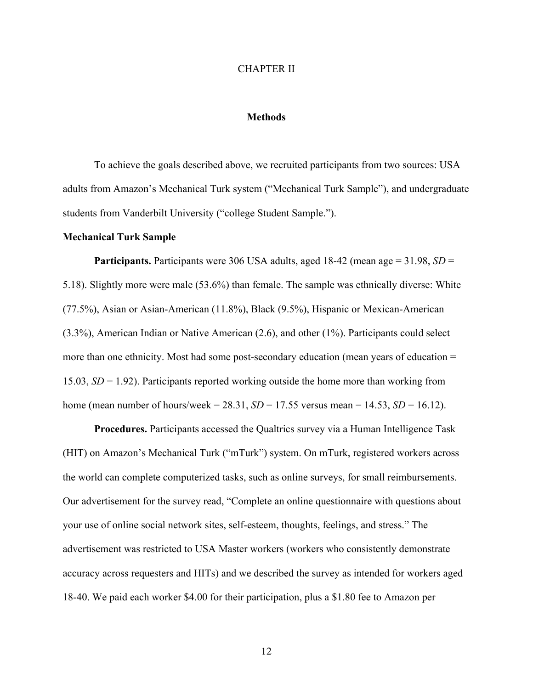#### CHAPTER II

#### **Methods**

To achieve the goals described above, we recruited participants from two sources: USA adults from Amazon's Mechanical Turk system ("Mechanical Turk Sample"), and undergraduate students from Vanderbilt University ("college Student Sample.").

#### **Mechanical Turk Sample**

**Participants.** Participants were 306 USA adults, aged 18-42 (mean age = 31.98, *SD* = 5.18). Slightly more were male (53.6%) than female. The sample was ethnically diverse: White (77.5%), Asian or Asian-American (11.8%), Black (9.5%), Hispanic or Mexican-American (3.3%), American Indian or Native American (2.6), and other (1%). Participants could select more than one ethnicity. Most had some post-secondary education (mean years of education = 15.03, *SD* = 1.92). Participants reported working outside the home more than working from home (mean number of hours/week =  $28.31$ ,  $SD = 17.55$  versus mean =  $14.53$ ,  $SD = 16.12$ ).

**Procedures.** Participants accessed the Qualtrics survey via a Human Intelligence Task (HIT) on Amazon's Mechanical Turk ("mTurk") system. On mTurk, registered workers across the world can complete computerized tasks, such as online surveys, for small reimbursements. Our advertisement for the survey read, "Complete an online questionnaire with questions about your use of online social network sites, self-esteem, thoughts, feelings, and stress." The advertisement was restricted to USA Master workers (workers who consistently demonstrate accuracy across requesters and HITs) and we described the survey as intended for workers aged 18-40. We paid each worker \$4.00 for their participation, plus a \$1.80 fee to Amazon per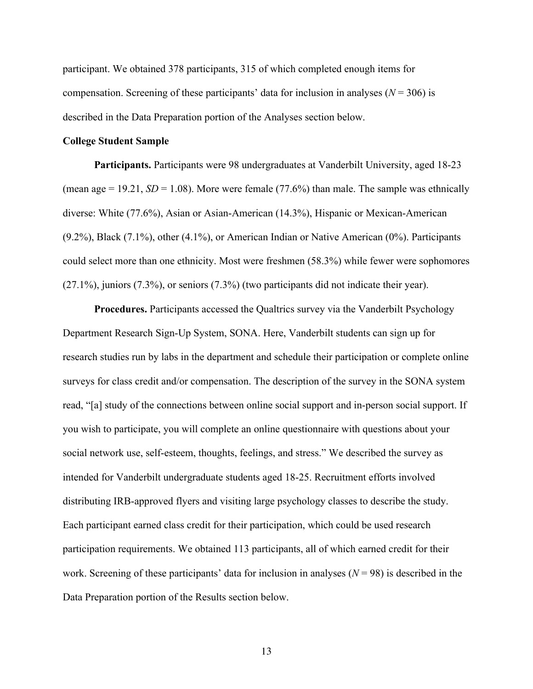participant. We obtained 378 participants, 315 of which completed enough items for compensation. Screening of these participants' data for inclusion in analyses  $(N = 306)$  is described in the Data Preparation portion of the Analyses section below.

#### **College Student Sample**

**Participants.** Participants were 98 undergraduates at Vanderbilt University, aged 18-23 (mean age  $= 19.21$ ,  $SD = 1.08$ ). More were female (77.6%) than male. The sample was ethnically diverse: White (77.6%), Asian or Asian-American (14.3%), Hispanic or Mexican-American (9.2%), Black (7.1%), other (4.1%), or American Indian or Native American (0%). Participants could select more than one ethnicity. Most were freshmen (58.3%) while fewer were sophomores (27.1%), juniors (7.3%), or seniors (7.3%) (two participants did not indicate their year).

**Procedures.** Participants accessed the Qualtrics survey via the Vanderbilt Psychology Department Research Sign-Up System, SONA. Here, Vanderbilt students can sign up for research studies run by labs in the department and schedule their participation or complete online surveys for class credit and/or compensation. The description of the survey in the SONA system read, "[a] study of the connections between online social support and in-person social support. If you wish to participate, you will complete an online questionnaire with questions about your social network use, self-esteem, thoughts, feelings, and stress." We described the survey as intended for Vanderbilt undergraduate students aged 18-25. Recruitment efforts involved distributing IRB-approved flyers and visiting large psychology classes to describe the study. Each participant earned class credit for their participation, which could be used research participation requirements. We obtained 113 participants, all of which earned credit for their work. Screening of these participants' data for inclusion in analyses  $(N = 98)$  is described in the Data Preparation portion of the Results section below.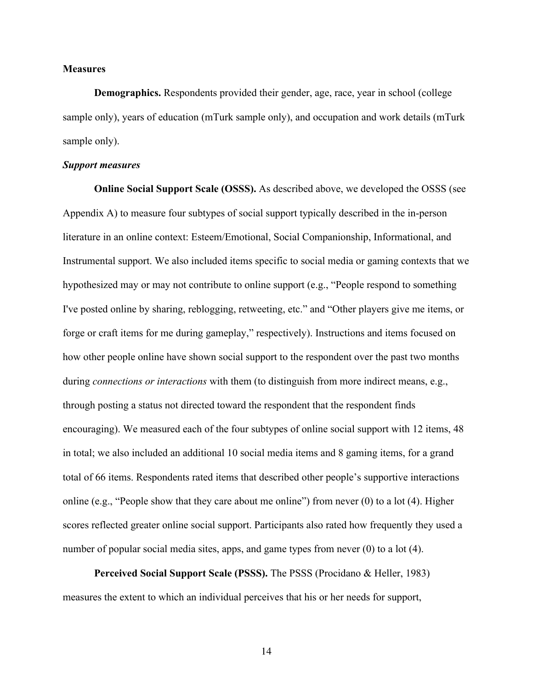#### **Measures**

**Demographics.** Respondents provided their gender, age, race, year in school (college sample only), years of education (mTurk sample only), and occupation and work details (mTurk sample only).

#### *Support measures*

**Online Social Support Scale (OSSS).** As described above, we developed the OSSS (see Appendix A) to measure four subtypes of social support typically described in the in-person literature in an online context: Esteem/Emotional, Social Companionship, Informational, and Instrumental support. We also included items specific to social media or gaming contexts that we hypothesized may or may not contribute to online support (e.g., "People respond to something I've posted online by sharing, reblogging, retweeting, etc." and "Other players give me items, or forge or craft items for me during gameplay," respectively). Instructions and items focused on how other people online have shown social support to the respondent over the past two months during *connections or interactions* with them (to distinguish from more indirect means, e.g., through posting a status not directed toward the respondent that the respondent finds encouraging). We measured each of the four subtypes of online social support with 12 items, 48 in total; we also included an additional 10 social media items and 8 gaming items, for a grand total of 66 items. Respondents rated items that described other people's supportive interactions online (e.g., "People show that they care about me online") from never (0) to a lot (4). Higher scores reflected greater online social support. Participants also rated how frequently they used a number of popular social media sites, apps, and game types from never (0) to a lot (4).

**Perceived Social Support Scale (PSSS).** The PSSS (Procidano & Heller, 1983) measures the extent to which an individual perceives that his or her needs for support,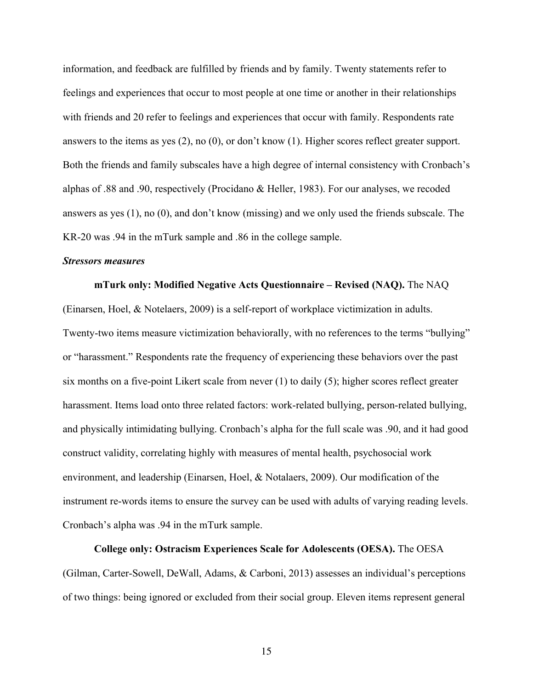information, and feedback are fulfilled by friends and by family. Twenty statements refer to feelings and experiences that occur to most people at one time or another in their relationships with friends and 20 refer to feelings and experiences that occur with family. Respondents rate answers to the items as yes (2), no (0), or don't know (1). Higher scores reflect greater support. Both the friends and family subscales have a high degree of internal consistency with Cronbach's alphas of .88 and .90, respectively (Procidano & Heller, 1983). For our analyses, we recoded answers as yes (1), no (0), and don't know (missing) and we only used the friends subscale. The KR-20 was .94 in the mTurk sample and .86 in the college sample.

#### *Stressors measures*

**mTurk only: Modified Negative Acts Questionnaire – Revised (NAQ).** The NAQ (Einarsen, Hoel, & Notelaers, 2009) is a self-report of workplace victimization in adults. Twenty-two items measure victimization behaviorally, with no references to the terms "bullying" or "harassment." Respondents rate the frequency of experiencing these behaviors over the past six months on a five-point Likert scale from never (1) to daily (5); higher scores reflect greater harassment. Items load onto three related factors: work-related bullying, person-related bullying, and physically intimidating bullying. Cronbach's alpha for the full scale was .90, and it had good construct validity, correlating highly with measures of mental health, psychosocial work environment, and leadership (Einarsen, Hoel, & Notalaers, 2009). Our modification of the instrument re-words items to ensure the survey can be used with adults of varying reading levels. Cronbach's alpha was .94 in the mTurk sample.

**College only: Ostracism Experiences Scale for Adolescents (OESA).** The OESA (Gilman, Carter-Sowell, DeWall, Adams, & Carboni, 2013) assesses an individual's perceptions of two things: being ignored or excluded from their social group. Eleven items represent general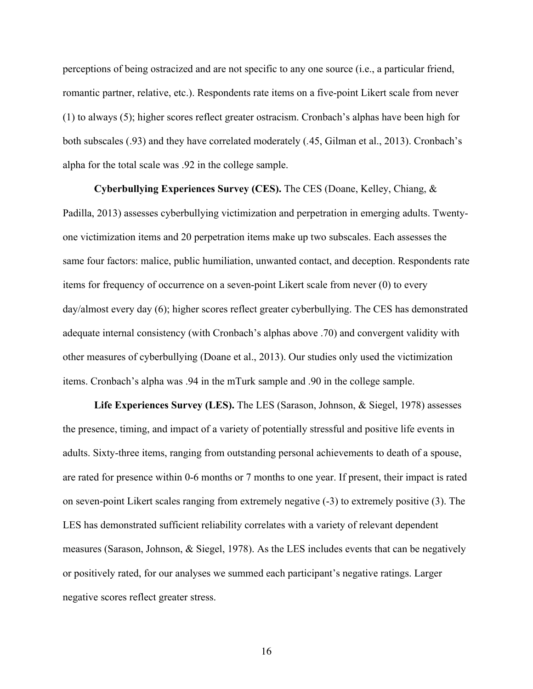perceptions of being ostracized and are not specific to any one source (i.e., a particular friend, romantic partner, relative, etc.). Respondents rate items on a five-point Likert scale from never (1) to always (5); higher scores reflect greater ostracism. Cronbach's alphas have been high for both subscales (.93) and they have correlated moderately (*.*45, Gilman et al., 2013). Cronbach's alpha for the total scale was .92 in the college sample.

**Cyberbullying Experiences Survey (CES).** The CES (Doane, Kelley, Chiang, & Padilla, 2013) assesses cyberbullying victimization and perpetration in emerging adults. Twentyone victimization items and 20 perpetration items make up two subscales. Each assesses the same four factors: malice, public humiliation, unwanted contact, and deception. Respondents rate items for frequency of occurrence on a seven-point Likert scale from never (0) to every day/almost every day (6); higher scores reflect greater cyberbullying. The CES has demonstrated adequate internal consistency (with Cronbach's alphas above .70) and convergent validity with other measures of cyberbullying (Doane et al., 2013). Our studies only used the victimization items. Cronbach's alpha was .94 in the mTurk sample and .90 in the college sample.

**Life Experiences Survey (LES).** The LES (Sarason, Johnson, & Siegel, 1978) assesses the presence, timing, and impact of a variety of potentially stressful and positive life events in adults. Sixty-three items, ranging from outstanding personal achievements to death of a spouse, are rated for presence within 0-6 months or 7 months to one year. If present, their impact is rated on seven-point Likert scales ranging from extremely negative (-3) to extremely positive (3). The LES has demonstrated sufficient reliability correlates with a variety of relevant dependent measures (Sarason, Johnson, & Siegel, 1978). As the LES includes events that can be negatively or positively rated, for our analyses we summed each participant's negative ratings. Larger negative scores reflect greater stress.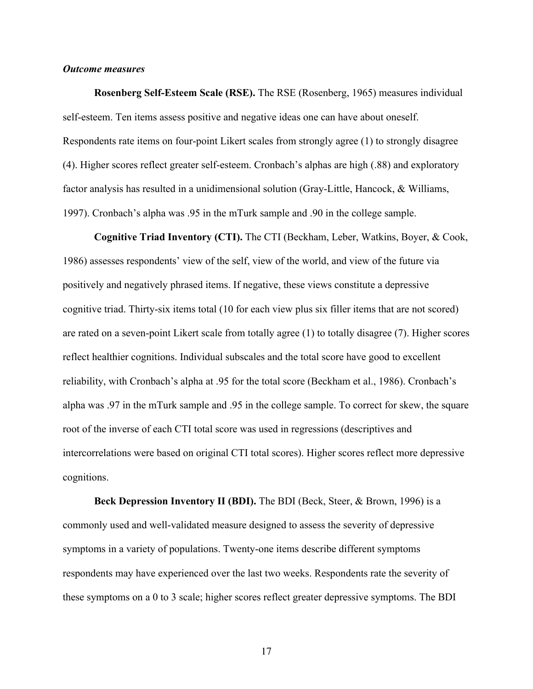## *Outcome measures*

**Rosenberg Self-Esteem Scale (RSE).** The RSE (Rosenberg, 1965) measures individual self-esteem. Ten items assess positive and negative ideas one can have about oneself. Respondents rate items on four-point Likert scales from strongly agree (1) to strongly disagree (4). Higher scores reflect greater self-esteem. Cronbach's alphas are high (.88) and exploratory factor analysis has resulted in a unidimensional solution (Gray-Little, Hancock, & Williams, 1997). Cronbach's alpha was .95 in the mTurk sample and .90 in the college sample.

**Cognitive Triad Inventory (CTI).** The CTI (Beckham, Leber, Watkins, Boyer, & Cook, 1986) assesses respondents' view of the self, view of the world, and view of the future via positively and negatively phrased items. If negative, these views constitute a depressive cognitive triad. Thirty-six items total (10 for each view plus six filler items that are not scored) are rated on a seven-point Likert scale from totally agree (1) to totally disagree (7). Higher scores reflect healthier cognitions. Individual subscales and the total score have good to excellent reliability, with Cronbach's alpha at .95 for the total score (Beckham et al., 1986). Cronbach's alpha was .97 in the mTurk sample and .95 in the college sample. To correct for skew, the square root of the inverse of each CTI total score was used in regressions (descriptives and intercorrelations were based on original CTI total scores). Higher scores reflect more depressive cognitions.

**Beck Depression Inventory II (BDI).** The BDI (Beck, Steer, & Brown, 1996) is a commonly used and well-validated measure designed to assess the severity of depressive symptoms in a variety of populations. Twenty-one items describe different symptoms respondents may have experienced over the last two weeks. Respondents rate the severity of these symptoms on a 0 to 3 scale; higher scores reflect greater depressive symptoms. The BDI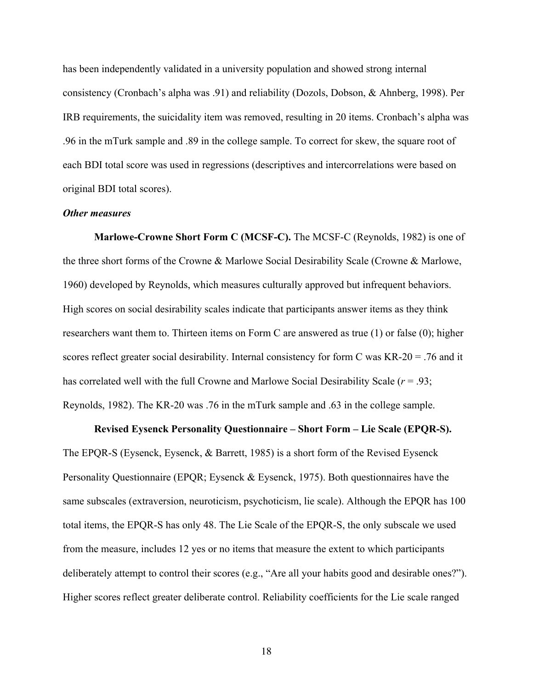has been independently validated in a university population and showed strong internal consistency (Cronbach's alpha was .91) and reliability (Dozols, Dobson, & Ahnberg, 1998). Per IRB requirements, the suicidality item was removed, resulting in 20 items. Cronbach's alpha was .96 in the mTurk sample and .89 in the college sample. To correct for skew, the square root of each BDI total score was used in regressions (descriptives and intercorrelations were based on original BDI total scores).

## *Other measures*

**Marlowe-Crowne Short Form C (MCSF-C).** The MCSF-C (Reynolds, 1982) is one of the three short forms of the Crowne & Marlowe Social Desirability Scale (Crowne & Marlowe, 1960) developed by Reynolds, which measures culturally approved but infrequent behaviors. High scores on social desirability scales indicate that participants answer items as they think researchers want them to. Thirteen items on Form C are answered as true (1) or false (0); higher scores reflect greater social desirability. Internal consistency for form C was KR-20 = .76 and it has correlated well with the full Crowne and Marlowe Social Desirability Scale (*r* = .93; Reynolds, 1982). The KR-20 was .76 in the mTurk sample and .63 in the college sample.

#### **Revised Eysenck Personality Questionnaire – Short Form – Lie Scale (EPQR-S).**

The EPQR-S (Eysenck, Eysenck, & Barrett, 1985) is a short form of the Revised Eysenck Personality Questionnaire (EPQR; Eysenck & Eysenck, 1975). Both questionnaires have the same subscales (extraversion, neuroticism, psychoticism, lie scale). Although the EPQR has 100 total items, the EPQR-S has only 48. The Lie Scale of the EPQR-S, the only subscale we used from the measure, includes 12 yes or no items that measure the extent to which participants deliberately attempt to control their scores (e.g., "Are all your habits good and desirable ones?"). Higher scores reflect greater deliberate control. Reliability coefficients for the Lie scale ranged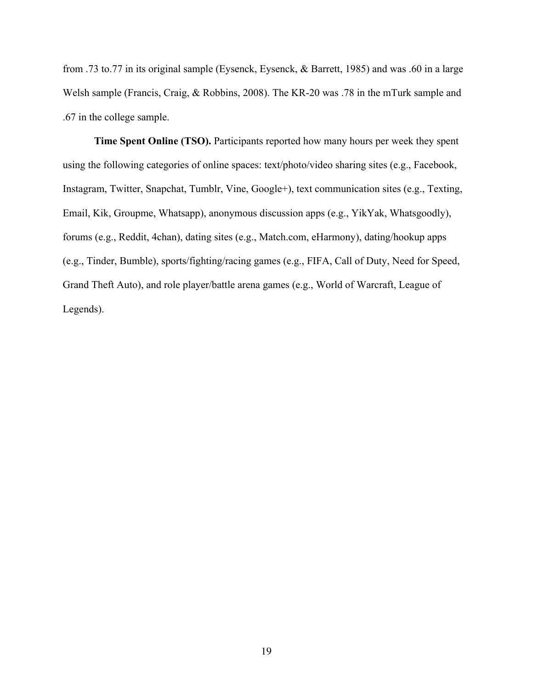from .73 to.77 in its original sample (Eysenck, Eysenck, & Barrett, 1985) and was .60 in a large Welsh sample (Francis, Craig, & Robbins, 2008). The KR-20 was .78 in the mTurk sample and .67 in the college sample.

**Time Spent Online (TSO).** Participants reported how many hours per week they spent using the following categories of online spaces: text/photo/video sharing sites (e.g., Facebook, Instagram, Twitter, Snapchat, Tumblr, Vine, Google+), text communication sites (e.g., Texting, Email, Kik, Groupme, Whatsapp), anonymous discussion apps (e.g., YikYak, Whatsgoodly), forums (e.g., Reddit, 4chan), dating sites (e.g., Match.com, eHarmony), dating/hookup apps (e.g., Tinder, Bumble), sports/fighting/racing games (e.g., FIFA, Call of Duty, Need for Speed, Grand Theft Auto), and role player/battle arena games (e.g., World of Warcraft, League of Legends).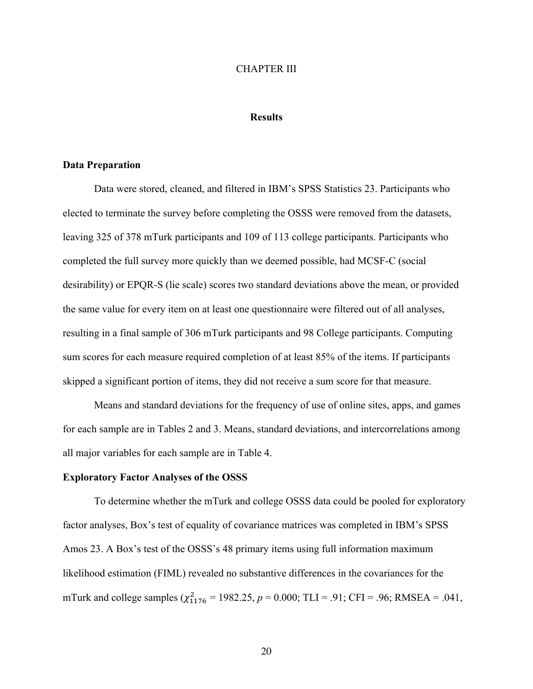#### CHAPTER III

#### **Results**

#### **Data Preparation**

Data were stored, cleaned, and filtered in IBM's SPSS Statistics 23. Participants who elected to terminate the survey before completing the OSSS were removed from the datasets, leaving 325 of 378 mTurk participants and 109 of 113 college participants. Participants who completed the full survey more quickly than we deemed possible, had MCSF-C (social desirability) or EPQR-S (lie scale) scores two standard deviations above the mean, or provided the same value for every item on at least one questionnaire were filtered out of all analyses, resulting in a final sample of 306 mTurk participants and 98 College participants. Computing sum scores for each measure required completion of at least 85% of the items. If participants skipped a significant portion of items, they did not receive a sum score for that measure.

Means and standard deviations for the frequency of use of online sites, apps, and games for each sample are in Tables 2 and 3. Means, standard deviations, and intercorrelations among all major variables for each sample are in Table 4.

#### **Exploratory Factor Analyses of the OSSS**

To determine whether the mTurk and college OSSS data could be pooled for exploratory factor analyses, Box's test of equality of covariance matrices was completed in IBM's SPSS Amos 23. A Box's test of the OSSS's 48 primary items using full information maximum likelihood estimation (FIML) revealed no substantive differences in the covariances for the mTurk and college samples  $(\chi^2_{1176} = 1982.25, p = 0.000; TLI = .91; CFI = .96; RMSEA = .041,$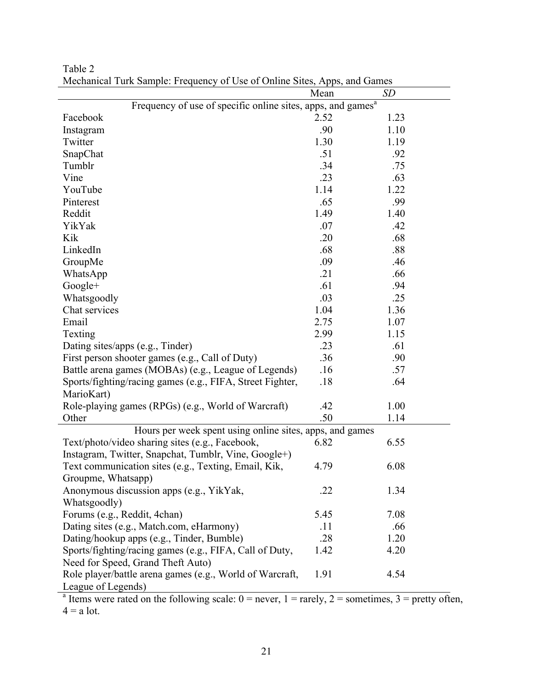|                                                                                                                | Mean | <b>SD</b> |
|----------------------------------------------------------------------------------------------------------------|------|-----------|
| Frequency of use of specific online sites, apps, and games <sup>a</sup>                                        |      |           |
| Facebook                                                                                                       | 2.52 | 1.23      |
| Instagram                                                                                                      | .90  | 1.10      |
| Twitter                                                                                                        | 1.30 | 1.19      |
| SnapChat                                                                                                       | .51  | .92       |
| Tumblr                                                                                                         | .34  | .75       |
| Vine                                                                                                           | .23  | .63       |
| YouTube                                                                                                        | 1.14 | 1.22      |
| Pinterest                                                                                                      | .65  | .99       |
| Reddit                                                                                                         | 1.49 | 1.40      |
| YikYak                                                                                                         | .07  | .42       |
| Kik                                                                                                            | .20  | .68       |
| LinkedIn                                                                                                       | .68  | .88       |
| GroupMe                                                                                                        | .09  | .46       |
| WhatsApp                                                                                                       | .21  | .66       |
| Google+                                                                                                        | .61  | .94       |
| Whatsgoodly                                                                                                    | .03  | .25       |
| Chat services                                                                                                  | 1.04 | 1.36      |
| Email                                                                                                          | 2.75 | 1.07      |
| Texting                                                                                                        | 2.99 | 1.15      |
| Dating sites/apps (e.g., Tinder)                                                                               | .23  | .61       |
| First person shooter games (e.g., Call of Duty)                                                                | .36  | .90       |
| Battle arena games (MOBAs) (e.g., League of Legends)                                                           | .16  | .57       |
| Sports/fighting/racing games (e.g., FIFA, Street Fighter,                                                      | .18  | .64       |
| MarioKart)                                                                                                     |      |           |
| Role-playing games (RPGs) (e.g., World of Warcraft)                                                            | .42  | 1.00      |
| Other                                                                                                          | .50  | 1.14      |
| Hours per week spent using online sites, apps, and games                                                       |      |           |
| Text/photo/video sharing sites (e.g., Facebook,                                                                | 6.82 | 6.55      |
| Instagram, Twitter, Snapchat, Tumblr, Vine, Google+)                                                           |      |           |
| Text communication sites (e.g., Texting, Email, Kik,                                                           | 4.79 | 6.08      |
| Groupme, Whatsapp)                                                                                             |      |           |
| Anonymous discussion apps (e.g., YikYak,                                                                       | .22  | 1.34      |
| Whatsgoodly)                                                                                                   |      |           |
| Forums (e.g., Reddit, 4chan)                                                                                   | 5.45 | 7.08      |
| Dating sites (e.g., Match.com, eHarmony)                                                                       | .11  | .66       |
| Dating/hookup apps (e.g., Tinder, Bumble)                                                                      | .28  | 1.20      |
| Sports/fighting/racing games (e.g., FIFA, Call of Duty,                                                        | 1.42 | 4.20      |
| Need for Speed, Grand Theft Auto)                                                                              |      |           |
| Role player/battle arena games (e.g., World of Warcraft,                                                       | 1.91 | 4.54      |
| League of Legends)                                                                                             |      |           |
| <sup>a</sup> Items were rated on the following scale: $0 =$ never $1 =$ rarely $2 =$ sometimes $3 =$ pretty of |      |           |

Table 2 Mechanical Turk Sample: Frequency of Use of Online Sites, Apps, and Games

<sup>a</sup> Items were rated on the following scale:  $0 =$  never,  $1 =$  rarely,  $2 =$  sometimes,  $3 =$  pretty often,  $4 = a$  lot.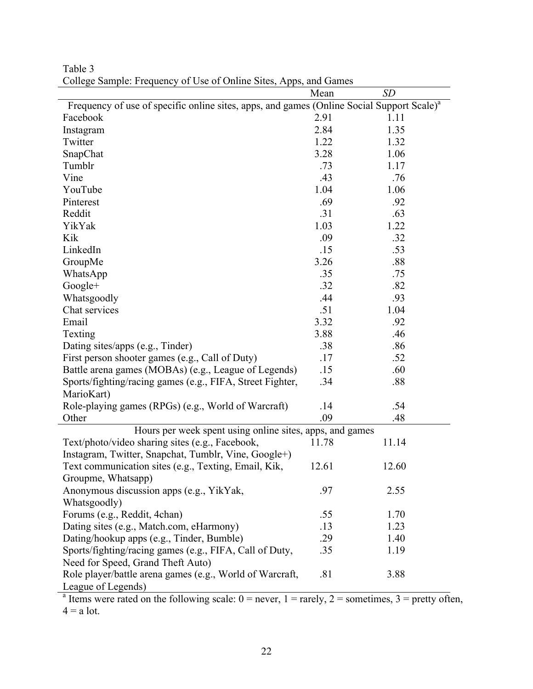|                                                                                                       | Mean  | <b>SD</b> |
|-------------------------------------------------------------------------------------------------------|-------|-----------|
| Frequency of use of specific online sites, apps, and games (Online Social Support Scale) <sup>a</sup> |       |           |
| Facebook                                                                                              | 2.91  | 1.11      |
| Instagram                                                                                             | 2.84  | 1.35      |
| Twitter                                                                                               | 1.22  | 1.32      |
| SnapChat                                                                                              | 3.28  | 1.06      |
| Tumblr                                                                                                | .73   | 1.17      |
| Vine                                                                                                  | .43   | .76       |
| YouTube                                                                                               | 1.04  | 1.06      |
| Pinterest                                                                                             | .69   | .92       |
| Reddit                                                                                                | .31   | .63       |
| YikYak                                                                                                | 1.03  | 1.22      |
| Kik                                                                                                   | .09   | .32       |
| LinkedIn                                                                                              | .15   | .53       |
| GroupMe                                                                                               | 3.26  | .88       |
| WhatsApp                                                                                              | .35   | .75       |
| Google+                                                                                               | .32   | .82       |
| Whatsgoodly                                                                                           | .44   | .93       |
| Chat services                                                                                         | .51   | 1.04      |
| Email                                                                                                 | 3.32  | .92       |
| Texting                                                                                               | 3.88  | .46       |
| Dating sites/apps (e.g., Tinder)                                                                      | .38   | .86       |
| First person shooter games (e.g., Call of Duty)                                                       | .17   | .52       |
| Battle arena games (MOBAs) (e.g., League of Legends)                                                  | .15   | .60       |
| Sports/fighting/racing games (e.g., FIFA, Street Fighter,                                             | .34   | .88       |
| MarioKart)                                                                                            |       |           |
| Role-playing games (RPGs) (e.g., World of Warcraft)                                                   | .14   | .54       |
| Other                                                                                                 | .09   | .48       |
| Hours per week spent using online sites, apps, and games                                              |       |           |
| Text/photo/video sharing sites (e.g., Facebook,                                                       | 11.78 | 11.14     |
| Instagram, Twitter, Snapchat, Tumblr, Vine, Google+)                                                  |       |           |
| Text communication sites (e.g., Texting, Email, Kik,                                                  | 12.61 | 12.60     |
| Groupme, Whatsapp)                                                                                    |       |           |
| Anonymous discussion apps (e.g., YikYak,                                                              | .97   | 2.55      |
| Whatsgoodly)                                                                                          |       |           |
| Forums (e.g., Reddit, 4chan)                                                                          | .55   | 1.70      |
| Dating sites (e.g., Match.com, eHarmony)                                                              | .13   | 1.23      |
| Dating/hookup apps (e.g., Tinder, Bumble)                                                             | .29   | 1.40      |
| Sports/fighting/racing games (e.g., FIFA, Call of Duty,                                               | .35   | 1.19      |
| Need for Speed, Grand Theft Auto)                                                                     |       |           |
| Role player/battle arena games (e.g., World of Warcraft,                                              | .81   | 3.88      |
| League of Legends)                                                                                    |       |           |
| $\epsilon$ the following                                                                              |       |           |

Table 3 College Sample: Frequency of Use of Online Sites, Apps, and Games

Items were rated on the following scale:  $0 =$  never,  $1 =$  rarely,  $2 =$  sometimes,  $3 =$  pretty often,  $4 = a$  lot.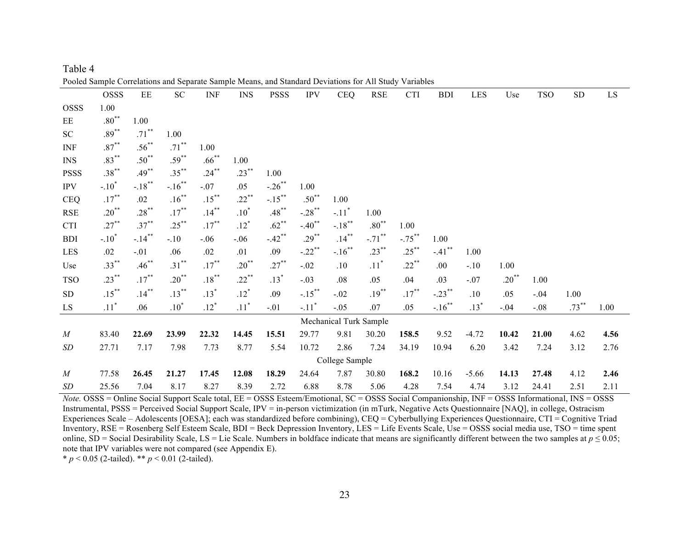|                             | OSSS               | ЕE                   | SC                   | <b>INF</b> | <b>INS</b>         | <b>PSSS</b>          | <b>IPV</b>           | <b>CEQ</b>             | <b>RSE</b>         | <b>CTI</b> | <b>BDI</b>           | <b>LES</b> | Use        | <b>TSO</b> | ${\rm SD}$ | ${\rm LS}$ |
|-----------------------------|--------------------|----------------------|----------------------|------------|--------------------|----------------------|----------------------|------------------------|--------------------|------------|----------------------|------------|------------|------------|------------|------------|
| <b>OSSS</b>                 | 1.00               |                      |                      |            |                    |                      |                      |                        |                    |            |                      |            |            |            |            |            |
| EE                          | $.80***$           | 1.00                 |                      |            |                    |                      |                      |                        |                    |            |                      |            |            |            |            |            |
| SC                          | $.89***$           | $.71***$             | 1.00                 |            |                    |                      |                      |                        |                    |            |                      |            |            |            |            |            |
| <b>INF</b>                  | $.87***$           | $.56^{**}$           | $.71***$             | 1.00       |                    |                      |                      |                        |                    |            |                      |            |            |            |            |            |
| <b>INS</b>                  | $.83***$           | $.50^{**}$           | $.59***$             | $.66***$   | 1.00               |                      |                      |                        |                    |            |                      |            |            |            |            |            |
| <b>PSSS</b>                 | $.38***$           | $.49***$             | $.35***$             | $.24***$   | $.23***$           | 1.00                 |                      |                        |                    |            |                      |            |            |            |            |            |
| <b>IPV</b>                  | $-.10^*$           | $-.18***$            | $-.16$ <sup>**</sup> | $-.07$     | .05                | $-.26$ <sup>**</sup> | 1.00                 |                        |                    |            |                      |            |            |            |            |            |
| <b>CEQ</b>                  | $.17***$           | .02                  | $.16***$             | $.15***$   | $.22***$           | $-.15***$            | $.50^{**}$           | 1.00                   |                    |            |                      |            |            |            |            |            |
| $\ensuremath{\mathsf{RSE}}$ | $.20^{**}$         | $.28***$             | $.17***$             | $.14***$   | $.10*$             | $.48***$             | $-.28$ <sup>**</sup> | $-.11$ <sup>*</sup>    | 1.00               |            |                      |            |            |            |            |            |
| <b>CTI</b>                  | $.27***$           | $.37***$             | $.25***$             | $.17***$   | $.12*$             | $.62***$             | $-.40$ <sup>**</sup> | $-.18***$              | $.80***$           | 1.00       |                      |            |            |            |            |            |
| <b>BDI</b>                  | $-.10^*$           | $-.14$ <sup>**</sup> | $-.10$               | $-.06$     | $-.06$             | $-.42$ <sup>**</sup> | $.29***$             | $.14***$               | $-.71$ **          | $-.75***$  | 1.00                 |            |            |            |            |            |
| LES                         | .02                | $-.01$               | .06                  | .02        | .01                | .09                  | $-.22$ **            | $-.16$ <sup>**</sup>   | $.23***$           | $.25***$   | $-.41$ <sup>**</sup> | 1.00       |            |            |            |            |
| Use                         | $.33***$           | $.46***$             | $.31***$             | $.17***$   | $.20^{**}$         | $.27***$             | $-.02$               | .10                    | $.11$ <sup>*</sup> | $.22***$   | .00.                 | $-.10$     | 1.00       |            |            |            |
| <b>TSO</b>                  | $.23***$           | $.17***$             | $.20^{**}$           | $.18***$   | $.22***$           | $.13*$               | $-.03$               | .08                    | .05                | .04        | .03                  | $-.07$     | $.20^{**}$ | 1.00       |            |            |
| ${\rm SD}$                  | $.15***$           | $.14***$             | $.13***$             | $.13*$     | $.12*$             | .09                  | $-.15***$            | $-.02$                 | $.19***$           | $.17***$   | $-.23***$            | .10        | .05        | $-.04$     | 1.00       |            |
| LS                          | $.11$ <sup>*</sup> | .06                  | $.10^*$              | $.12*$     | $.11$ <sup>*</sup> | $-.01$               | $-.11$ <sup>*</sup>  | $-.05$                 | .07                | .05        | $-.16$ <sup>**</sup> | $.13*$     | $-.04$     | $-.08$     | $.73***$   | 1.00       |
|                             |                    |                      |                      |            |                    |                      |                      | Mechanical Turk Sample |                    |            |                      |            |            |            |            |            |
| M                           | 83.40              | 22.69                | 23.99                | 22.32      | 14.45              | 15.51                | 29.77                | 9.81                   | 30.20              | 158.5      | 9.52                 | $-4.72$    | 10.42      | 21.00      | 4.62       | 4.56       |
| SD                          | 27.71              | 7.17                 | 7.98                 | 7.73       | 8.77               | 5.54                 | 10.72                | 2.86                   | 7.24               | 34.19      | 10.94                | 6.20       | 3.42       | 7.24       | 3.12       | 2.76       |
|                             | College Sample     |                      |                      |            |                    |                      |                      |                        |                    |            |                      |            |            |            |            |            |
| $\boldsymbol{M}$            | 77.58              | 26.45                | 21.27                | 17.45      | 12.08              | 18.29                | 24.64                | 7.87                   | 30.80              | 168.2      | 10.16                | $-5.66$    | 14.13      | 27.48      | 4.12       | 2.46       |
| SD                          | 25.56              | 7.04                 | 8.17                 | 8.27       | 8.39               | 2.72                 | 6.88                 | 8.78                   | 5.06               | 4.28       | 7.54                 | 4.74       | 3.12       | 24.41      | 2.51       | 2.11       |

Table 4 Pooled Sample Correlations and Separate Sample Means, and Standard Deviations for All Study Variables

*Note.* OSSS = Online Social Support Scale total, EE = OSSS Esteem/Emotional, SC = OSSS Social Companionship, INF = OSSS Informational, INS = OSSS Instrumental, PSSS = Perceived Social Support Scale, IPV = in-person victimization (in mTurk, Negative Acts Questionnaire [NAQ], in college, Ostracism Experiences Scale – Adolescents [OESA]; each was standardized before combining), CEQ = Cyberbullying Experiences Questionnaire, CTI = Cognitive Triad Inventory, RSE = Rosenberg Self Esteem Scale, BDI = Beck Depression Inventory, LES = Life Events Scale, Use = OSSS social media use, TSO = time spent online, SD = Social Desirability Scale, LS = Lie Scale. Numbers in boldface indicate that means are significantly different between the two samples at  $p \le 0.05$ ; note that IPV variables were not compared (see Appendix E).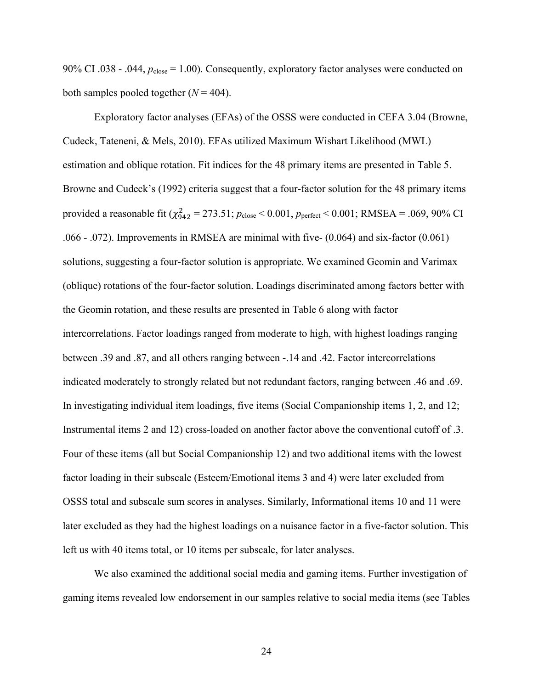90% CI .038 - .044,  $p_{\text{close}} = 1.00$ ). Consequently, exploratory factor analyses were conducted on both samples pooled together  $(N = 404)$ .

Exploratory factor analyses (EFAs) of the OSSS were conducted in CEFA 3.04 (Browne, Cudeck, Tateneni, & Mels, 2010). EFAs utilized Maximum Wishart Likelihood (MWL) estimation and oblique rotation. Fit indices for the 48 primary items are presented in Table 5. Browne and Cudeck's (1992) criteria suggest that a four-factor solution for the 48 primary items provided a reasonable fit  $(\chi^{2}_{942} = 273.51; p_{\text{close}} < 0.001, p_{\text{perfect}} < 0.001; \text{RMSEA} = .069, 90\% \text{ CI}$ .066 - .072). Improvements in RMSEA are minimal with five- (0.064) and six-factor (0.061) solutions, suggesting a four-factor solution is appropriate. We examined Geomin and Varimax (oblique) rotations of the four-factor solution. Loadings discriminated among factors better with the Geomin rotation, and these results are presented in Table 6 along with factor intercorrelations. Factor loadings ranged from moderate to high, with highest loadings ranging between .39 and .87, and all others ranging between -.14 and .42. Factor intercorrelations indicated moderately to strongly related but not redundant factors, ranging between .46 and .69. In investigating individual item loadings, five items (Social Companionship items 1, 2, and 12; Instrumental items 2 and 12) cross-loaded on another factor above the conventional cutoff of .3. Four of these items (all but Social Companionship 12) and two additional items with the lowest factor loading in their subscale (Esteem/Emotional items 3 and 4) were later excluded from OSSS total and subscale sum scores in analyses. Similarly, Informational items 10 and 11 were later excluded as they had the highest loadings on a nuisance factor in a five-factor solution. This left us with 40 items total, or 10 items per subscale, for later analyses.

We also examined the additional social media and gaming items. Further investigation of gaming items revealed low endorsement in our samples relative to social media items (see Tables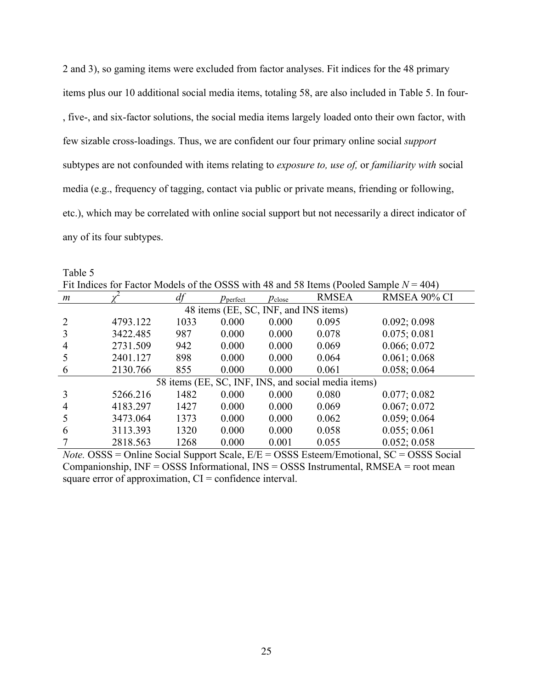2 and 3), so gaming items were excluded from factor analyses. Fit indices for the 48 primary items plus our 10 additional social media items, totaling 58, are also included in Table 5. In four- , five-, and six-factor solutions, the social media items largely loaded onto their own factor, with few sizable cross-loadings. Thus, we are confident our four primary online social *support* subtypes are not confounded with items relating to *exposure to, use of,* or *familiarity with* social media (e.g., frequency of tagging, contact via public or private means, friending or following, etc.), which may be correlated with online social support but not necessarily a direct indicator of any of its four subtypes.

Table 5 Fit Indices for Factor Models of the OSSS with 48 and 58 Items (Pooled Sample  $N = 404$ )

| m              |          | df   | $p_{\text{perfect}}$                  | $p_{\text{close}}$ | <b>RMSEA</b>                                        | RMSEA 90% CI |
|----------------|----------|------|---------------------------------------|--------------------|-----------------------------------------------------|--------------|
|                |          |      | 48 items (EE, SC, INF, and INS items) |                    |                                                     |              |
| $\overline{2}$ | 4793.122 | 1033 | 0.000                                 | 0.000              | 0.095                                               | 0.092; 0.098 |
| 3              | 3422.485 | 987  | 0.000                                 | 0.000              | 0.078                                               | 0.075; 0.081 |
| $\overline{4}$ | 2731.509 | 942  | 0.000                                 | 0.000              | 0.069                                               | 0.066; 0.072 |
|                | 2401.127 | 898  | 0.000                                 | 0.000              | 0.064                                               | 0.061; 0.068 |
| 6              | 2130.766 | 855  | 0.000                                 | 0.000              | 0.061                                               | 0.058; 0.064 |
|                |          |      |                                       |                    | 58 items (EE, SC, INF, INS, and social media items) |              |
| 3              | 5266.216 | 1482 | 0.000                                 | 0.000              | 0.080                                               | 0.077; 0.082 |
| $\overline{4}$ | 4183.297 | 1427 | 0.000                                 | 0.000              | 0.069                                               | 0.067; 0.072 |
|                | 3473.064 | 1373 | 0.000                                 | 0.000              | 0.062                                               | 0.059; 0.064 |
| 6              | 3113.393 | 1320 | 0.000                                 | 0.000              | 0.058                                               | 0.055; 0.061 |
|                | 2818.563 | 1268 | 0.000                                 | 0.001              | 0.055                                               | 0.052; 0.058 |

*Note.* OSSS = Online Social Support Scale, E/E = OSSS Esteem/Emotional, SC = OSSS Social Companionship, INF = OSSS Informational, INS = OSSS Instrumental, RMSEA = root mean square error of approximation,  $CI =$  confidence interval.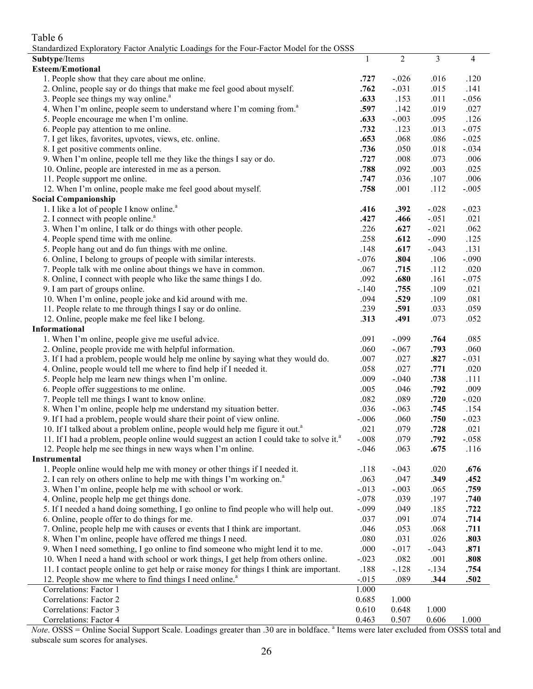# Table 6

|  |  | Standardized Exploratory Factor Analytic Loadings for the Four-Factor Model for the OSSS |
|--|--|------------------------------------------------------------------------------------------|
|  |  |                                                                                          |

| $S$ or the contract the contract of $S$ is a contract to the contract of the contract of the contract of the $S$ |         |                |         |                |
|------------------------------------------------------------------------------------------------------------------|---------|----------------|---------|----------------|
| Subtype/Items                                                                                                    | 1       | $\overline{2}$ | 3       | $\overline{4}$ |
| <b>Esteem/Emotional</b>                                                                                          |         |                |         |                |
| 1. People show that they care about me online.                                                                   | .727    | $-.026$        | .016    | .120           |
| 2. Online, people say or do things that make me feel good about myself.                                          | .762    | $-.031$        | .015    | .141           |
| 3. People see things my way online. <sup>a</sup>                                                                 | .633    | .153           | .011    | $-.056$        |
| 4. When I'm online, people seem to understand where I'm coming from. <sup>a</sup>                                | .597    | .142           | .019    | .027           |
| 5. People encourage me when I'm online.                                                                          | .633    | $-.003$        | .095    | .126           |
| 6. People pay attention to me online.                                                                            | .732    | .123           | .013    | $-.075$        |
| 7. I get likes, favorites, upvotes, views, etc. online.                                                          | .653    | .068           | .086    | $-.025$        |
| 8. I get positive comments online.                                                                               | .736    | .050           | .018    | $-.034$        |
| 9. When I'm online, people tell me they like the things I say or do.                                             | .727    | .008           | .073    | .006           |
| 10. Online, people are interested in me as a person.                                                             | .788    | .092           | .003    | .025           |
| 11. People support me online.                                                                                    | .747    | .036           | .107    | .006           |
| 12. When I'm online, people make me feel good about myself.                                                      | .758    | .001           | .112    | $-.005$        |
| <b>Social Companionship</b>                                                                                      |         |                |         |                |
| 1. I like a lot of people I know online. <sup>a</sup>                                                            | .416    | .392           | $-.028$ | $-.023$        |
| 2. I connect with people online. <sup>a</sup>                                                                    | .427    | .466           | $-.051$ | .021           |
| 3. When I'm online, I talk or do things with other people.                                                       | .226    | .627           | $-.021$ | .062           |
| 4. People spend time with me online.                                                                             | .258    | .612           | $-.090$ | .125           |
| 5. People hang out and do fun things with me online.                                                             | .148    | .617           | $-.043$ | .131           |
| 6. Online, I belong to groups of people with similar interests.                                                  | $-.076$ | .804           | .106    | $-.090$        |
| 7. People talk with me online about things we have in common.                                                    | .067    | .715           | .112    | .020           |
| 8. Online, I connect with people who like the same things I do.                                                  | .092    | .680           | .161    | $-.075$        |
| 9. I am part of groups online.                                                                                   | $-.140$ | .755           | .109    | .021           |
| 10. When I'm online, people joke and kid around with me.                                                         | .094    | .529           | .109    | .081           |
| 11. People relate to me through things I say or do online.                                                       | .239    | .591           | .033    | .059           |
| 12. Online, people make me feel like I belong.                                                                   | .313    | .491           | .073    | .052           |
| Informational                                                                                                    |         |                |         |                |
|                                                                                                                  | .091    | $-.099$        | .764    | .085           |
| 1. When I'm online, people give me useful advice.                                                                |         |                |         |                |
| 2. Online, people provide me with helpful information.                                                           | .060    | $-.067$        | .793    | .060           |
| 3. If I had a problem, people would help me online by saying what they would do.                                 | .007    | .027           | .827    | $-.031$        |
| 4. Online, people would tell me where to find help if I needed it.                                               | .058    | .027           | .771    | .020           |
| 5. People help me learn new things when I'm online.                                                              | .009    | $-.040$        | .738    | .111           |
| 6. People offer suggestions to me online.                                                                        | .005    | .046           | .792    | .009           |
| 7. People tell me things I want to know online.                                                                  | .082    | .089           | .720    | $-.020$        |
| 8. When I'm online, people help me understand my situation better.                                               | .036    | $-.063$        | .745    | .154           |
| 9. If I had a problem, people would share their point of view online.                                            | $-.006$ | .060           | .750    | $-.023$        |
| 10. If I talked about a problem online, people would help me figure it out. <sup>a</sup>                         | .021    | .079           | .728    | .021           |
| 11. If I had a problem, people online would suggest an action I could take to solve it. <sup>a</sup>             | $-.008$ | .079           | .792    | $-.058$        |
| 12. People help me see things in new ways when I'm online.                                                       | $-.046$ | .063           | .675    | .116           |
| Instrumental                                                                                                     |         |                |         |                |
| 1. People online would help me with money or other things if I needed it.                                        | .118    | $-.043$        | .020    | .676           |
| 2. I can rely on others online to help me with things I'm working on. <sup>a</sup>                               | .063    | .047           | .349    | .452           |
| 3. When I'm online, people help me with school or work.                                                          | $-.013$ | $-.003$        | .065    | .759           |
| 4. Online, people help me get things done.                                                                       | $-.078$ | .039           | .197    | .740           |
| 5. If I needed a hand doing something, I go online to find people who will help out.                             | $-.099$ | .049           | .185    | .722           |
| 6. Online, people offer to do things for me.                                                                     | .037    | .091           | .074    | .714           |
| 7. Online, people help me with causes or events that I think are important.                                      | .046    | .053           | .068    | .711           |
| 8. When I'm online, people have offered me things I need.                                                        | .080    | .031           | .026    | .803           |
| 9. When I need something, I go online to find someone who might lend it to me.                                   | .000    | $-.017$        | $-.043$ | .871           |
| 10. When I need a hand with school or work things, I get help from others online.                                | $-.023$ | .082           | .001    | .808           |
| 11. I contact people online to get help or raise money for things I think are important.                         | .188    | $-.128$        | $-.134$ | .754           |
| 12. People show me where to find things I need online. <sup>a</sup>                                              | $-.015$ | .089           | .344    | .502           |
| Correlations: Factor 1                                                                                           | 1.000   |                |         |                |
| Correlations: Factor 2                                                                                           | 0.685   | 1.000          |         |                |
| Correlations: Factor 3                                                                                           | 0.610   | 0.648          | 1.000   |                |
| Correlations: Factor 4                                                                                           | 0.463   | 0.507          | 0.606   | 1.000          |

*Note*. OSSS = Online Social Support Scale. Loadings greater than .30 are in boldface.<sup>a</sup> Items were later excluded from OSSS total and subscale sum scores for analyses.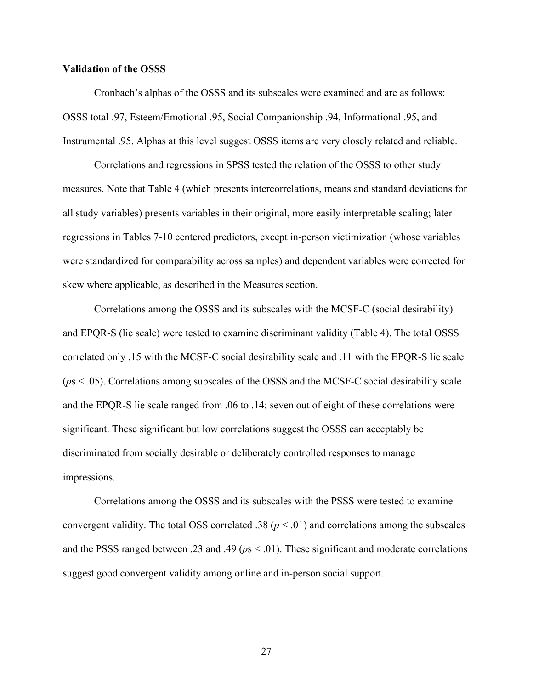#### **Validation of the OSSS**

Cronbach's alphas of the OSSS and its subscales were examined and are as follows: OSSS total .97, Esteem/Emotional .95, Social Companionship .94, Informational .95, and Instrumental .95. Alphas at this level suggest OSSS items are very closely related and reliable.

Correlations and regressions in SPSS tested the relation of the OSSS to other study measures. Note that Table 4 (which presents intercorrelations, means and standard deviations for all study variables) presents variables in their original, more easily interpretable scaling; later regressions in Tables 7-10 centered predictors, except in-person victimization (whose variables were standardized for comparability across samples) and dependent variables were corrected for skew where applicable, as described in the Measures section.

Correlations among the OSSS and its subscales with the MCSF-C (social desirability) and EPQR-S (lie scale) were tested to examine discriminant validity (Table 4). The total OSSS correlated only .15 with the MCSF-C social desirability scale and .11 with the EPQR-S lie scale (*p*s < .05). Correlations among subscales of the OSSS and the MCSF-C social desirability scale and the EPQR-S lie scale ranged from .06 to .14; seven out of eight of these correlations were significant. These significant but low correlations suggest the OSSS can acceptably be discriminated from socially desirable or deliberately controlled responses to manage impressions.

Correlations among the OSSS and its subscales with the PSSS were tested to examine convergent validity. The total OSS correlated .38 ( $p < .01$ ) and correlations among the subscales and the PSSS ranged between .23 and .49 (*p*s < .01). These significant and moderate correlations suggest good convergent validity among online and in-person social support.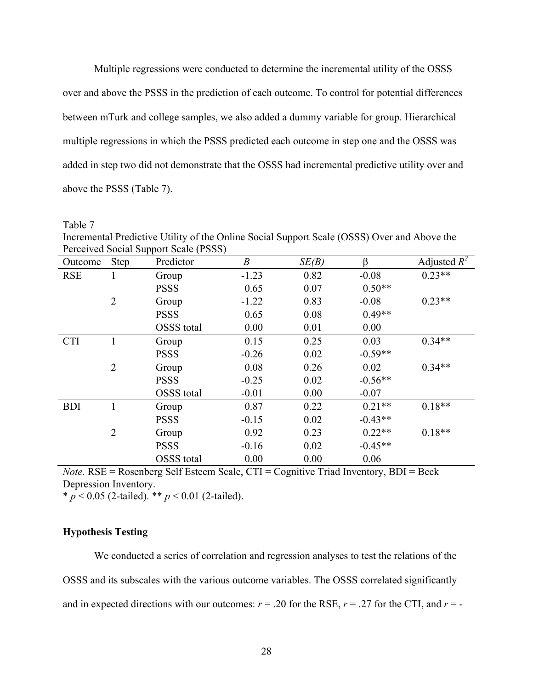Multiple regressions were conducted to determine the incremental utility of the OSSS over and above the PSSS in the prediction of each outcome. To control for potential differences between mTurk and college samples, we also added a dummy variable for group. Hierarchical multiple regressions in which the PSSS predicted each outcome in step one and the OSSS was added in step two did not demonstrate that the OSSS had incremental predictive utility over and above the PSSS (Table 7).

Table 7

Incremental Predictive Utility of the Online Social Support Scale (OSSS) Over and Above the Perceived Social Support Scale (PSSS)

| Outcome    | <b>Step</b>    | Predictor         | $\boldsymbol{B}$ | SE(B) | ß         | Adjusted $R^2$ |
|------------|----------------|-------------------|------------------|-------|-----------|----------------|
| <b>RSE</b> | 1              | Group             | $-1.23$          | 0.82  | $-0.08$   | $0.23**$       |
|            |                | <b>PSSS</b>       | 0.65             | 0.07  | $0.50**$  |                |
|            | $\overline{2}$ | Group             | $-1.22$          | 0.83  | $-0.08$   | $0.23**$       |
|            |                | <b>PSSS</b>       | 0.65             | 0.08  | $0.49**$  |                |
|            |                | <b>OSSS</b> total | 0.00             | 0.01  | 0.00      |                |
| <b>CTI</b> |                | Group             | 0.15             | 0.25  | 0.03      | $0.34**$       |
|            |                | <b>PSSS</b>       | $-0.26$          | 0.02  | $-0.59**$ |                |
|            | 2              | Group             | 0.08             | 0.26  | 0.02      | $0.34**$       |
|            |                | <b>PSSS</b>       | $-0.25$          | 0.02  | $-0.56**$ |                |
|            |                | <b>OSSS</b> total | $-0.01$          | 0.00  | $-0.07$   |                |
| <b>BDI</b> | 1              | Group             | 0.87             | 0.22  | $0.21**$  | $0.18**$       |
|            |                | <b>PSSS</b>       | $-0.15$          | 0.02  | $-0.43**$ |                |
|            | $\overline{2}$ | Group             | 0.92             | 0.23  | $0.22**$  | $0.18**$       |
|            |                | <b>PSSS</b>       | $-0.16$          | 0.02  | $-0.45**$ |                |
|            |                | <b>OSSS</b> total | 0.00             | 0.00  | 0.06      |                |

*Note.* RSE = Rosenberg Self Esteem Scale, CTI = Cognitive Triad Inventory, BDI = Beck Depression Inventory.

 $\frac{p}{p}$  < 0.05 (2-tailed). \*\* *p* < 0.01 (2-tailed).

## **Hypothesis Testing**

We conducted a series of correlation and regression analyses to test the relations of the OSSS and its subscales with the various outcome variables. The OSSS correlated significantly and in expected directions with our outcomes:  $r = .20$  for the RSE,  $r = .27$  for the CTI, and  $r = -$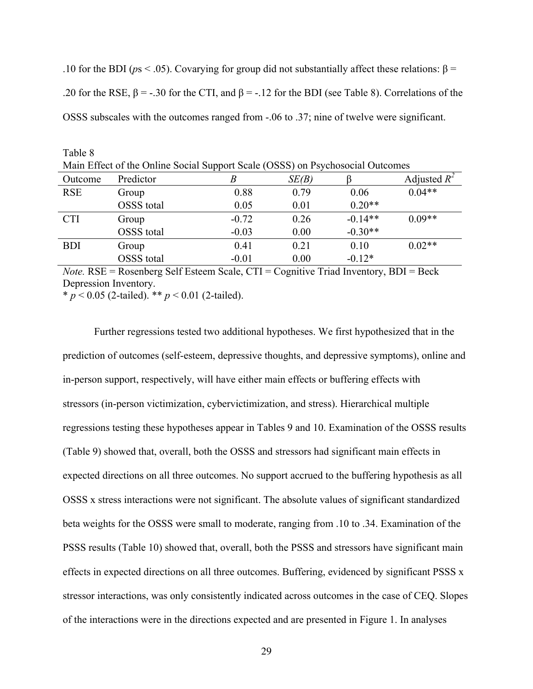.10 for the BDI ( $ps < .05$ ). Covarying for group did not substantially affect these relations: β = .20 for the RSE,  $β = -0.30$  for the CTI, and  $β = -0.12$  for the BDI (see Table 8). Correlations of the OSSS subscales with the outcomes ranged from -.06 to .37; nine of twelve were significant.

| .                                                                              |            |         |       |           |                |  |  |  |
|--------------------------------------------------------------------------------|------------|---------|-------|-----------|----------------|--|--|--|
| Main Effect of the Online Social Support Scale (OSSS) on Psychosocial Outcomes |            |         |       |           |                |  |  |  |
| Outcome                                                                        | Predictor  |         | SE(B) |           | Adjusted $R^2$ |  |  |  |
| <b>RSE</b>                                                                     | Group      | 0.88    | 0.79  | 0.06      | $0.04**$       |  |  |  |
|                                                                                | OSSS total | 0.05    | 0.01  | $0.20**$  |                |  |  |  |
| <b>CTI</b>                                                                     | Group      | $-0.72$ | 0.26  | $-0.14**$ | $0.09**$       |  |  |  |
|                                                                                | OSSS total | $-0.03$ | 0.00  | $-0.30**$ |                |  |  |  |
| <b>BDI</b>                                                                     | Group      | 0.41    | 0.21  | 0.10      | $0.02**$       |  |  |  |
|                                                                                | OSSS total | $-0.01$ | 0.00  | $-0.12*$  |                |  |  |  |

*Note.* RSE = Rosenberg Self Esteem Scale, CTI = Cognitive Triad Inventory, BDI = Beck Depression Inventory.

\* *p* < 0.05 (2-tailed). \*\* *p* < 0.01 (2-tailed).

Table 8

Further regressions tested two additional hypotheses. We first hypothesized that in the prediction of outcomes (self-esteem, depressive thoughts, and depressive symptoms), online and in-person support, respectively, will have either main effects or buffering effects with stressors (in-person victimization, cybervictimization, and stress). Hierarchical multiple regressions testing these hypotheses appear in Tables 9 and 10. Examination of the OSSS results (Table 9) showed that, overall, both the OSSS and stressors had significant main effects in expected directions on all three outcomes. No support accrued to the buffering hypothesis as all OSSS x stress interactions were not significant. The absolute values of significant standardized beta weights for the OSSS were small to moderate, ranging from .10 to .34. Examination of the PSSS results (Table 10) showed that, overall, both the PSSS and stressors have significant main effects in expected directions on all three outcomes. Buffering, evidenced by significant PSSS x stressor interactions, was only consistently indicated across outcomes in the case of CEQ. Slopes of the interactions were in the directions expected and are presented in Figure 1. In analyses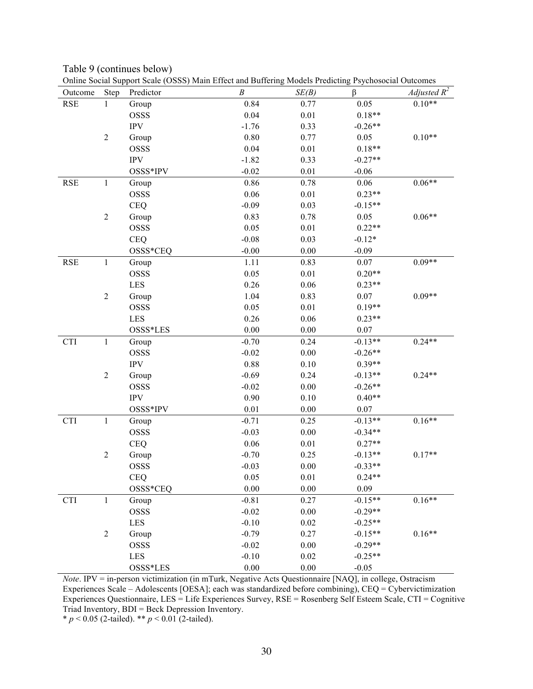Table 9 (continues below) Online Social Support Scale (OSSS) Main Effect and Buffering Models Predicting Psychosocial Outcomes

| Outcome    | Step             | Omine Social Support Seale (OSSS) ividin Effect and Duffering iviousis i redicting I sychosocial Outcomes<br>Predictor | $\boldsymbol{B}$ | SE(B)    | β         | <i>Adjusted</i> $R^2$ |
|------------|------------------|------------------------------------------------------------------------------------------------------------------------|------------------|----------|-----------|-----------------------|
| <b>RSE</b> | $\mathbf{1}$     | Group                                                                                                                  | 0.84             | 0.77     | 0.05      | $0.10**$              |
|            |                  | <b>OSSS</b>                                                                                                            | 0.04             | 0.01     | $0.18**$  |                       |
|            |                  | $\ensuremath{\text{IPV}}$                                                                                              | $-1.76$          | 0.33     | $-0.26**$ |                       |
|            | $\boldsymbol{2}$ | Group                                                                                                                  | 0.80             | 0.77     | 0.05      | $0.10**$              |
|            |                  | <b>OSSS</b>                                                                                                            | 0.04             | 0.01     | $0.18**$  |                       |
|            |                  | $\ensuremath{\text{IPV}}$                                                                                              | $-1.82$          | 0.33     | $-0.27**$ |                       |
|            |                  | OSSS*IPV                                                                                                               | $-0.02$          | 0.01     | $-0.06$   |                       |
| <b>RSE</b> | 1                | Group                                                                                                                  | 0.86             | 0.78     | 0.06      | $0.06**$              |
|            |                  | OSSS                                                                                                                   | 0.06             | 0.01     | $0.23**$  |                       |
|            |                  | <b>CEQ</b>                                                                                                             | $-0.09$          | 0.03     | $-0.15**$ |                       |
|            | $\boldsymbol{2}$ | Group                                                                                                                  | 0.83             | 0.78     | 0.05      | $0.06**$              |
|            |                  | OSSS                                                                                                                   | 0.05             | 0.01     | $0.22**$  |                       |
|            |                  | <b>CEQ</b>                                                                                                             | $-0.08$          | 0.03     | $-0.12*$  |                       |
|            |                  | OSSS*CEQ                                                                                                               | $-0.00$          | 0.00     | $-0.09$   |                       |
| <b>RSE</b> | $\mathbf{1}$     | Group                                                                                                                  | 1.11             | 0.83     | 0.07      | $0.09**$              |
|            |                  | <b>OSSS</b>                                                                                                            | 0.05             | 0.01     | $0.20**$  |                       |
|            |                  | LES                                                                                                                    | 0.26             | $0.06\,$ | $0.23**$  |                       |
|            | $\mathbf{2}$     | Group                                                                                                                  | 1.04             | 0.83     | 0.07      | $0.09**$              |
|            |                  | <b>OSSS</b>                                                                                                            | 0.05             | 0.01     | $0.19**$  |                       |
|            |                  | LES                                                                                                                    | 0.26             | 0.06     | $0.23**$  |                       |
|            |                  | OSSS*LES                                                                                                               | 0.00             | $0.00\,$ | 0.07      |                       |
| <b>CTI</b> | $\mathbf{1}$     | Group                                                                                                                  | $-0.70$          | 0.24     | $-0.13**$ | $0.24**$              |
|            |                  | <b>OSSS</b>                                                                                                            | $-0.02$          | $0.00\,$ | $-0.26**$ |                       |
|            |                  | <b>IPV</b>                                                                                                             | 0.88             | 0.10     | $0.39**$  |                       |
|            | $\boldsymbol{2}$ | Group                                                                                                                  | $-0.69$          | 0.24     | $-0.13**$ | $0.24**$              |
|            |                  | <b>OSSS</b>                                                                                                            | $-0.02$          | $0.00\,$ | $-0.26**$ |                       |
|            |                  | <b>IPV</b>                                                                                                             | 0.90             | 0.10     | $0.40**$  |                       |
|            |                  | OSSS*IPV                                                                                                               | 0.01             | 0.00     | 0.07      |                       |
| <b>CTI</b> | 1                | Group                                                                                                                  | $-0.71$          | 0.25     | $-0.13**$ | $0.16**$              |
|            |                  | OSSS                                                                                                                   | $-0.03$          | $0.00\,$ | $-0.34**$ |                       |
|            |                  | <b>CEQ</b>                                                                                                             | 0.06             | 0.01     | $0.27**$  |                       |
|            | $\overline{c}$   | Group                                                                                                                  | $-0.70$          | 0.25     | $-0.13**$ | $0.17**$              |
|            |                  | OSSS                                                                                                                   | $-0.03$          | 0.00     | $-0.33**$ |                       |
|            |                  | <b>CEQ</b>                                                                                                             | 0.05             | 0.01     | $0.24**$  |                       |
|            |                  | OSSS*CEQ                                                                                                               | $0.00\,$         | $0.00\,$ | 0.09      |                       |
| <b>CTI</b> | 1                | Group                                                                                                                  | $-0.81$          | 0.27     | $-0.15**$ | $0.16**$              |
|            |                  | <b>OSSS</b>                                                                                                            | $-0.02$          | $0.00\,$ | $-0.29**$ |                       |
|            |                  | LES                                                                                                                    | $-0.10$          | 0.02     | $-0.25**$ |                       |
|            | $\overline{2}$   | Group                                                                                                                  | $-0.79$          | 0.27     | $-0.15**$ | $0.16**$              |
|            |                  | <b>OSSS</b>                                                                                                            | $-0.02$          | $0.00\,$ | $-0.29**$ |                       |
|            |                  | <b>LES</b>                                                                                                             | $-0.10$          | 0.02     | $-0.25**$ |                       |
|            |                  | OSSS*LES                                                                                                               | $0.00\,$         | $0.00\,$ | $-0.05$   |                       |

*Note*. IPV = in-person victimization (in mTurk, Negative Acts Questionnaire [NAQ], in college, Ostracism Experiences Scale – Adolescents [OESA]; each was standardized before combining), CEQ = Cybervictimization Experiences Questionnaire, LES = Life Experiences Survey, RSE = Rosenberg Self Esteem Scale, CTI = Cognitive Triad Inventory, BDI = Beck Depression Inventory.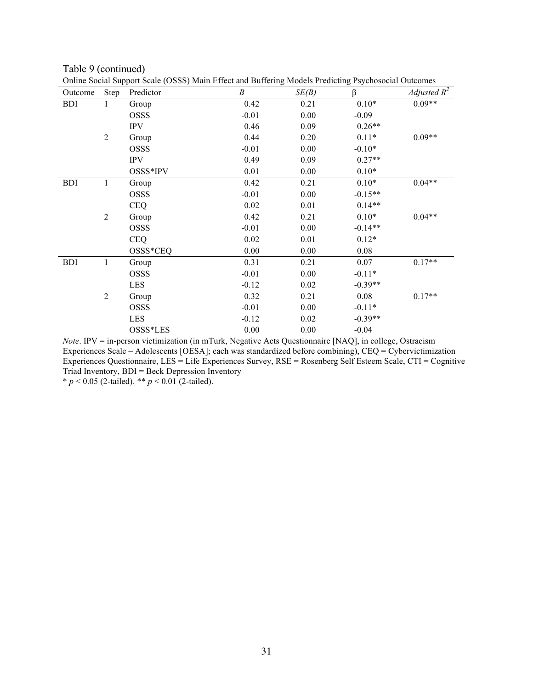Table 9 (continued) Online Social Support Scale (OSSS) Main Effect and Buffering Models Predicting Psychosocial Outcomes

|            |                  | Omine Social Support Scale (OSSS) Main Effect and Burieling Models Fredicting Esychosocial Outcomes |         |       |           |                |
|------------|------------------|-----------------------------------------------------------------------------------------------------|---------|-------|-----------|----------------|
| Outcome    | Step             | Predictor                                                                                           | B       | SE(B) | β         | Adjusted $R^2$ |
| <b>BDI</b> | 1                | Group                                                                                               | 0.42    | 0.21  | $0.10*$   | $0.09**$       |
|            |                  | <b>OSSS</b>                                                                                         | $-0.01$ | 0.00  | $-0.09$   |                |
|            |                  | <b>IPV</b>                                                                                          | 0.46    | 0.09  | $0.26**$  |                |
|            | $\overline{2}$   | Group                                                                                               | 0.44    | 0.20  | $0.11*$   | $0.09**$       |
|            |                  | <b>OSSS</b>                                                                                         | $-0.01$ | 0.00  | $-0.10*$  |                |
|            |                  | <b>IPV</b>                                                                                          | 0.49    | 0.09  | $0.27**$  |                |
|            |                  | OSSS*IPV                                                                                            | 0.01    | 0.00  | $0.10*$   |                |
| <b>BDI</b> | $\mathbf{1}$     | Group                                                                                               | 0.42    | 0.21  | $0.10*$   | $0.04**$       |
|            |                  | <b>OSSS</b>                                                                                         | $-0.01$ | 0.00  | $-0.15**$ |                |
|            |                  | <b>CEQ</b>                                                                                          | 0.02    | 0.01  | $0.14**$  |                |
|            | $\overline{2}$   | Group                                                                                               | 0.42    | 0.21  | $0.10*$   | $0.04**$       |
|            |                  | <b>OSSS</b>                                                                                         | $-0.01$ | 0.00  | $-0.14**$ |                |
|            |                  | <b>CEQ</b>                                                                                          | 0.02    | 0.01  | $0.12*$   |                |
|            |                  | OSSS*CEQ                                                                                            | 0.00    | 0.00  | 0.08      |                |
| <b>BDI</b> | 1                | Group                                                                                               | 0.31    | 0.21  | 0.07      | $0.17**$       |
|            |                  | <b>OSSS</b>                                                                                         | $-0.01$ | 0.00  | $-0.11*$  |                |
|            |                  | <b>LES</b>                                                                                          | $-0.12$ | 0.02  | $-0.39**$ |                |
|            | $\boldsymbol{2}$ | Group                                                                                               | 0.32    | 0.21  | 0.08      | $0.17**$       |
|            |                  | <b>OSSS</b>                                                                                         | $-0.01$ | 0.00  | $-0.11*$  |                |
|            |                  | <b>LES</b>                                                                                          | $-0.12$ | 0.02  | $-0.39**$ |                |
|            |                  | OSSS*LES                                                                                            | 0.00    | 0.00  | $-0.04$   |                |

*Note*. IPV = in-person victimization (in mTurk, Negative Acts Questionnaire [NAQ], in college, Ostracism Experiences Scale – Adolescents [OESA]; each was standardized before combining), CEQ = Cybervictimization Experiences Questionnaire, LES = Life Experiences Survey, RSE = Rosenberg Self Esteem Scale, CTI = Cognitive Triad Inventory, BDI = Beck Depression Inventory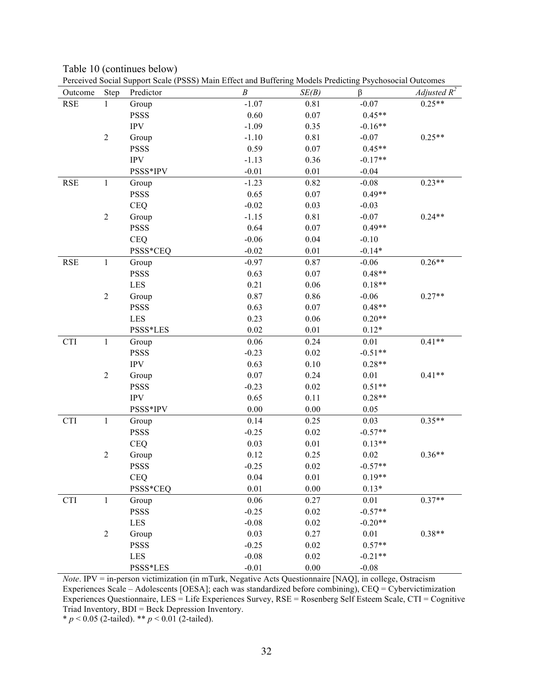|            |                  | Perceived Social Support Scale (PSSS) Main Effect and Buffering Models Predicting Psychosocial Outcomes |                  |          |           |                       |
|------------|------------------|---------------------------------------------------------------------------------------------------------|------------------|----------|-----------|-----------------------|
| Outcome    | Step             | Predictor                                                                                               | $\boldsymbol{B}$ | SE(B)    | β         | <i>Adjusted</i> $R^2$ |
| <b>RSE</b> | $\mathbf{1}$     | Group                                                                                                   | $-1.07$          | 0.81     | $-0.07$   | $0.25**$              |
|            |                  | <b>PSSS</b>                                                                                             | 0.60             | 0.07     | $0.45**$  |                       |
|            |                  | $\ensuremath{\text{IPV}}$                                                                               | $-1.09$          | 0.35     | $-0.16**$ |                       |
|            | $\mathbf{2}$     | Group                                                                                                   | $-1.10$          | 0.81     | $-0.07$   | $0.25**$              |
|            |                  | <b>PSSS</b>                                                                                             | 0.59             | 0.07     | $0.45**$  |                       |
|            |                  | <b>IPV</b>                                                                                              | $-1.13$          | 0.36     | $-0.17**$ |                       |
|            |                  | PSSS*IPV                                                                                                | $-0.01$          | 0.01     | $-0.04$   |                       |
| <b>RSE</b> | $\mathbf{1}$     | Group                                                                                                   | $-1.23$          | 0.82     | $-0.08$   | $0.23**$              |
|            |                  | <b>PSSS</b>                                                                                             | 0.65             | 0.07     | $0.49**$  |                       |
|            |                  | <b>CEQ</b>                                                                                              | $-0.02$          | 0.03     | $-0.03$   |                       |
|            | $\mathbf{2}$     | Group                                                                                                   | $-1.15$          | 0.81     | $-0.07$   | $0.24**$              |
|            |                  | <b>PSSS</b>                                                                                             | 0.64             | 0.07     | $0.49**$  |                       |
|            |                  | <b>CEQ</b>                                                                                              | $-0.06$          | 0.04     | $-0.10$   |                       |
|            |                  | PSSS*CEQ                                                                                                | $-0.02$          | 0.01     | $-0.14*$  |                       |
| <b>RSE</b> | $\mathbf{1}$     | Group                                                                                                   | $-0.97$          | 0.87     | $-0.06$   | $0.26**$              |
|            |                  | <b>PSSS</b>                                                                                             | 0.63             | 0.07     | $0.48**$  |                       |
|            |                  | LES                                                                                                     | 0.21             | 0.06     | $0.18**$  |                       |
|            | $\mathbf{2}$     | Group                                                                                                   | 0.87             | 0.86     | $-0.06$   | $0.27**$              |
|            |                  | <b>PSSS</b>                                                                                             | 0.63             | 0.07     | $0.48**$  |                       |
|            |                  | <b>LES</b>                                                                                              | 0.23             | 0.06     | $0.20**$  |                       |
|            |                  | PSSS*LES                                                                                                | 0.02             | 0.01     | $0.12*$   |                       |
| <b>CTI</b> | $\mathbf{1}$     | Group                                                                                                   | 0.06             | 0.24     | 0.01      | $0.41**$              |
|            |                  | <b>PSSS</b>                                                                                             | $-0.23$          | 0.02     | $-0.51**$ |                       |
|            |                  | $\ensuremath{\text{IPV}}$                                                                               | 0.63             | 0.10     | $0.28**$  |                       |
|            | $\boldsymbol{2}$ | Group                                                                                                   | 0.07             | 0.24     | 0.01      | $0.41**$              |
|            |                  | <b>PSSS</b>                                                                                             | $-0.23$          | 0.02     | $0.51**$  |                       |
|            |                  | <b>IPV</b>                                                                                              | 0.65             | 0.11     | $0.28**$  |                       |
|            |                  | PSSS*IPV                                                                                                | 0.00             | $0.00\,$ | 0.05      |                       |
| <b>CTI</b> | $\mathbf{1}$     | Group                                                                                                   | 0.14             | 0.25     | 0.03      | $0.35**$              |
|            |                  | <b>PSSS</b>                                                                                             | $-0.25$          | 0.02     | $-0.57**$ |                       |
|            |                  | <b>CEQ</b>                                                                                              | 0.03             | 0.01     | $0.13**$  |                       |
|            | $\mathbf{2}$     | Group                                                                                                   | 0.12             | 0.25     | 0.02      | $0.36**$              |
|            |                  | <b>PSSS</b>                                                                                             | $-0.25$          | 0.02     | $-0.57**$ |                       |
|            |                  | <b>CEQ</b>                                                                                              | 0.04             | $0.01\,$ | $0.19**$  |                       |
|            |                  | PSSS*CEQ                                                                                                | 0.01             | 0.00     | $0.13*$   |                       |
| CTI        | $\mathbf{1}$     | Group                                                                                                   | 0.06             | 0.27     | 0.01      | $0.37**$              |
|            |                  | <b>PSSS</b>                                                                                             | $-0.25$          | 0.02     | $-0.57**$ |                       |
|            |                  | LES                                                                                                     | $-0.08$          | $0.02\,$ | $-0.20**$ |                       |
|            | $\overline{2}$   |                                                                                                         | 0.03             | 0.27     | 0.01      | $0.38**$              |
|            |                  | Group<br><b>PSSS</b>                                                                                    | $-0.25$          | $0.02\,$ | $0.57**$  |                       |
|            |                  |                                                                                                         |                  |          |           |                       |
|            |                  | LES                                                                                                     | $-0.08$          | 0.02     | $-0.21**$ |                       |
|            |                  | PSSS*LES                                                                                                | $-0.01$          | $0.00\,$ | $-0.08$   |                       |

Table 10 (continues below) Perceived Social Support Scale (PSSS) Main Effect and Buffering Models Predicting Psychosocial Outcomes

*Note*. IPV = in-person victimization (in mTurk, Negative Acts Questionnaire [NAQ], in college, Ostracism Experiences Scale – Adolescents [OESA]; each was standardized before combining), CEQ = Cybervictimization Experiences Questionnaire, LES = Life Experiences Survey, RSE = Rosenberg Self Esteem Scale, CTI = Cognitive Triad Inventory, BDI = Beck Depression Inventory.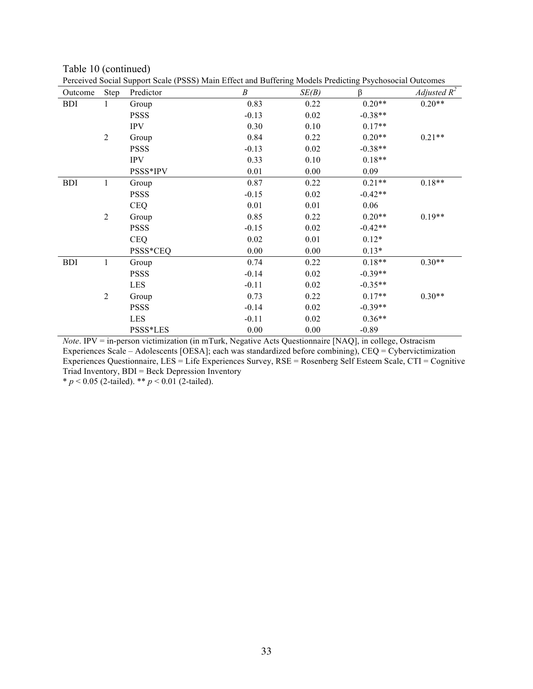| Outcome    | Step           | I creen ed bochar bappon beare (1 bbb) main Eneer and Barrening moders I redicting I sychosocial Galeonics<br>Predictor | B       | SE(B) | $\beta$   | Adjusted $R^2$ |
|------------|----------------|-------------------------------------------------------------------------------------------------------------------------|---------|-------|-----------|----------------|
| <b>BDI</b> | 1              | Group                                                                                                                   | 0.83    | 0.22  | $0.20**$  | $0.20**$       |
|            |                | <b>PSSS</b>                                                                                                             | $-0.13$ | 0.02  | $-0.38**$ |                |
|            |                | <b>IPV</b>                                                                                                              | 0.30    | 0.10  | $0.17**$  |                |
|            | $\overline{2}$ | Group                                                                                                                   | 0.84    | 0.22  | $0.20**$  | $0.21**$       |
|            |                | <b>PSSS</b>                                                                                                             | $-0.13$ | 0.02  | $-0.38**$ |                |
|            |                | <b>IPV</b>                                                                                                              | 0.33    | 0.10  | $0.18**$  |                |
|            |                | PSSS*IPV                                                                                                                | 0.01    | 0.00  | 0.09      |                |
| <b>BDI</b> | $\mathbf{1}$   | Group                                                                                                                   | 0.87    | 0.22  | $0.21**$  | $0.18**$       |
|            |                | <b>PSSS</b>                                                                                                             | $-0.15$ | 0.02  | $-0.42**$ |                |
|            |                | <b>CEQ</b>                                                                                                              | 0.01    | 0.01  | 0.06      |                |
|            | $\overline{2}$ | Group                                                                                                                   | 0.85    | 0.22  | $0.20**$  | $0.19**$       |
|            |                | <b>PSSS</b>                                                                                                             | $-0.15$ | 0.02  | $-0.42**$ |                |
|            |                | <b>CEQ</b>                                                                                                              | 0.02    | 0.01  | $0.12*$   |                |
|            |                | PSSS*CEQ                                                                                                                | 0.00    | 0.00  | $0.13*$   |                |
| <b>BDI</b> | $\mathbf{1}$   | Group                                                                                                                   | 0.74    | 0.22  | $0.18**$  | $0.30**$       |
|            |                | <b>PSSS</b>                                                                                                             | $-0.14$ | 0.02  | $-0.39**$ |                |
|            |                | <b>LES</b>                                                                                                              | $-0.11$ | 0.02  | $-0.35**$ |                |
|            | $\overline{2}$ | Group                                                                                                                   | 0.73    | 0.22  | $0.17**$  | $0.30**$       |
|            |                | <b>PSSS</b>                                                                                                             | $-0.14$ | 0.02  | $-0.39**$ |                |
|            |                | <b>LES</b>                                                                                                              | $-0.11$ | 0.02  | $0.36**$  |                |
|            |                | PSSS*LES                                                                                                                | 0.00    | 0.00  | $-0.89$   |                |

Table 10 (continued) Perceived Social Support Scale (PSSS) Main Effect and Buffering Models Predicting Psychosocial Outcomes

*Note*. IPV = in-person victimization (in mTurk, Negative Acts Questionnaire [NAQ], in college, Ostracism Experiences Scale – Adolescents [OESA]; each was standardized before combining), CEQ = Cybervictimization Experiences Questionnaire, LES = Life Experiences Survey, RSE = Rosenberg Self Esteem Scale, CTI = Cognitive Triad Inventory, BDI = Beck Depression Inventory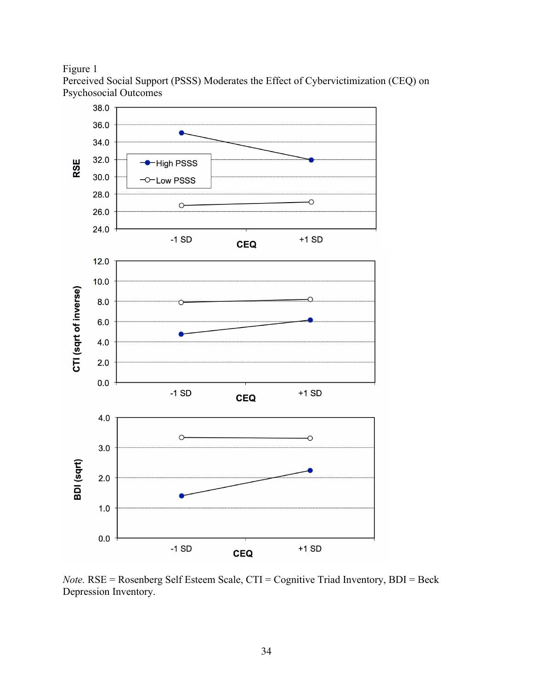Figure 1

Perceived Social Support (PSSS) Moderates the Effect of Cybervictimization (CEQ) on Psychosocial Outcomes



*Note.* RSE = Rosenberg Self Esteem Scale, CTI = Cognitive Triad Inventory, BDI = Beck Depression Inventory.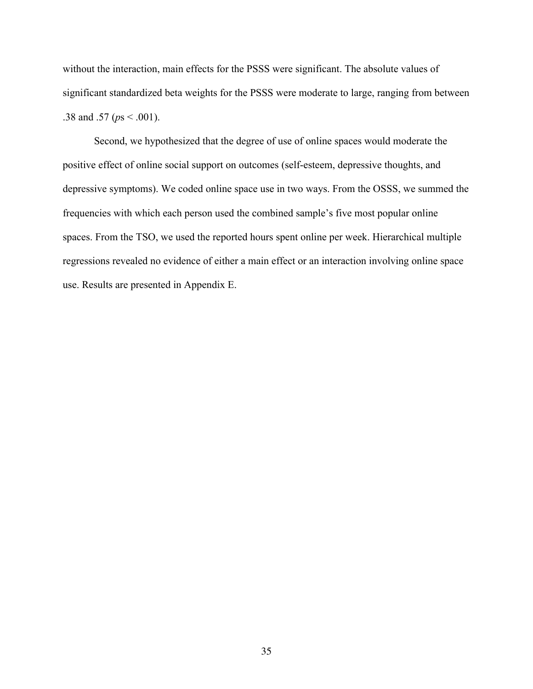without the interaction, main effects for the PSSS were significant. The absolute values of significant standardized beta weights for the PSSS were moderate to large, ranging from between .38 and .57 (*p*s < .001).

Second, we hypothesized that the degree of use of online spaces would moderate the positive effect of online social support on outcomes (self-esteem, depressive thoughts, and depressive symptoms). We coded online space use in two ways. From the OSSS, we summed the frequencies with which each person used the combined sample's five most popular online spaces. From the TSO, we used the reported hours spent online per week. Hierarchical multiple regressions revealed no evidence of either a main effect or an interaction involving online space use. Results are presented in Appendix E.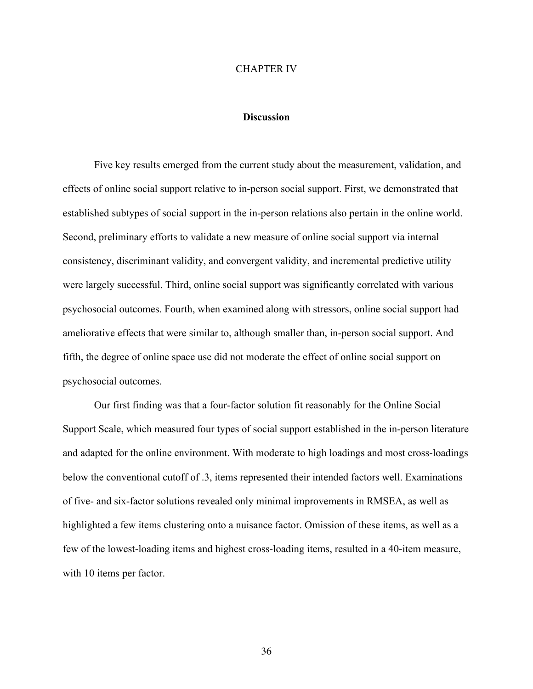#### CHAPTER IV

## **Discussion**

Five key results emerged from the current study about the measurement, validation, and effects of online social support relative to in-person social support. First, we demonstrated that established subtypes of social support in the in-person relations also pertain in the online world. Second, preliminary efforts to validate a new measure of online social support via internal consistency, discriminant validity, and convergent validity, and incremental predictive utility were largely successful. Third, online social support was significantly correlated with various psychosocial outcomes. Fourth, when examined along with stressors, online social support had ameliorative effects that were similar to, although smaller than, in-person social support. And fifth, the degree of online space use did not moderate the effect of online social support on psychosocial outcomes.

Our first finding was that a four-factor solution fit reasonably for the Online Social Support Scale, which measured four types of social support established in the in-person literature and adapted for the online environment. With moderate to high loadings and most cross-loadings below the conventional cutoff of .3, items represented their intended factors well. Examinations of five- and six-factor solutions revealed only minimal improvements in RMSEA, as well as highlighted a few items clustering onto a nuisance factor. Omission of these items, as well as a few of the lowest-loading items and highest cross-loading items, resulted in a 40-item measure, with 10 items per factor.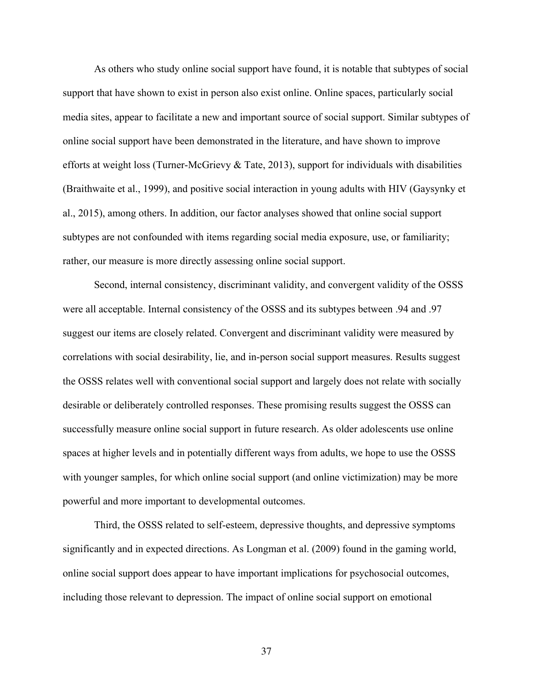As others who study online social support have found, it is notable that subtypes of social support that have shown to exist in person also exist online. Online spaces, particularly social media sites, appear to facilitate a new and important source of social support. Similar subtypes of online social support have been demonstrated in the literature, and have shown to improve efforts at weight loss (Turner-McGrievy & Tate, 2013), support for individuals with disabilities (Braithwaite et al., 1999), and positive social interaction in young adults with HIV (Gaysynky et al., 2015), among others. In addition, our factor analyses showed that online social support subtypes are not confounded with items regarding social media exposure, use, or familiarity; rather, our measure is more directly assessing online social support.

Second, internal consistency, discriminant validity, and convergent validity of the OSSS were all acceptable. Internal consistency of the OSSS and its subtypes between .94 and .97 suggest our items are closely related. Convergent and discriminant validity were measured by correlations with social desirability, lie, and in-person social support measures. Results suggest the OSSS relates well with conventional social support and largely does not relate with socially desirable or deliberately controlled responses. These promising results suggest the OSSS can successfully measure online social support in future research. As older adolescents use online spaces at higher levels and in potentially different ways from adults, we hope to use the OSSS with younger samples, for which online social support (and online victimization) may be more powerful and more important to developmental outcomes.

Third, the OSSS related to self-esteem, depressive thoughts, and depressive symptoms significantly and in expected directions. As Longman et al. (2009) found in the gaming world, online social support does appear to have important implications for psychosocial outcomes, including those relevant to depression. The impact of online social support on emotional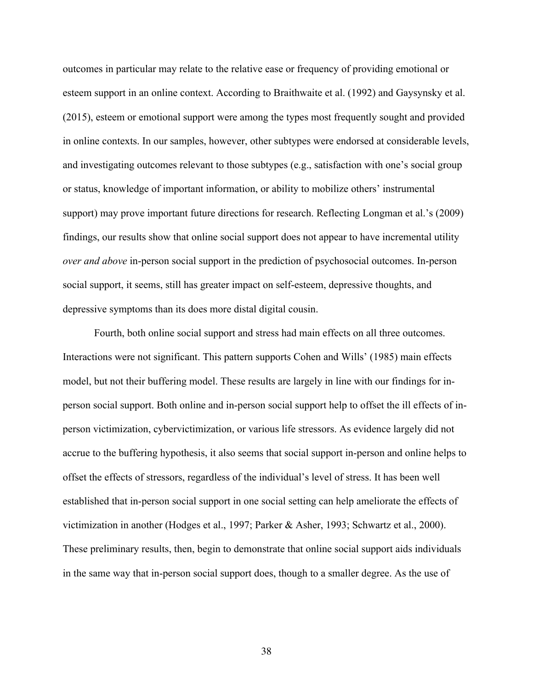outcomes in particular may relate to the relative ease or frequency of providing emotional or esteem support in an online context. According to Braithwaite et al. (1992) and Gaysynsky et al. (2015), esteem or emotional support were among the types most frequently sought and provided in online contexts. In our samples, however, other subtypes were endorsed at considerable levels, and investigating outcomes relevant to those subtypes (e.g., satisfaction with one's social group or status, knowledge of important information, or ability to mobilize others' instrumental support) may prove important future directions for research. Reflecting Longman et al.'s (2009) findings, our results show that online social support does not appear to have incremental utility *over and above* in-person social support in the prediction of psychosocial outcomes. In-person social support, it seems, still has greater impact on self-esteem, depressive thoughts, and depressive symptoms than its does more distal digital cousin.

Fourth, both online social support and stress had main effects on all three outcomes. Interactions were not significant. This pattern supports Cohen and Wills' (1985) main effects model, but not their buffering model. These results are largely in line with our findings for inperson social support. Both online and in-person social support help to offset the ill effects of inperson victimization, cybervictimization, or various life stressors. As evidence largely did not accrue to the buffering hypothesis, it also seems that social support in-person and online helps to offset the effects of stressors, regardless of the individual's level of stress. It has been well established that in-person social support in one social setting can help ameliorate the effects of victimization in another (Hodges et al., 1997; Parker & Asher, 1993; Schwartz et al., 2000). These preliminary results, then, begin to demonstrate that online social support aids individuals in the same way that in-person social support does, though to a smaller degree. As the use of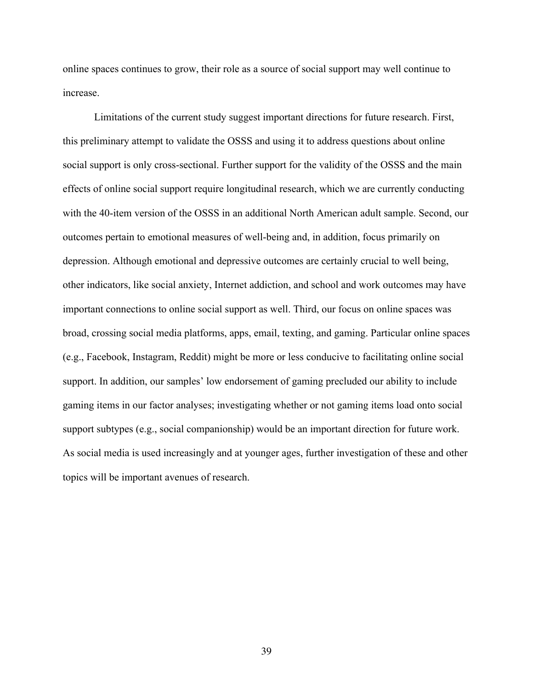online spaces continues to grow, their role as a source of social support may well continue to increase.

Limitations of the current study suggest important directions for future research. First, this preliminary attempt to validate the OSSS and using it to address questions about online social support is only cross-sectional. Further support for the validity of the OSSS and the main effects of online social support require longitudinal research, which we are currently conducting with the 40-item version of the OSSS in an additional North American adult sample. Second, our outcomes pertain to emotional measures of well-being and, in addition, focus primarily on depression. Although emotional and depressive outcomes are certainly crucial to well being, other indicators, like social anxiety, Internet addiction, and school and work outcomes may have important connections to online social support as well. Third, our focus on online spaces was broad, crossing social media platforms, apps, email, texting, and gaming. Particular online spaces (e.g., Facebook, Instagram, Reddit) might be more or less conducive to facilitating online social support. In addition, our samples' low endorsement of gaming precluded our ability to include gaming items in our factor analyses; investigating whether or not gaming items load onto social support subtypes (e.g., social companionship) would be an important direction for future work. As social media is used increasingly and at younger ages, further investigation of these and other topics will be important avenues of research.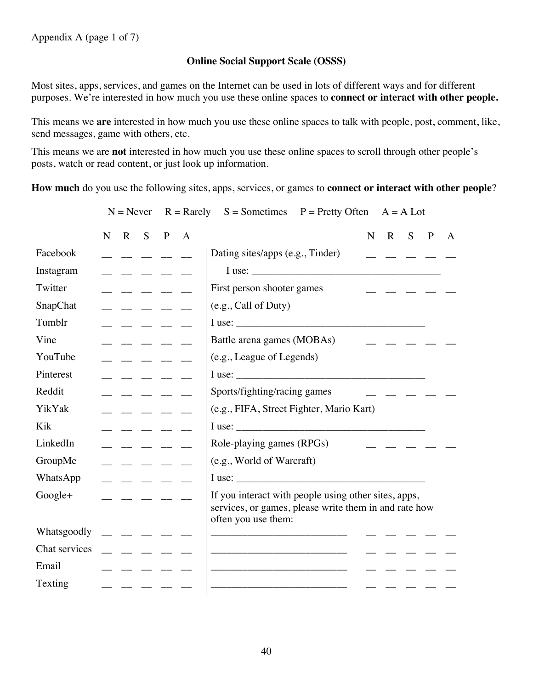# **Online Social Support Scale (OSSS)**

Most sites, apps, services, and games on the Internet can be used in lots of different ways and for different purposes. We're interested in how much you use these online spaces to **connect or interact with other people.** 

This means we **are** interested in how much you use these online spaces to talk with people, post, comment, like, send messages, game with others, etc.

This means we are **not** interested in how much you use these online spaces to scroll through other people's posts, watch or read content, or just look up information.

**How much** do you use the following sites, apps, services, or games to **connect or interact with other people**?

|                 |   |                                                                                                                                                                                                                                                                                                                                                                                              |                                                                                                                                                                                                                                                                                                                                                                                                                                                                                       |              | $N =$ Never $R =$ Rarely $S =$ Sometimes $P =$ Pretty Often<br>$A = A$ Lot                                                           |
|-----------------|---|----------------------------------------------------------------------------------------------------------------------------------------------------------------------------------------------------------------------------------------------------------------------------------------------------------------------------------------------------------------------------------------------|---------------------------------------------------------------------------------------------------------------------------------------------------------------------------------------------------------------------------------------------------------------------------------------------------------------------------------------------------------------------------------------------------------------------------------------------------------------------------------------|--------------|--------------------------------------------------------------------------------------------------------------------------------------|
|                 | N | $\mathbf{R}$                                                                                                                                                                                                                                                                                                                                                                                 | $S$ $P$                                                                                                                                                                                                                                                                                                                                                                                                                                                                               | $\mathbf{A}$ | $\mathbf N$<br>$\mathbf{R}$<br>S<br>$\mathbf{P}$<br>A                                                                                |
| Facebook        |   |                                                                                                                                                                                                                                                                                                                                                                                              | $\frac{1}{2} \frac{1}{2} \frac{1}{2} \frac{1}{2} \frac{1}{2} \frac{1}{2} \frac{1}{2} \frac{1}{2} \frac{1}{2} \frac{1}{2} \frac{1}{2} \frac{1}{2} \frac{1}{2} \frac{1}{2} \frac{1}{2} \frac{1}{2} \frac{1}{2} \frac{1}{2} \frac{1}{2} \frac{1}{2} \frac{1}{2} \frac{1}{2} \frac{1}{2} \frac{1}{2} \frac{1}{2} \frac{1}{2} \frac{1}{2} \frac{1}{2} \frac{1}{2} \frac{1}{2} \frac{1}{2} \frac{$                                                                                          |              | Dating sites/apps (e.g., Tinder)                                                                                                     |
| Instagram       |   | $\frac{1}{2}$ $\frac{1}{2}$ $\frac{1}{2}$ $\frac{1}{2}$                                                                                                                                                                                                                                                                                                                                      |                                                                                                                                                                                                                                                                                                                                                                                                                                                                                       |              | I use:<br><u> 1990 - Johann Barbara, martxa a</u>                                                                                    |
| Twitter         |   |                                                                                                                                                                                                                                                                                                                                                                                              | المستنب المستنب                                                                                                                                                                                                                                                                                                                                                                                                                                                                       |              | First person shooter games                                                                                                           |
| <b>SnapChat</b> |   |                                                                                                                                                                                                                                                                                                                                                                                              | $\frac{1}{2} \left( \frac{1}{2} \right) \left( \frac{1}{2} \right) \left( \frac{1}{2} \right) \left( \frac{1}{2} \right) \left( \frac{1}{2} \right) \left( \frac{1}{2} \right) \left( \frac{1}{2} \right) \left( \frac{1}{2} \right) \left( \frac{1}{2} \right) \left( \frac{1}{2} \right) \left( \frac{1}{2} \right) \left( \frac{1}{2} \right) \left( \frac{1}{2} \right) \left( \frac{1}{2} \right) \left( \frac{1}{2} \right) \left( \frac{1}{2} \right) \left( \frac$            |              | (e.g., Call of Duty)                                                                                                                 |
| Tumblr          |   | $\frac{1}{2} \frac{1}{2} \frac{1}{2} \frac{1}{2} \frac{1}{2} \frac{1}{2} \frac{1}{2} \frac{1}{2} \frac{1}{2} \frac{1}{2} \frac{1}{2} \frac{1}{2} \frac{1}{2} \frac{1}{2} \frac{1}{2} \frac{1}{2} \frac{1}{2} \frac{1}{2} \frac{1}{2} \frac{1}{2} \frac{1}{2} \frac{1}{2} \frac{1}{2} \frac{1}{2} \frac{1}{2} \frac{1}{2} \frac{1}{2} \frac{1}{2} \frac{1}{2} \frac{1}{2} \frac{1}{2} \frac{$ |                                                                                                                                                                                                                                                                                                                                                                                                                                                                                       |              |                                                                                                                                      |
| Vine            |   |                                                                                                                                                                                                                                                                                                                                                                                              |                                                                                                                                                                                                                                                                                                                                                                                                                                                                                       |              | Battle arena games (MOBAs)                                                                                                           |
| YouTube         |   |                                                                                                                                                                                                                                                                                                                                                                                              | $  -$                                                                                                                                                                                                                                                                                                                                                                                                                                                                                 |              | (e.g., League of Legends)                                                                                                            |
| Pinterest       |   | والمستوار السندار السندار                                                                                                                                                                                                                                                                                                                                                                    |                                                                                                                                                                                                                                                                                                                                                                                                                                                                                       |              | I use:                                                                                                                               |
| Reddit          |   |                                                                                                                                                                                                                                                                                                                                                                                              |                                                                                                                                                                                                                                                                                                                                                                                                                                                                                       |              | Sports/fighting/racing games                                                                                                         |
| YikYak          |   |                                                                                                                                                                                                                                                                                                                                                                                              | $\frac{1}{2} \left( \frac{1}{2} \right) \left( \frac{1}{2} \right) \left( \frac{1}{2} \right) \left( \frac{1}{2} \right) \left( \frac{1}{2} \right) \left( \frac{1}{2} \right) \left( \frac{1}{2} \right) \left( \frac{1}{2} \right) \left( \frac{1}{2} \right) \left( \frac{1}{2} \right) \left( \frac{1}{2} \right) \left( \frac{1}{2} \right) \left( \frac{1}{2} \right) \left( \frac{1}{2} \right) \left( \frac{1}{2} \right) \left( \frac{1}{2} \right) \left( \frac$            |              | (e.g., FIFA, Street Fighter, Mario Kart)                                                                                             |
| Kik             |   |                                                                                                                                                                                                                                                                                                                                                                                              | $\frac{1}{2} \left( \frac{1}{2} \right) = \frac{1}{2} \left( \frac{1}{2} \right) = \frac{1}{2} \left( \frac{1}{2} \right) = \frac{1}{2} \left( \frac{1}{2} \right) = \frac{1}{2} \left( \frac{1}{2} \right) = \frac{1}{2} \left( \frac{1}{2} \right) = \frac{1}{2} \left( \frac{1}{2} \right) = \frac{1}{2} \left( \frac{1}{2} \right) = \frac{1}{2} \left( \frac{1}{2} \right) = \frac{1}{2} \left( \frac{1}{2} \right) = \frac{1}{2} \left($                                        |              | I use:                                                                                                                               |
| LinkedIn        |   | $\frac{1}{2} \frac{1}{2} \frac{1}{2} \frac{1}{2} \frac{1}{2} \frac{1}{2} \frac{1}{2} \frac{1}{2} \frac{1}{2} \frac{1}{2} \frac{1}{2} \frac{1}{2} \frac{1}{2} \frac{1}{2} \frac{1}{2} \frac{1}{2} \frac{1}{2} \frac{1}{2} \frac{1}{2} \frac{1}{2} \frac{1}{2} \frac{1}{2} \frac{1}{2} \frac{1}{2} \frac{1}{2} \frac{1}{2} \frac{1}{2} \frac{1}{2} \frac{1}{2} \frac{1}{2} \frac{1}{2} \frac{$ |                                                                                                                                                                                                                                                                                                                                                                                                                                                                                       |              | Role-playing games (RPGs)                                                                                                            |
| GroupMe         |   |                                                                                                                                                                                                                                                                                                                                                                                              | $\begin{tabular}{lllllllllll} \toprule & \multicolumn{1}{l}{} & \multicolumn{1}{l}{} & \multicolumn{1}{l}{} & \multicolumn{1}{l}{} & \multicolumn{1}{l}{} & \multicolumn{1}{l}{} & \multicolumn{1}{l}{} & \multicolumn{1}{l}{} & \multicolumn{1}{l}{} & \multicolumn{1}{l}{} & \multicolumn{1}{l}{} & \multicolumn{1}{l}{} & \multicolumn{1}{l}{} & \multicolumn{1}{l}{} & \multicolumn{1}{l}{} & \multicolumn{1}{l}{} & \multicolumn{1}{l}{} & \multicolumn{1}{l}{} & \multicolumn{$ |              | (e.g., World of Warcraft)                                                                                                            |
| WhatsApp        |   | $\overline{\phantom{a}}$ $\overline{\phantom{a}}$ $\overline{\phantom{a}}$ $\overline{\phantom{a}}$ $\overline{\phantom{a}}$ $\overline{\phantom{a}}$                                                                                                                                                                                                                                        |                                                                                                                                                                                                                                                                                                                                                                                                                                                                                       |              | I use:                                                                                                                               |
| Google+         |   | $   -$                                                                                                                                                                                                                                                                                                                                                                                       |                                                                                                                                                                                                                                                                                                                                                                                                                                                                                       |              | If you interact with people using other sites, apps,<br>services, or games, please write them in and rate how<br>often you use them: |
| Whatsgoodly     |   |                                                                                                                                                                                                                                                                                                                                                                                              |                                                                                                                                                                                                                                                                                                                                                                                                                                                                                       |              |                                                                                                                                      |
| Chat services   |   |                                                                                                                                                                                                                                                                                                                                                                                              | $\frac{1}{2} \frac{1}{2} \frac{1}{2} \frac{1}{2} \frac{1}{2} \frac{1}{2} \frac{1}{2} \frac{1}{2} \frac{1}{2} \frac{1}{2} \frac{1}{2} \frac{1}{2} \frac{1}{2} \frac{1}{2} \frac{1}{2} \frac{1}{2} \frac{1}{2} \frac{1}{2} \frac{1}{2} \frac{1}{2} \frac{1}{2} \frac{1}{2} \frac{1}{2} \frac{1}{2} \frac{1}{2} \frac{1}{2} \frac{1}{2} \frac{1}{2} \frac{1}{2} \frac{1}{2} \frac{1}{2} \frac{$                                                                                          |              |                                                                                                                                      |
| Email           |   |                                                                                                                                                                                                                                                                                                                                                                                              |                                                                                                                                                                                                                                                                                                                                                                                                                                                                                       |              |                                                                                                                                      |
| Texting         |   |                                                                                                                                                                                                                                                                                                                                                                                              |                                                                                                                                                                                                                                                                                                                                                                                                                                                                                       |              |                                                                                                                                      |
|                 |   |                                                                                                                                                                                                                                                                                                                                                                                              |                                                                                                                                                                                                                                                                                                                                                                                                                                                                                       |              |                                                                                                                                      |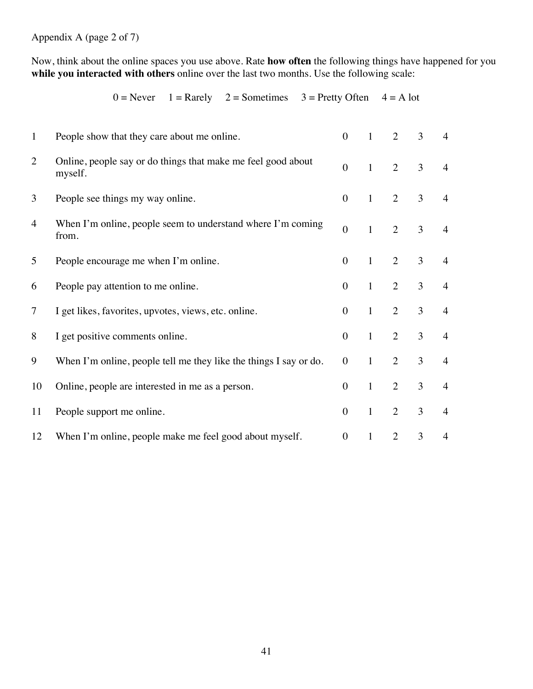Appendix A (page 2 of 7)

Now, think about the online spaces you use above. Rate **how often** the following things have happened for you while you interacted with others online over the last two months. Use the following scale:

| $\mathbf{1}$ | People show that they care about me online.                             | $\overline{0}$   | $\mathbf{1}$ | 2              | 3              | 4              |
|--------------|-------------------------------------------------------------------------|------------------|--------------|----------------|----------------|----------------|
| 2            | Online, people say or do things that make me feel good about<br>myself. | $\mathbf{0}$     | $\mathbf{1}$ | $\overline{2}$ | $\overline{3}$ | $\overline{4}$ |
| 3            | People see things my way online.                                        | $\boldsymbol{0}$ | $\mathbf{1}$ | 2              | 3              | $\overline{4}$ |
| 4            | When I'm online, people seem to understand where I'm coming<br>from.    | $\overline{0}$   | $\mathbf{1}$ | $\overline{2}$ | $\overline{3}$ | $\overline{4}$ |
| 5            | People encourage me when I'm online.                                    | $\overline{0}$   | $\mathbf{1}$ | 2              | 3              | $\overline{4}$ |
| 6            | People pay attention to me online.                                      | $\overline{0}$   | $\mathbf{1}$ | 2              | 3              | $\overline{4}$ |
| 7            | I get likes, favorites, upvotes, views, etc. online.                    | $\overline{0}$   | $\mathbf{1}$ | 2              | 3              | $\overline{4}$ |
| 8            | I get positive comments online.                                         | $\overline{0}$   | $\mathbf{1}$ | 2              | 3              | $\overline{4}$ |
| 9            | When I'm online, people tell me they like the things I say or do.       | $\overline{0}$   | $\mathbf{1}$ | $\overline{2}$ | 3              | $\overline{4}$ |
| 10           | Online, people are interested in me as a person.                        | $\overline{0}$   | $\mathbf{1}$ | $\overline{2}$ | 3              | $\overline{4}$ |
| 11           | People support me online.                                               | $\boldsymbol{0}$ | $\mathbf{1}$ | 2              | 3              | $\overline{4}$ |
| 12           | When I'm online, people make me feel good about myself.                 | $\overline{0}$   | 1            | $\overline{2}$ | 3              | $\overline{4}$ |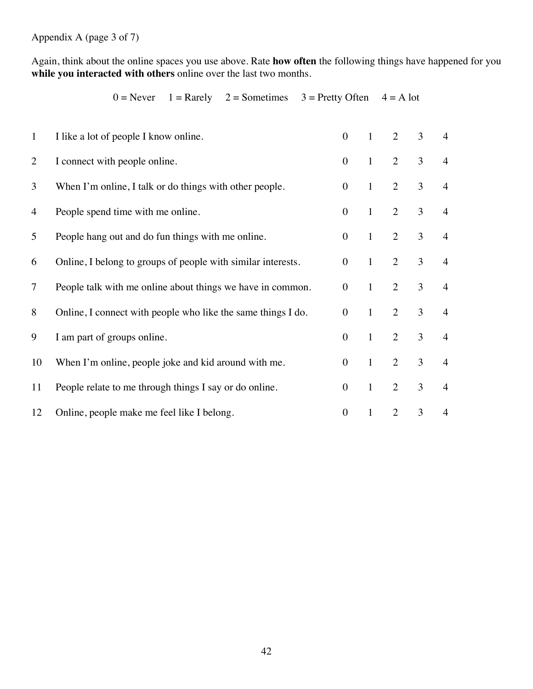Appendix A (page 3 of 7)

Again, think about the online spaces you use above. Rate **how often** the following things have happened for you **while you interacted with others** online over the last two months.

| $\mathbf{1}$   | I like a lot of people I know online.                        | $\overline{0}$   | $\mathbf{1}$ | 2              | 3 | $\overline{4}$ |
|----------------|--------------------------------------------------------------|------------------|--------------|----------------|---|----------------|
| $\overline{2}$ | I connect with people online.                                | $\boldsymbol{0}$ | $\mathbf{1}$ | 2              | 3 | $\overline{4}$ |
| 3              | When I'm online, I talk or do things with other people.      | $\overline{0}$   | $\mathbf{1}$ | $\overline{2}$ | 3 | $\overline{4}$ |
| 4              | People spend time with me online.                            | $\overline{0}$   | $\mathbf{1}$ | 2              | 3 | $\overline{4}$ |
| 5              | People hang out and do fun things with me online.            | $\overline{0}$   | $\mathbf{1}$ | $\overline{2}$ | 3 | $\overline{4}$ |
| 6              | Online, I belong to groups of people with similar interests. | $\overline{0}$   | $\mathbf{1}$ | $\overline{2}$ | 3 | $\overline{4}$ |
| $\overline{7}$ | People talk with me online about things we have in common.   | $\mathbf{0}$     | $\mathbf{1}$ | $\overline{2}$ | 3 | $\overline{4}$ |
| 8              | Online, I connect with people who like the same things I do. | $\overline{0}$   | $\mathbf{1}$ | $\overline{2}$ | 3 | $\overline{4}$ |
| 9              | I am part of groups online.                                  | $\overline{0}$   | $\mathbf{1}$ | $\overline{2}$ | 3 | $\overline{4}$ |
| 10             | When I'm online, people joke and kid around with me.         | $\overline{0}$   | $\mathbf{1}$ | $\overline{2}$ | 3 | $\overline{4}$ |
| 11             | People relate to me through things I say or do online.       | $\overline{0}$   | $\mathbf{1}$ | $\overline{2}$ | 3 | $\overline{4}$ |
| 12             | Online, people make me feel like I belong.                   | $\boldsymbol{0}$ | $\mathbf{1}$ | $\overline{2}$ | 3 | $\overline{4}$ |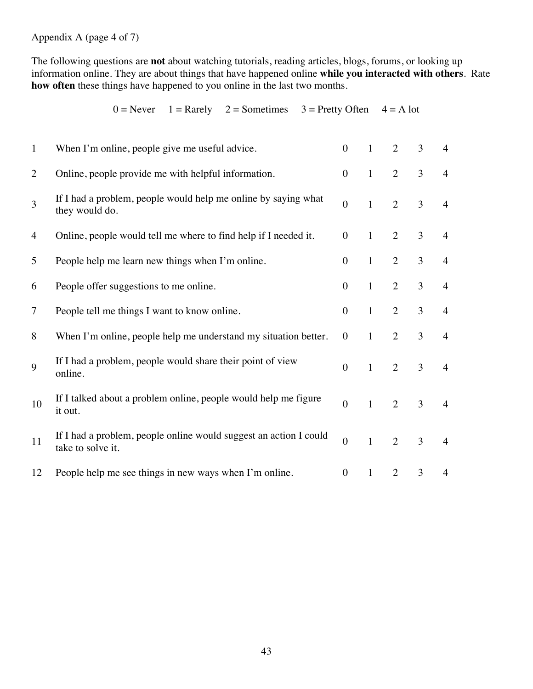Appendix A (page 4 of 7)

The following questions are **not** about watching tutorials, reading articles, blogs, forums, or looking up information online. They are about things that have happened online **while you interacted with others**. Rate **how often** these things have happened to you online in the last two months.

|  |  |  | $0 =$ Never $1 =$ Rarely $2 =$ Sometimes $3 =$ Pretty Often $4 =$ A lot |  |
|--|--|--|-------------------------------------------------------------------------|--|
|--|--|--|-------------------------------------------------------------------------|--|

| $\mathbf{1}$   | When I'm online, people give me useful advice.                                         | $\theta$         | $\mathbf{1}$ | $\overline{2}$ | 3              | $\overline{4}$ |
|----------------|----------------------------------------------------------------------------------------|------------------|--------------|----------------|----------------|----------------|
| $\overline{2}$ | Online, people provide me with helpful information.                                    | $\overline{0}$   | $\mathbf{1}$ | $\overline{2}$ | $\overline{3}$ | $\overline{4}$ |
| 3              | If I had a problem, people would help me online by saying what<br>they would do.       | $\overline{0}$   | $\mathbf{1}$ | $\overline{2}$ | $\overline{3}$ | $\overline{4}$ |
| 4              | Online, people would tell me where to find help if I needed it.                        | $\boldsymbol{0}$ | $\mathbf{1}$ | $\overline{2}$ | 3              | $\overline{4}$ |
| 5              | People help me learn new things when I'm online.                                       | $\overline{0}$   | $\mathbf{1}$ | $\overline{2}$ | 3              | $\overline{4}$ |
| 6              | People offer suggestions to me online.                                                 | $\overline{0}$   | $\mathbf{1}$ | $\overline{2}$ | 3              | $\overline{4}$ |
| $\tau$         | People tell me things I want to know online.                                           | $\boldsymbol{0}$ | $\mathbf{1}$ | $\overline{2}$ | 3              | $\overline{4}$ |
| 8              | When I'm online, people help me understand my situation better.                        | $\mathbf{0}$     | $\mathbf{1}$ | $\overline{2}$ | 3              | $\overline{4}$ |
| 9              | If I had a problem, people would share their point of view<br>online.                  | $\overline{0}$   | $\mathbf{1}$ | $\overline{2}$ | $\overline{3}$ | $\overline{4}$ |
| 10             | If I talked about a problem online, people would help me figure<br>it out.             | $\overline{0}$   | $\mathbf{1}$ | $\overline{2}$ | $\overline{3}$ | $\overline{4}$ |
| 11             | If I had a problem, people online would suggest an action I could<br>take to solve it. | $\overline{0}$   | $\mathbf{1}$ | $\overline{2}$ | $\overline{3}$ | $\overline{4}$ |
| 12             | People help me see things in new ways when I'm online.                                 | $\boldsymbol{0}$ | $\mathbf{1}$ | $\overline{2}$ | 3              | 4              |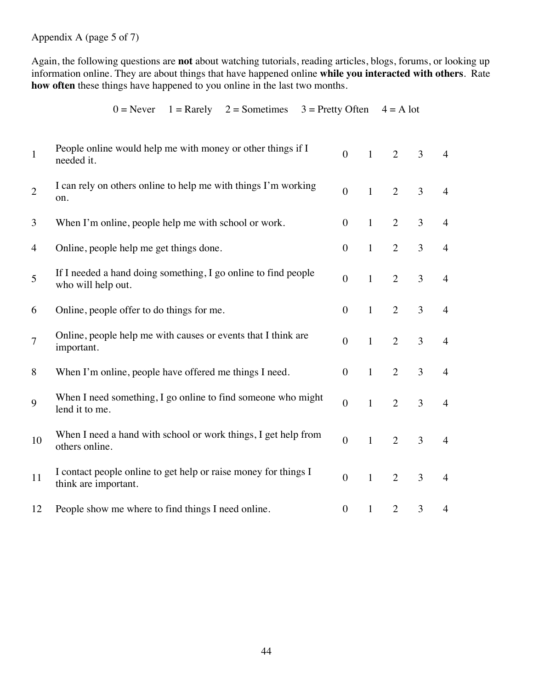Appendix A (page 5 of 7)

Again, the following questions are **not** about watching tutorials, reading articles, blogs, forums, or looking up information online. They are about things that have happened online **while you interacted with others**. Rate **how often** these things have happened to you online in the last two months.

| $\mathbf{1}$   | People online would help me with money or other things if I<br>needed it.               | $\overline{0}$   | $\mathbf{1}$ | $\overline{2}$ | $\overline{3}$ | $\overline{4}$ |
|----------------|-----------------------------------------------------------------------------------------|------------------|--------------|----------------|----------------|----------------|
| $\overline{2}$ | I can rely on others online to help me with things I'm working<br>on.                   | $\overline{0}$   | $\mathbf{1}$ | $\overline{2}$ | $\overline{3}$ | $\overline{4}$ |
| 3              | When I'm online, people help me with school or work.                                    | $\overline{0}$   | $\mathbf{1}$ | $\overline{2}$ | 3              | $\overline{4}$ |
| 4              | Online, people help me get things done.                                                 | $\overline{0}$   | $\mathbf{1}$ | $\overline{2}$ | 3              | $\overline{4}$ |
| 5              | If I needed a hand doing something, I go online to find people<br>who will help out.    | $\boldsymbol{0}$ | $\mathbf{1}$ | $\overline{2}$ | $\overline{3}$ | $\overline{4}$ |
| 6              | Online, people offer to do things for me.                                               | $\overline{0}$   | $\mathbf{1}$ | $\overline{2}$ | 3              | $\overline{4}$ |
| $\overline{7}$ | Online, people help me with causes or events that I think are<br>important.             | $\boldsymbol{0}$ | $\mathbf{1}$ | $\overline{2}$ | $\overline{3}$ | $\overline{4}$ |
| 8              | When I'm online, people have offered me things I need.                                  | $\overline{0}$   | $\mathbf{1}$ | $\overline{2}$ | $\overline{3}$ | $\overline{4}$ |
| 9              | When I need something, I go online to find someone who might<br>lend it to me.          | $\overline{0}$   | $\mathbf{1}$ | $\overline{2}$ | $\overline{3}$ | $\overline{4}$ |
| 10             | When I need a hand with school or work things, I get help from<br>others online.        | $\boldsymbol{0}$ | $\mathbf{1}$ | $\overline{2}$ | $\overline{3}$ | $\overline{4}$ |
| 11             | I contact people online to get help or raise money for things I<br>think are important. | $\overline{0}$   | $\mathbf{1}$ | $\overline{2}$ | $\overline{3}$ | $\overline{4}$ |
| 12             | People show me where to find things I need online.                                      | $\mathbf{0}$     | $\mathbf{1}$ | $\overline{2}$ | 3              | 4              |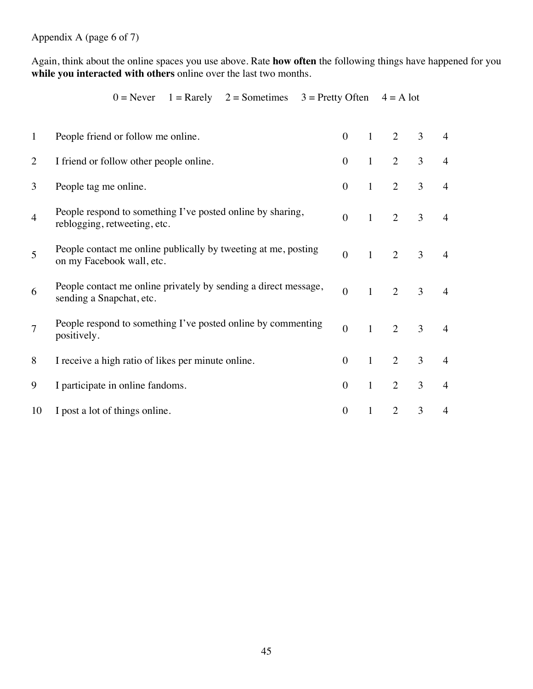Appendix A (page 6 of 7)

Again, think about the online spaces you use above. Rate **how often** the following things have happened for you **while you interacted with others** online over the last two months.

| $\mathbf{1}$   | People friend or follow me online.                                                          | $\theta$       | 1            | 2              | 3 | $\overline{4}$ |
|----------------|---------------------------------------------------------------------------------------------|----------------|--------------|----------------|---|----------------|
| $\overline{2}$ | I friend or follow other people online.                                                     | $\overline{0}$ | $\mathbf{1}$ | 2              | 3 | $\overline{4}$ |
| 3              | People tag me online.                                                                       | $\overline{0}$ | $\mathbf{1}$ | $\overline{2}$ | 3 | $\overline{4}$ |
| $\overline{4}$ | People respond to something I've posted online by sharing,<br>reblogging, retweeting, etc.  | $\overline{0}$ | $\mathbf{1}$ | $\overline{2}$ | 3 | $\overline{4}$ |
| 5              | People contact me online publically by tweeting at me, posting<br>on my Facebook wall, etc. | $\overline{0}$ | $\mathbf{1}$ | 2              | 3 | $\overline{4}$ |
| 6              | People contact me online privately by sending a direct message,<br>sending a Snapchat, etc. | $\overline{0}$ | $\mathbf{1}$ | $\overline{2}$ | 3 | $\overline{4}$ |
| $\overline{7}$ | People respond to something I've posted online by commenting<br>positively.                 | $\overline{0}$ | $\mathbf{1}$ | $\overline{2}$ | 3 | $\overline{4}$ |
| 8              | I receive a high ratio of likes per minute online.                                          | $\overline{0}$ | $\mathbf{1}$ | $\overline{2}$ | 3 | $\overline{4}$ |
| 9              | I participate in online fandoms.                                                            | $\overline{0}$ | $\mathbf{1}$ | 2              | 3 | $\overline{4}$ |
| 10             | I post a lot of things online.                                                              | $\overline{0}$ | 1            | $\overline{2}$ | 3 | 4              |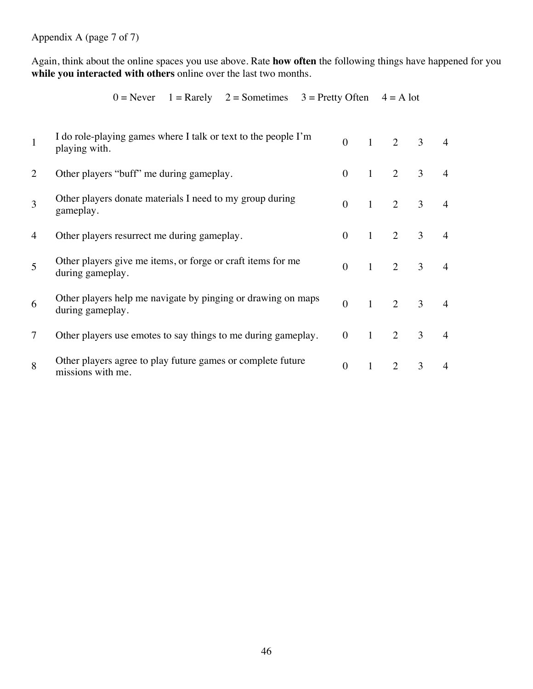Appendix A (page 7 of 7)

Again, think about the online spaces you use above. Rate **how often** the following things have happened for you **while you interacted with others** online over the last two months.

|   | I do role-playing games where I talk or text to the people I'm<br>playing with.  | $\theta$ | $\mathbf{1}$ | $\overline{2}$ | 3              | $\overline{4}$ |
|---|----------------------------------------------------------------------------------|----------|--------------|----------------|----------------|----------------|
| 2 | Other players "buff" me during gameplay.                                         | $\theta$ | $\mathbf{1}$ | 2              | 3              | 4              |
| 3 | Other players donate materials I need to my group during<br>gameplay.            | $\Omega$ | $\mathbf{1}$ | $\overline{2}$ | 3              | $\overline{4}$ |
| 4 | Other players resurrect me during gameplay.                                      | $\theta$ | $\mathbf{1}$ | 2              | 3              | $\overline{4}$ |
| 5 | Other players give me items, or forge or craft items for me<br>during gameplay.  | $\theta$ | $\mathbf{1}$ | $\overline{2}$ | 3              | $\overline{4}$ |
| 6 | Other players help me navigate by pinging or drawing on maps<br>during gameplay. | $\theta$ | $\mathbf{1}$ | $\overline{2}$ | $\mathfrak{Z}$ | $\overline{4}$ |
| 7 | Other players use emotes to say things to me during gameplay.                    | $\theta$ | $\mathbf{1}$ | $\overline{2}$ | 3              | $\overline{4}$ |
| 8 | Other players agree to play future games or complete future<br>missions with me. | $\theta$ |              | $\overline{2}$ | 3              |                |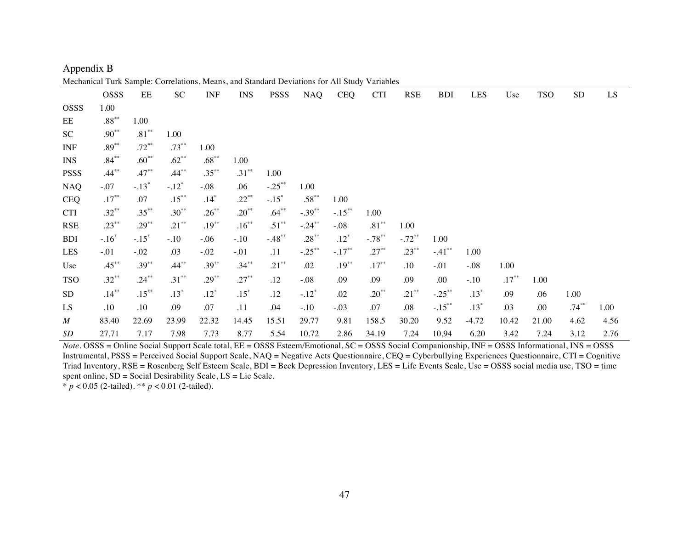|                  | ivicchalilcal Turk Sample. Correlations, ivicalis, and Standard Deviations for All Study Variables |          |                 |          |            |             |            |            |            |            |            |            |          |            |            |                        |
|------------------|----------------------------------------------------------------------------------------------------|----------|-----------------|----------|------------|-------------|------------|------------|------------|------------|------------|------------|----------|------------|------------|------------------------|
|                  | <b>OSSS</b>                                                                                        | EE       | SC <sub>1</sub> | INF      | <b>INS</b> | <b>PSSS</b> | <b>NAQ</b> | <b>CEQ</b> | <b>CTI</b> | <b>RSE</b> | <b>BDI</b> | <b>LES</b> | Use      | <b>TSO</b> | ${\rm SD}$ | $\mathbf{L}\mathbf{S}$ |
| <b>OSSS</b>      | 1.00                                                                                               |          |                 |          |            |             |            |            |            |            |            |            |          |            |            |                        |
| EE               | $.88^{\ast\ast}$                                                                                   | 1.00     |                 |          |            |             |            |            |            |            |            |            |          |            |            |                        |
| SC               | $.90**$                                                                                            | $.81***$ | 1.00            |          |            |             |            |            |            |            |            |            |          |            |            |                        |
| <b>INF</b>       | $.89***$                                                                                           | $.72***$ | $.73***$        | 1.00     |            |             |            |            |            |            |            |            |          |            |            |                        |
| <b>INS</b>       | $.84***$                                                                                           | $.60**$  | $.62**$         | $.68***$ | 1.00       |             |            |            |            |            |            |            |          |            |            |                        |
| <b>PSSS</b>      | $.44***$                                                                                           | $.47**$  | $.44***$        | $.35***$ | $.31***$   | 1.00        |            |            |            |            |            |            |          |            |            |                        |
| <b>NAQ</b>       | $-.07$                                                                                             | $-.13*$  | $-.12*$         | $-.08$   | .06        | $-.25***$   | 1.00       |            |            |            |            |            |          |            |            |                        |
| <b>CEQ</b>       | $.17***$                                                                                           | .07      | $.15***$        | $.14*$   | $.22***$   | $-.15*$     | $.58***$   | 1.00       |            |            |            |            |          |            |            |                        |
| <b>CTI</b>       | $.32***$                                                                                           | $.35***$ | $.30**$         | $.26***$ | $.20***$   | $.64***$    | $-.39***$  | $-.15***$  | 1.00       |            |            |            |          |            |            |                        |
| <b>RSE</b>       | $.23***$                                                                                           | $.29***$ | $.21***$        | $.19***$ | $.16***$   | $.51***$    | $-.24***$  | $-.08$     | $.81***$   | 1.00       |            |            |          |            |            |                        |
| <b>BDI</b>       | $-.16*$                                                                                            | $-.15*$  | $-.10$          | $-0.06$  | $-.10$     | $-.48**$    | $.28***$   | $.12*$     | $-.78***$  | $-.72**$   | 1.00       |            |          |            |            |                        |
| LES              | $-.01$                                                                                             | $-.02$   | .03             | $-.02$   | $-.01$     | .11         | $-.25***$  | $-.17***$  | $.27***$   | $.23***$   | $-.41***$  | 1.00       |          |            |            |                        |
| Use              | $.45***$                                                                                           | $.39***$ | $.44***$        | $.39***$ | $.34***$   | $.21***$    | .02        | $.19***$   | $.17***$   | $.10\,$    | $-0.01$    | $-.08$     | 1.00     |            |            |                        |
| <b>TSO</b>       | $.32***$                                                                                           | $.24***$ | $.31***$        | $.29***$ | $.27***$   | .12         | $-0.08$    | .09        | .09        | .09        | .00        | $-.10$     | $.17***$ | 1.00       |            |                        |
| <b>SD</b>        | $.14***$                                                                                           | $.15***$ | $.13*$          | $.12*$   | $.15*$     | .12         | $-.12*$    | .02        | $.20***$   | $.21***$   | $-.25***$  | $.13*$     | .09      | .06        | 1.00       |                        |
| LS               | .10                                                                                                | .10      | .09             | .07      | .11        | .04         | $-.10$     | $-.03$     | .07        | .08        | $-.15***$  | $.13*$     | .03      | .00        | $.74***$   | 1.00                   |
| $\boldsymbol{M}$ | 83.40                                                                                              | 22.69    | 23.99           | 22.32    | 14.45      | 15.51       | 29.77      | 9.81       | 158.5      | 30.20      | 9.52       | $-4.72$    | 10.42    | 21.00      | 4.62       | 4.56                   |
| SD               | 27.71                                                                                              | 7.17     | 7.98            | 7.73     | 8.77       | 5.54        | 10.72      | 2.86       | 34.19      | 7.24       | 10.94      | 6.20       | 3.42     | 7.24       | 3.12       | 2.76                   |

Appendix B Mechanical Turk Sample: Correlations, Means, and Standard Deviations for All Study Variables

*Note*. **OSSS** = Online Social Support Scale total, EE = OSSS Esteem/Emotional, SC = OSSS Social Companionship, INF = OSSS Informational, INS = OSSS Instrumental, PSSS = Perceived Social Support Scale, NAQ = Negative Acts Questionnaire, CEQ = Cyberbullying Experiences Questionnaire, CTI = Cognitive Triad Inventory, RSE = Rosenberg Self Esteem Scale, BDI = Beck Depression Inventory, LES = Life Events Scale, Use = OSSS social media use, TSO = time spent online, SD = Social Desirability Scale, LS = Lie Scale.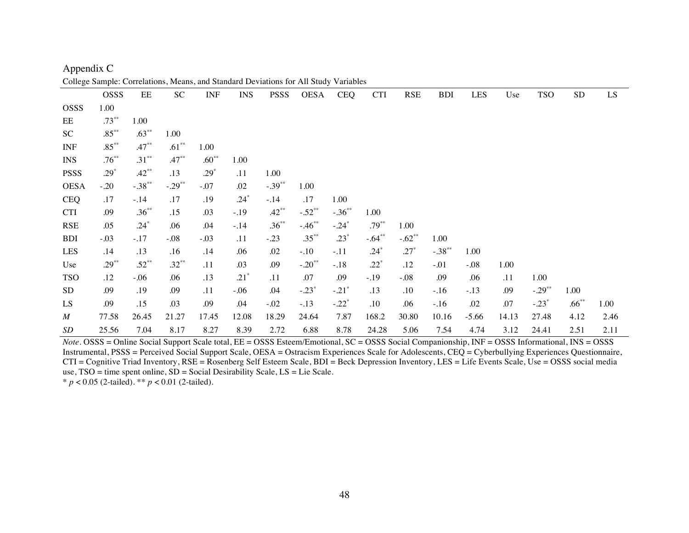|                  | <b>OSSS</b> | EE         | SC <sub>1</sub> | <b>INF</b> | <b>INS</b> | <b>PSSS</b> | OESA      | <b>CEQ</b> | <b>CTI</b> | <b>RSE</b> | <b>BDI</b> | LES     | Use   | <b>TSO</b> | ${\rm SD}$ | LS   |
|------------------|-------------|------------|-----------------|------------|------------|-------------|-----------|------------|------------|------------|------------|---------|-------|------------|------------|------|
| <b>OSSS</b>      | 1.00        |            |                 |            |            |             |           |            |            |            |            |         |       |            |            |      |
| EE               | $.73***$    | 1.00       |                 |            |            |             |           |            |            |            |            |         |       |            |            |      |
| SC               | $.85***$    | $.63***$   | 1.00            |            |            |             |           |            |            |            |            |         |       |            |            |      |
| <b>INF</b>       | $.85***$    | $.47**$    | $.61***$        | 1.00       |            |             |           |            |            |            |            |         |       |            |            |      |
| <b>INS</b>       | $.76***$    | $.31***$   | $.47***$        | $.60**$    | 1.00       |             |           |            |            |            |            |         |       |            |            |      |
| <b>PSSS</b>      | $.29*$      | $.42**$    | .13             | $.29*$     | .11        | 1.00        |           |            |            |            |            |         |       |            |            |      |
| <b>OESA</b>      | $-.20$      | $-.38$ **  | $-.29***$       | $-.07$     | .02        | $-.39***$   | 1.00      |            |            |            |            |         |       |            |            |      |
| <b>CEQ</b>       | .17         | $-.14$     | .17             | .19        | $.24*$     | $-.14$      | .17       | 1.00       |            |            |            |         |       |            |            |      |
| <b>CTI</b>       | .09         | $.36^{**}$ | .15             | .03        | $-.19$     | $.42***$    | $-.52**$  | $-.36***$  | 1.00       |            |            |         |       |            |            |      |
| <b>RSE</b>       | .05         | $.24*$     | .06             | .04        | $-.14$     | $.36***$    | $-.46***$ | $-.24*$    | $.79***$   | 1.00       |            |         |       |            |            |      |
| <b>BDI</b>       | $-.03$      | $-.17$     | $-.08$          | $-.03$     | .11        | $-.23$      | $.35***$  | $.23*$     | $-.64**$   | $-.62**$   | 1.00       |         |       |            |            |      |
| LES              | .14         | .13        | .16             | .14        | .06        | .02         | $-.10$    | $-.11$     | $.24*$     | $.27*$     | $-.38**$   | 1.00    |       |            |            |      |
| Use              | $.29***$    | $.52**$    | $.32***$        | .11        | .03        | .09         | $-.20**$  | $-.18$     | $.22*$     | .12        | $-.01$     | $-.08$  | 1.00  |            |            |      |
| <b>TSO</b>       | .12         | $-.06$     | .06             | .13        | $.21*$     | .11         | .07       | .09        | $-.19$     | $-.08$     | .09        | .06     | .11   | 1.00       |            |      |
| <b>SD</b>        | .09         | .19        | .09             | .11        | $-.06$     | .04         | $-.23*$   | $-.21*$    | .13        | .10        | $-.16$     | $-.13$  | .09   | $-.29**$   | 1.00       |      |
| LS               | .09         | .15        | .03             | .09        | .04        | $-.02$      | $-.13$    | $-.22*$    | .10        | .06        | $-.16$     | .02     | .07   | $-.23*$    | $.66***$   | 1.00 |
| $\boldsymbol{M}$ | 77.58       | 26.45      | 21.27           | 17.45      | 12.08      | 18.29       | 24.64     | 7.87       | 168.2      | 30.80      | 10.16      | $-5.66$ | 14.13 | 27.48      | 4.12       | 2.46 |
| SD               | 25.56       | 7.04       | 8.17            | 8.27       | 8.39       | 2.72        | 6.88      | 8.78       | 24.28      | 5.06       | 7.54       | 4.74    | 3.12  | 24.41      | 2.51       | 2.11 |

Appendix C College Sample: Correlations, Means, and Standard Deviations for All Study Variables

*Note*. OSSS = Online Social Support Scale total, EE = OSSS Esteem/Emotional, SC = OSSS Social Companionship, INF = OSSS Informational, INS = OSSS Instrumental, PSSS = Perceived Social Support Scale, OESA = Ostracism Experiences Scale for Adolescents, CEQ = Cyberbullying Experiences Questionnaire, CTI = Cognitive Triad Inventory, RSE = Rosenberg Self Esteem Scale, BDI = Beck Depression Inventory, LES = Life Events Scale, Use = OSSS social media use, TSO = time spent online, SD = Social Desirability Scale, LS = Lie Scale. \* *p* < 0.05 (2-tailed). \*\* *p* < 0.01 (2-tailed).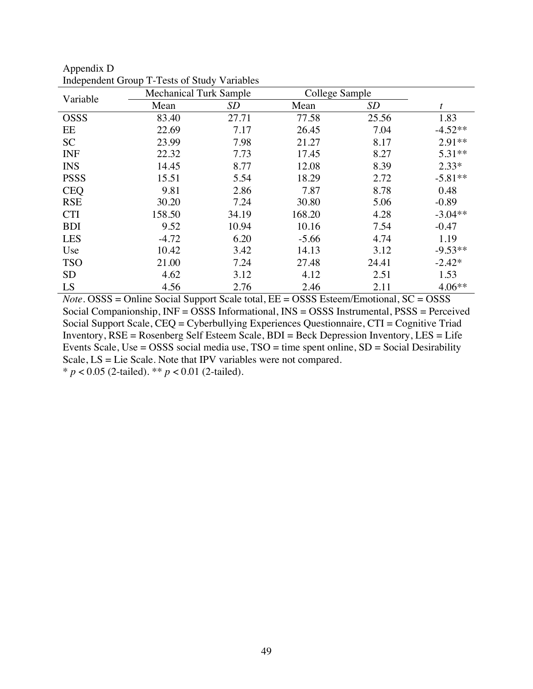| Variable    | <b>Mechanical Turk Sample</b> |           | College Sample |       |           |
|-------------|-------------------------------|-----------|----------------|-------|-----------|
|             | Mean                          | <b>SD</b> | Mean           | SD    |           |
| <b>OSSS</b> | 83.40                         | 27.71     | 77.58          | 25.56 | 1.83      |
| EE          | 22.69                         | 7.17      | 26.45          | 7.04  | $-4.52**$ |
| <b>SC</b>   | 23.99                         | 7.98      | 21.27          | 8.17  | $2.91**$  |
| <b>INF</b>  | 22.32                         | 7.73      | 17.45          | 8.27  | 5.31**    |
| <b>INS</b>  | 14.45                         | 8.77      | 12.08          | 8.39  | $2.33*$   |
| <b>PSSS</b> | 15.51                         | 5.54      | 18.29          | 2.72  | $-5.81**$ |
| <b>CEQ</b>  | 9.81                          | 2.86      | 7.87           | 8.78  | 0.48      |
| <b>RSE</b>  | 30.20                         | 7.24      | 30.80          | 5.06  | $-0.89$   |
| <b>CTI</b>  | 158.50                        | 34.19     | 168.20         | 4.28  | $-3.04**$ |
| <b>BDI</b>  | 9.52                          | 10.94     | 10.16          | 7.54  | $-0.47$   |
| <b>LES</b>  | $-4.72$                       | 6.20      | $-5.66$        | 4.74  | 1.19      |
| Use         | 10.42                         | 3.42      | 14.13          | 3.12  | $-9.53**$ |
| <b>TSO</b>  | 21.00                         | 7.24      | 27.48          | 24.41 | $-2.42*$  |
| <b>SD</b>   | 4.62                          | 3.12      | 4.12           | 2.51  | 1.53      |
| LS          | 4.56                          | 2.76      | 2.46           | 2.11  | $4.06**$  |

| Appendix D                                   |
|----------------------------------------------|
| Independent Group T-Tests of Study Variables |

*Note.* OSSS = Online Social Support Scale total, EE = OSSS Esteem/Emotional, SC = OSSS Social Companionship, INF = OSSS Informational, INS = OSSS Instrumental, PSSS = Perceived Social Support Scale, CEQ = Cyberbullying Experiences Questionnaire, CTI = Cognitive Triad Inventory, RSE = Rosenberg Self Esteem Scale, BDI = Beck Depression Inventory, LES = Life Events Scale, Use = OSSS social media use,  $TSO =$  time spent online,  $SD =$  Social Desirability Scale, LS = Lie Scale. Note that IPV variables were not compared.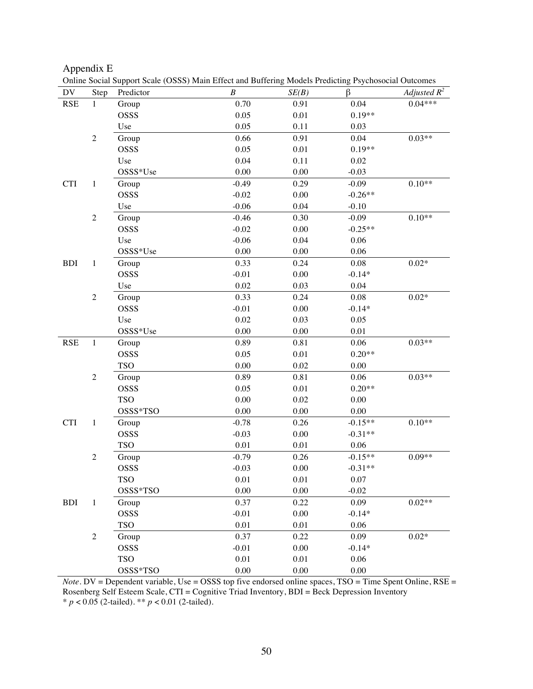| Appendix E |  |  |
|------------|--|--|
|------------|--|--|

| DV         | Step           | Predictor  | $\boldsymbol{B}$ | SE(B)    | β         | Adjusted $R^2$   |
|------------|----------------|------------|------------------|----------|-----------|------------------|
| <b>RSE</b> | $\mathbf{1}$   | Group      | 0.70             | 0.91     | 0.04      | $0.04***$        |
|            |                | OSSS       | 0.05             | 0.01     | $0.19**$  |                  |
|            |                | Use        | 0.05             | 0.11     | 0.03      |                  |
|            | $\sqrt{2}$     | Group      | 0.66             | 0.91     | 0.04      | $0.03**$         |
|            |                | OSSS       | 0.05             | 0.01     | $0.19**$  |                  |
|            |                | Use        | 0.04             | 0.11     | 0.02      |                  |
|            |                | OSSS*Use   | 0.00             | 0.00     | $-0.03$   |                  |
| <b>CTI</b> | $\mathbf{1}$   | Group      | $-0.49$          | 0.29     | $-0.09$   | $0.10**$         |
|            |                | OSSS       | $-0.02$          | $0.00\,$ | $-0.26**$ |                  |
|            |                | Use        | $-0.06$          | 0.04     | $-0.10$   |                  |
|            | $\sqrt{2}$     | Group      | $-0.46$          | 0.30     | $-0.09$   | $0.10**$         |
|            |                | OSSS       | $-0.02$          | $0.00\,$ | $-0.25**$ |                  |
|            |                | Use        | $-0.06$          | 0.04     | 0.06      |                  |
|            |                | OSSS*Use   | $0.00\,$         | $0.00\,$ | 0.06      |                  |
| <b>BDI</b> | $\mathbf{1}$   | Group      | 0.33             | 0.24     | 0.08      | $0.02*$          |
|            |                | OSSS       | $-0.01$          | $0.00\,$ | $-0.14*$  |                  |
|            |                | Use        | $0.02\,$         | 0.03     | 0.04      |                  |
|            | $\sqrt{2}$     | Group      | 0.33             | 0.24     | 0.08      | $0.02\mathrm{*}$ |
|            |                | OSSS       | $-0.01$          | $0.00\,$ | $-0.14*$  |                  |
|            |                | Use        | $0.02\,$         | 0.03     | 0.05      |                  |
|            |                | OSSS*Use   | $0.00\,$         | $0.00\,$ | 0.01      |                  |
| <b>RSE</b> | $\mathbf{1}$   | Group      | 0.89             | 0.81     | 0.06      | $0.03**$         |
|            |                | OSSS       | 0.05             | 0.01     | $0.20**$  |                  |
|            |                | <b>TSO</b> | 0.00             | 0.02     | 0.00      |                  |
|            | $\sqrt{2}$     | Group      | 0.89             | 0.81     | 0.06      | $0.03**$         |
|            |                | OSSS       | 0.05             | 0.01     | $0.20**$  |                  |
|            |                | <b>TSO</b> | $0.00\,$         | $0.02\,$ | 0.00      |                  |
|            |                | OSSS*TSO   | $0.00\,$         | $0.00\,$ | $0.00\,$  |                  |
| <b>CTI</b> | $\mathbf{1}$   | Group      | $-0.78$          | 0.26     | $-0.15**$ | $0.10**$         |
|            |                | OSSS       | $-0.03$          | $0.00\,$ | $-0.31**$ |                  |
|            |                | <b>TSO</b> | 0.01             | 0.01     | 0.06      |                  |
|            | $\sqrt{2}$     | Group      | $-0.79$          | 0.26     | $-0.15**$ | $0.09**$         |
|            |                | OSSS       | $-0.03$          | $0.00\,$ | $-0.31**$ |                  |
|            |                | <b>TSO</b> | 0.01             | 0.01     | 0.07      |                  |
|            |                | OSSS*TSO   | $0.00\,$         | 0.00     | $-0.02$   |                  |
| <b>BDI</b> | $\mathbf{1}$   | Group      | 0.37             | 0.22     | 0.09      | $0.02**$         |
|            |                | OSSS       | $-0.01$          | 0.00     | $-0.14*$  |                  |
|            |                | <b>TSO</b> | 0.01             | 0.01     | 0.06      |                  |
|            | $\overline{2}$ | Group      | 0.37             | 0.22     | 0.09      | $0.02*$          |
|            |                | OSSS       | $-0.01$          | 0.00     | $-0.14*$  |                  |
|            |                | <b>TSO</b> | $0.01\,$         | 0.01     | 0.06      |                  |
|            |                | OSSS*TSO   | $0.00\,$         | $0.00\,$ | $0.00\,$  |                  |

*Note*. DV = Dependent variable, Use = OSSS top five endorsed online spaces, TSO = Time Spent Online, RSE = Rosenberg Self Esteem Scale, CTI = Cognitive Triad Inventory, BDI = Beck Depression Inventory \* *p* < 0.05 (2-tailed). \*\* *p* < 0.01 (2-tailed).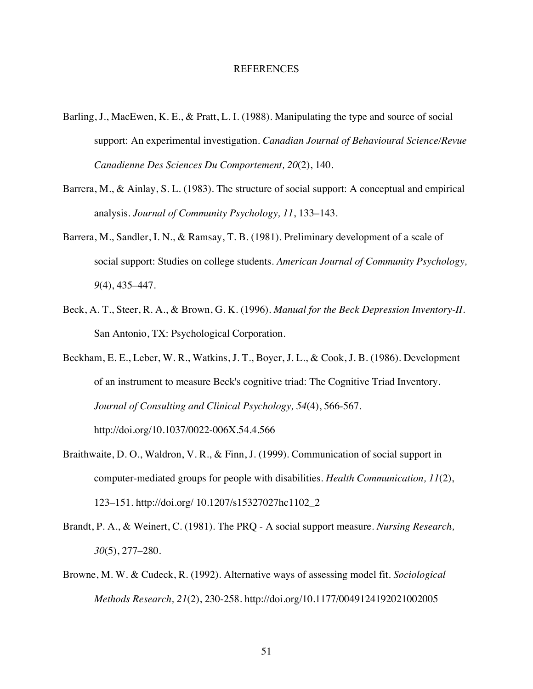#### REFERENCES

- Barling, J., MacEwen, K. E., & Pratt, L. I. (1988). Manipulating the type and source of social support: An experimental investigation. *Canadian Journal of Behavioural Science/Revue Canadienne Des Sciences Du Comportement, 20*(2), 140.
- Barrera, M., & Ainlay, S. L. (1983). The structure of social support: A conceptual and empirical analysis. *Journal of Community Psychology, 11*, 133–143.
- Barrera, M., Sandler, I. N., & Ramsay, T. B. (1981). Preliminary development of a scale of social support: Studies on college students. *American Journal of Community Psychology, 9*(4), 435–447.
- Beck, A. T., Steer, R. A., & Brown, G. K. (1996). *Manual for the Beck Depression Inventory-II*. San Antonio, TX: Psychological Corporation.
- Beckham, E. E., Leber, W. R., Watkins, J. T., Boyer, J. L., & Cook, J. B. (1986). Development of an instrument to measure Beck's cognitive triad: The Cognitive Triad Inventory. *Journal of Consulting and Clinical Psychology, 54*(4), 566-567. http://doi.org/10.1037/0022-006X.54.4.566
- Braithwaite, D. O., Waldron, V. R., & Finn, J. (1999). Communication of social support in computer-mediated groups for people with disabilities. *Health Communication, 11*(2), 123–151. http://doi.org/ 10.1207/s15327027hc1102\_2
- Brandt, P. A., & Weinert, C. (1981). The PRQ A social support measure. *Nursing Research, 30*(5), 277–280.
- Browne, M. W. & Cudeck, R. (1992). Alternative ways of assessing model fit. *Sociological Methods Research, 21*(2), 230-258. http://doi.org/10.1177/0049124192021002005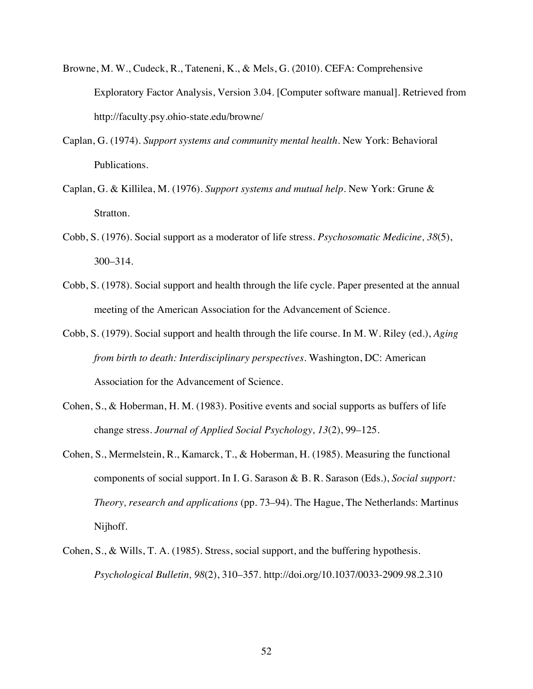- Browne, M. W., Cudeck, R., Tateneni, K., & Mels, G. (2010). CEFA: Comprehensive Exploratory Factor Analysis, Version 3.04. [Computer software manual]. Retrieved from http://faculty.psy.ohio-state.edu/browne/
- Caplan, G. (1974). *Support systems and community mental health.* New York: Behavioral Publications.
- Caplan, G. & Killilea, M. (1976). *Support systems and mutual help.* New York: Grune & Stratton.
- Cobb, S. (1976). Social support as a moderator of life stress. *Psychosomatic Medicine, 38*(5), 300–314.
- Cobb, S. (1978). Social support and health through the life cycle. Paper presented at the annual meeting of the American Association for the Advancement of Science.
- Cobb, S. (1979). Social support and health through the life course. In M. W. Riley (ed.), *Aging from birth to death: Interdisciplinary perspectives*. Washington, DC: American Association for the Advancement of Science.
- Cohen, S., & Hoberman, H. M. (1983). Positive events and social supports as buffers of life change stress. *Journal of Applied Social Psychology, 13*(2), 99–125.
- Cohen, S., Mermelstein, R., Kamarck, T., & Hoberman, H. (1985). Measuring the functional components of social support. In I. G. Sarason & B. R. Sarason (Eds.), *Social support: Theory, research and applications* (pp. 73–94). The Hague, The Netherlands: Martinus Nijhoff.
- Cohen, S., & Wills, T. A. (1985). Stress, social support, and the buffering hypothesis. *Psychological Bulletin, 98*(2), 310–357. http://doi.org/10.1037/0033-2909.98.2.310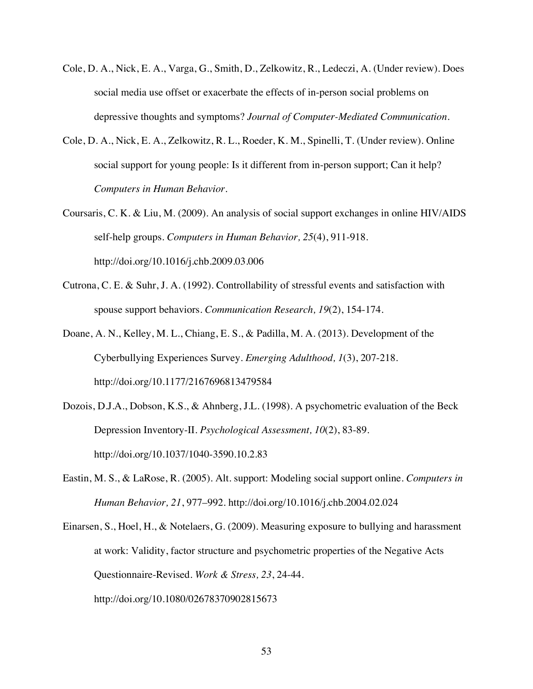- Cole, D. A., Nick, E. A., Varga, G., Smith, D., Zelkowitz, R., Ledeczi, A. (Under review). Does social media use offset or exacerbate the effects of in-person social problems on depressive thoughts and symptoms? *Journal of Computer-Mediated Communication*.
- Cole, D. A., Nick, E. A., Zelkowitz, R. L., Roeder, K. M., Spinelli, T. (Under review). Online social support for young people: Is it different from in-person support; Can it help? *Computers in Human Behavior.*
- Coursaris, C. K. & Liu, M. (2009). An analysis of social support exchanges in online HIV/AIDS self-help groups. *Computers in Human Behavior, 25*(4), 911-918. http://doi.org/10.1016/j.chb.2009.03.006
- Cutrona, C. E. & Suhr, J. A. (1992). Controllability of stressful events and satisfaction with spouse support behaviors. *Communication Research, 19*(2), 154-174.
- Doane, A. N., Kelley, M. L., Chiang, E. S., & Padilla, M. A. (2013). Development of the Cyberbullying Experiences Survey. *Emerging Adulthood, 1*(3), 207-218. http://doi.org/10.1177/2167696813479584
- Dozois, D.J.A., Dobson, K.S., & Ahnberg, J.L. (1998). A psychometric evaluation of the Beck Depression Inventory-II. *Psychological Assessment, 10*(2), 83-89. http://doi.org/10.1037/1040-3590.10.2.83
- Eastin, M. S., & LaRose, R. (2005). Alt. support: Modeling social support online. *Computers in Human Behavior, 21*, 977–992. http://doi.org/10.1016/j.chb.2004.02.024
- Einarsen, S., Hoel, H., & Notelaers, G. (2009). Measuring exposure to bullying and harassment at work: Validity, factor structure and psychometric properties of the Negative Acts Questionnaire-Revised. *Work & Stress, 23*, 24-44. http://doi.org/10.1080/02678370902815673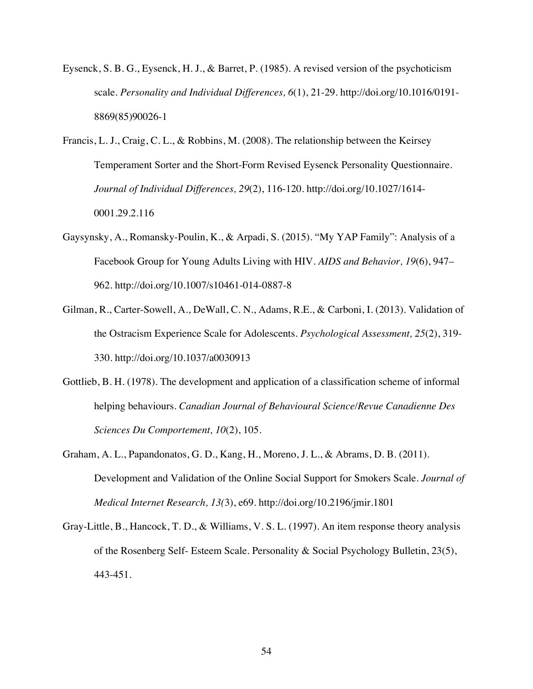- Eysenck, S. B. G., Eysenck, H. J., & Barret, P. (1985). A revised version of the psychoticism scale. *Personality and Individual Differences, 6*(1), 21-29. http://doi.org/10.1016/0191- 8869(85)90026-1
- Francis, L. J., Craig, C. L., & Robbins, M. (2008). The relationship between the Keirsey Temperament Sorter and the Short-Form Revised Eysenck Personality Questionnaire. *Journal of Individual Differences, 29*(2), 116-120. http://doi.org/10.1027/1614- 0001.29.2.116
- Gaysynsky, A., Romansky-Poulin, K., & Arpadi, S. (2015). "My YAP Family": Analysis of a Facebook Group for Young Adults Living with HIV. *AIDS and Behavior, 19*(6), 947– 962. http://doi.org/10.1007/s10461-014-0887-8
- Gilman, R., Carter-Sowell, A., DeWall, C. N., Adams, R.E., & Carboni, I. (2013). Validation of the Ostracism Experience Scale for Adolescents. *Psychological Assessment, 25*(2), 319- 330. http://doi.org/10.1037/a0030913
- Gottlieb, B. H. (1978). The development and application of a classification scheme of informal helping behaviours. *Canadian Journal of Behavioural Science/Revue Canadienne Des Sciences Du Comportement, 10*(2), 105.
- Graham, A. L., Papandonatos, G. D., Kang, H., Moreno, J. L., & Abrams, D. B. (2011). Development and Validation of the Online Social Support for Smokers Scale. *Journal of Medical Internet Research, 13(*3), e69. http://doi.org/10.2196/jmir.1801
- Gray-Little, B., Hancock, T. D., & Williams, V. S. L. (1997). An item response theory analysis of the Rosenberg Self- Esteem Scale. Personality & Social Psychology Bulletin, 23(5), 443-451.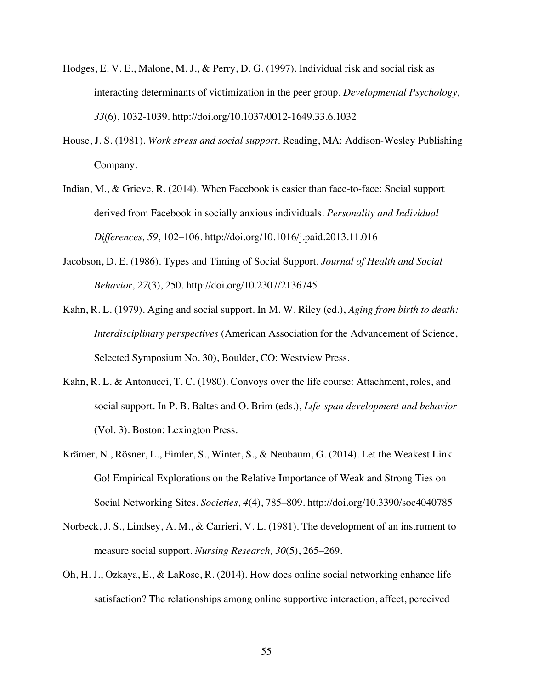- Hodges, E. V. E., Malone, M. J., & Perry, D. G. (1997). Individual risk and social risk as interacting determinants of victimization in the peer group. *Developmental Psychology, 33*(6), 1032-1039. http://doi.org/10.1037/0012-1649.33.6.1032
- House, J. S. (1981). *Work stress and social support*. Reading, MA: Addison-Wesley Publishing Company.
- Indian, M., & Grieve, R. (2014). When Facebook is easier than face-to-face: Social support derived from Facebook in socially anxious individuals*. Personality and Individual Differences, 59*, 102–106. http://doi.org/10.1016/j.paid.2013.11.016
- Jacobson, D. E. (1986). Types and Timing of Social Support. *Journal of Health and Social Behavior, 27*(3), 250. http://doi.org/10.2307/2136745
- Kahn, R. L. (1979). Aging and social support. In M. W. Riley (ed.), *Aging from birth to death: Interdisciplinary perspectives* (American Association for the Advancement of Science, Selected Symposium No. 30), Boulder, CO: Westview Press.
- Kahn, R. L. & Antonucci, T. C. (1980). Convoys over the life course: Attachment, roles, and social support. In P. B. Baltes and O. Brim (eds.), *Life-span development and behavior*  (Vol. 3). Boston: Lexington Press.
- Krämer, N., Rösner, L., Eimler, S., Winter, S., & Neubaum, G. (2014). Let the Weakest Link Go! Empirical Explorations on the Relative Importance of Weak and Strong Ties on Social Networking Sites. *Societies, 4*(4), 785–809. http://doi.org/10.3390/soc4040785
- Norbeck, J. S., Lindsey, A. M., & Carrieri, V. L. (1981). The development of an instrument to measure social support. *Nursing Research, 30*(5), 265–269.
- Oh, H. J., Ozkaya, E., & LaRose, R. (2014). How does online social networking enhance life satisfaction? The relationships among online supportive interaction, affect, perceived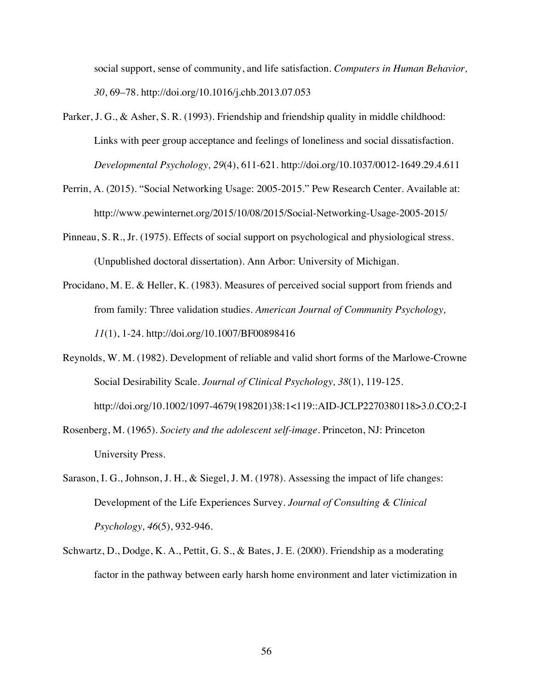social support, sense of community, and life satisfaction. *Computers in Human Behavior, 30*, 69–78. http://doi.org/10.1016/j.chb.2013.07.053

- Parker, J. G., & Asher, S. R. (1993). Friendship and friendship quality in middle childhood: Links with peer group acceptance and feelings of loneliness and social dissatisfaction. *Developmental Psychology, 29*(4), 611-621. http://doi.org/10.1037/0012-1649.29.4.611
- Perrin, A. (2015). "Social Networking Usage: 2005-2015." Pew Research Center. Available at: http://www.pewinternet.org/2015/10/08/2015/Social-Networking-Usage-2005-2015/
- Pinneau, S. R., Jr. (1975). Effects of social support on psychological and physiological stress. (Unpublished doctoral dissertation). Ann Arbor: University of Michigan.
- Procidano, M. E. & Heller, K. (1983). Measures of perceived social support from friends and from family: Three validation studies. *American Journal of Community Psychology, 11*(1), 1-24. http://doi.org/10.1007/BF00898416
- Reynolds, W. M. (1982). Development of reliable and valid short forms of the Marlowe-Crowne Social Desirability Scale. *Journal of Clinical Psychology, 38*(1), 119-125. http://doi.org/10.1002/1097-4679(198201)38:1<119::AID-JCLP2270380118>3.0.CO;2-I
- Rosenberg, M. (1965). *Society and the adolescent self-image*. Princeton, NJ: Princeton University Press.
- Sarason, I. G., Johnson, J. H., & Siegel, J. M. (1978). Assessing the impact of life changes: Development of the Life Experiences Survey. *Journal of Consulting & Clinical Psychology, 46*(5), 932-946.
- Schwartz, D., Dodge, K. A., Pettit, G. S., & Bates, J. E. (2000). Friendship as a moderating factor in the pathway between early harsh home environment and later victimization in